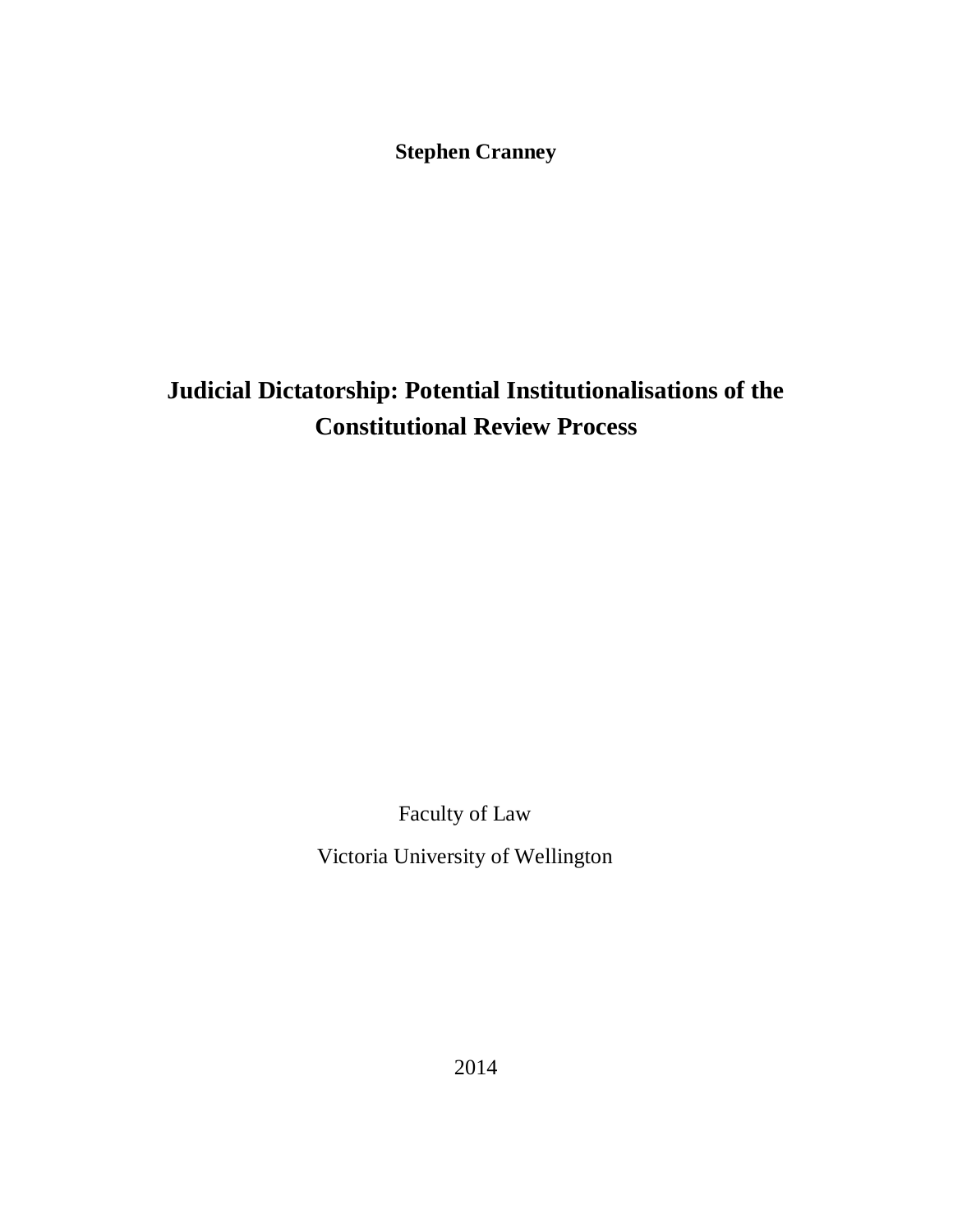**Stephen Cranney**

# **Judicial Dictatorship: Potential Institutionalisations of the Constitutional Review Process**

Faculty of Law

Victoria University of Wellington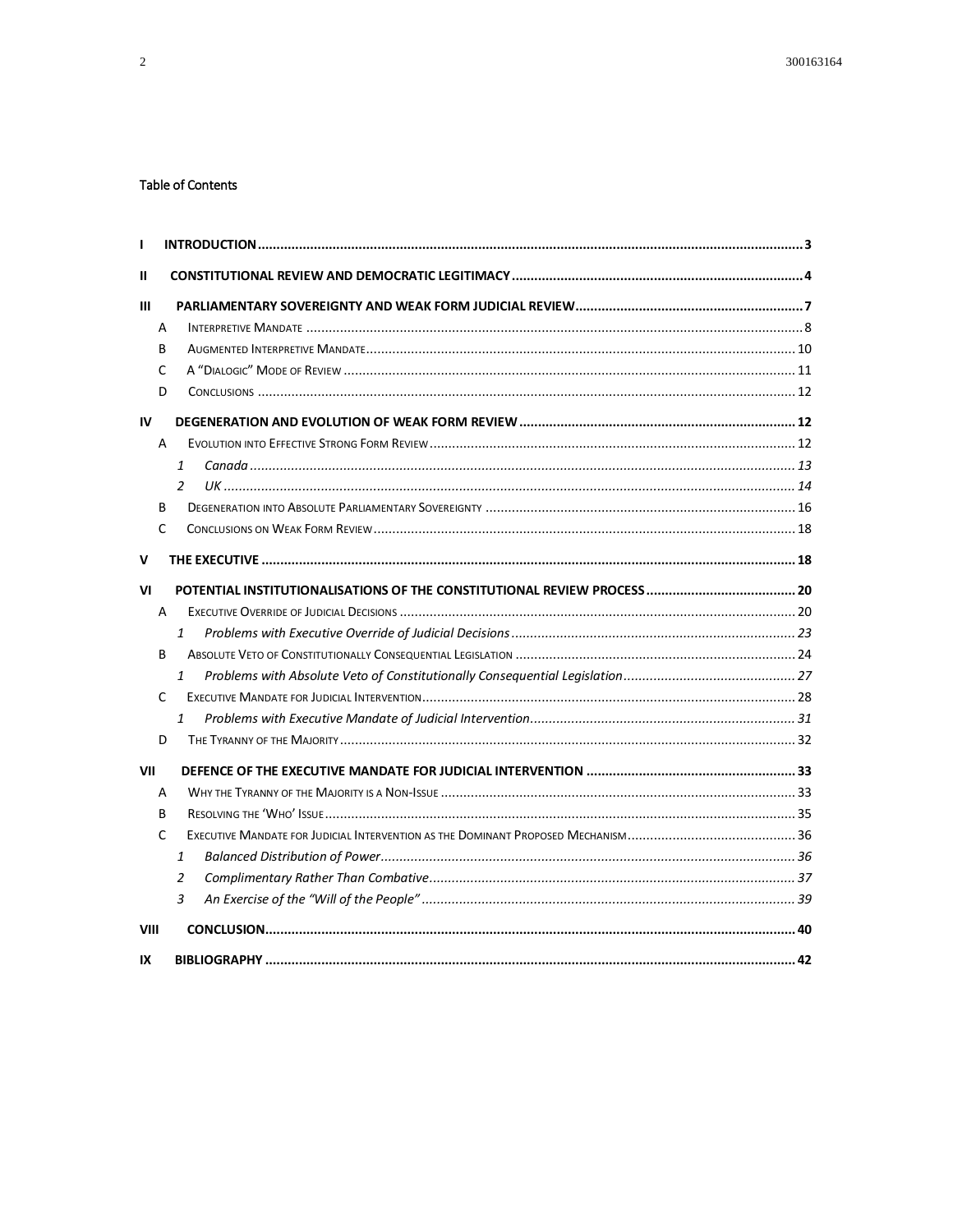#### **Table of Contents**

| L            |                |  |
|--------------|----------------|--|
| $\mathbf{I}$ |                |  |
| III          |                |  |
|              | A              |  |
|              | B              |  |
|              | C              |  |
|              | D              |  |
| IV           |                |  |
|              | A              |  |
|              | $\mathbf{1}$   |  |
|              | $\mathcal{P}$  |  |
|              | B              |  |
|              | C              |  |
| v            |                |  |
| VI           |                |  |
|              | A              |  |
|              | $\mathbf{1}$   |  |
|              | B              |  |
|              | $\mathbf{1}$   |  |
|              | C              |  |
|              | $\mathbf{1}$   |  |
|              | D              |  |
| VII          |                |  |
|              | A              |  |
|              | B              |  |
|              | C              |  |
|              | 1              |  |
|              | $\overline{2}$ |  |
|              | 3              |  |
| VIII         |                |  |
| IX           |                |  |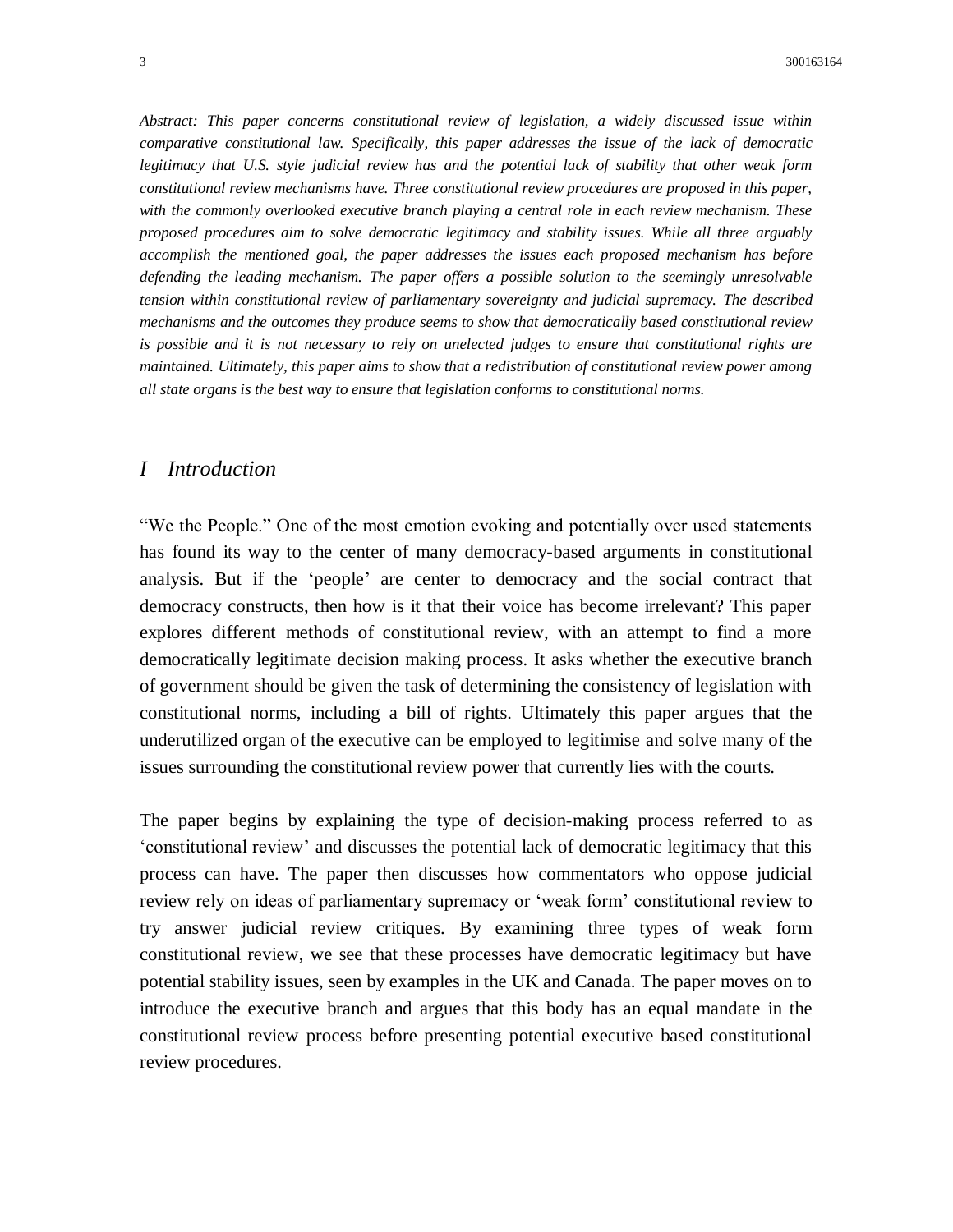*Abstract: This paper concerns constitutional review of legislation, a widely discussed issue within comparative constitutional law. Specifically, this paper addresses the issue of the lack of democratic legitimacy that U.S. style judicial review has and the potential lack of stability that other weak form constitutional review mechanisms have. Three constitutional review procedures are proposed in this paper, with the commonly overlooked executive branch playing a central role in each review mechanism. These proposed procedures aim to solve democratic legitimacy and stability issues. While all three arguably accomplish the mentioned goal, the paper addresses the issues each proposed mechanism has before defending the leading mechanism. The paper offers a possible solution to the seemingly unresolvable tension within constitutional review of parliamentary sovereignty and judicial supremacy. The described mechanisms and the outcomes they produce seems to show that democratically based constitutional review is possible and it is not necessary to rely on unelected judges to ensure that constitutional rights are maintained. Ultimately, this paper aims to show that a redistribution of constitutional review power among all state organs is the best way to ensure that legislation conforms to constitutional norms.*

# *I Introduction*

"We the People." One of the most emotion evoking and potentially over used statements has found its way to the center of many democracy-based arguments in constitutional analysis. But if the 'people' are center to democracy and the social contract that democracy constructs, then how is it that their voice has become irrelevant? This paper explores different methods of constitutional review, with an attempt to find a more democratically legitimate decision making process. It asks whether the executive branch of government should be given the task of determining the consistency of legislation with constitutional norms, including a bill of rights. Ultimately this paper argues that the underutilized organ of the executive can be employed to legitimise and solve many of the issues surrounding the constitutional review power that currently lies with the courts.

The paper begins by explaining the type of decision-making process referred to as 'constitutional review' and discusses the potential lack of democratic legitimacy that this process can have. The paper then discusses how commentators who oppose judicial review rely on ideas of parliamentary supremacy or 'weak form' constitutional review to try answer judicial review critiques. By examining three types of weak form constitutional review, we see that these processes have democratic legitimacy but have potential stability issues, seen by examples in the UK and Canada. The paper moves on to introduce the executive branch and argues that this body has an equal mandate in the constitutional review process before presenting potential executive based constitutional review procedures.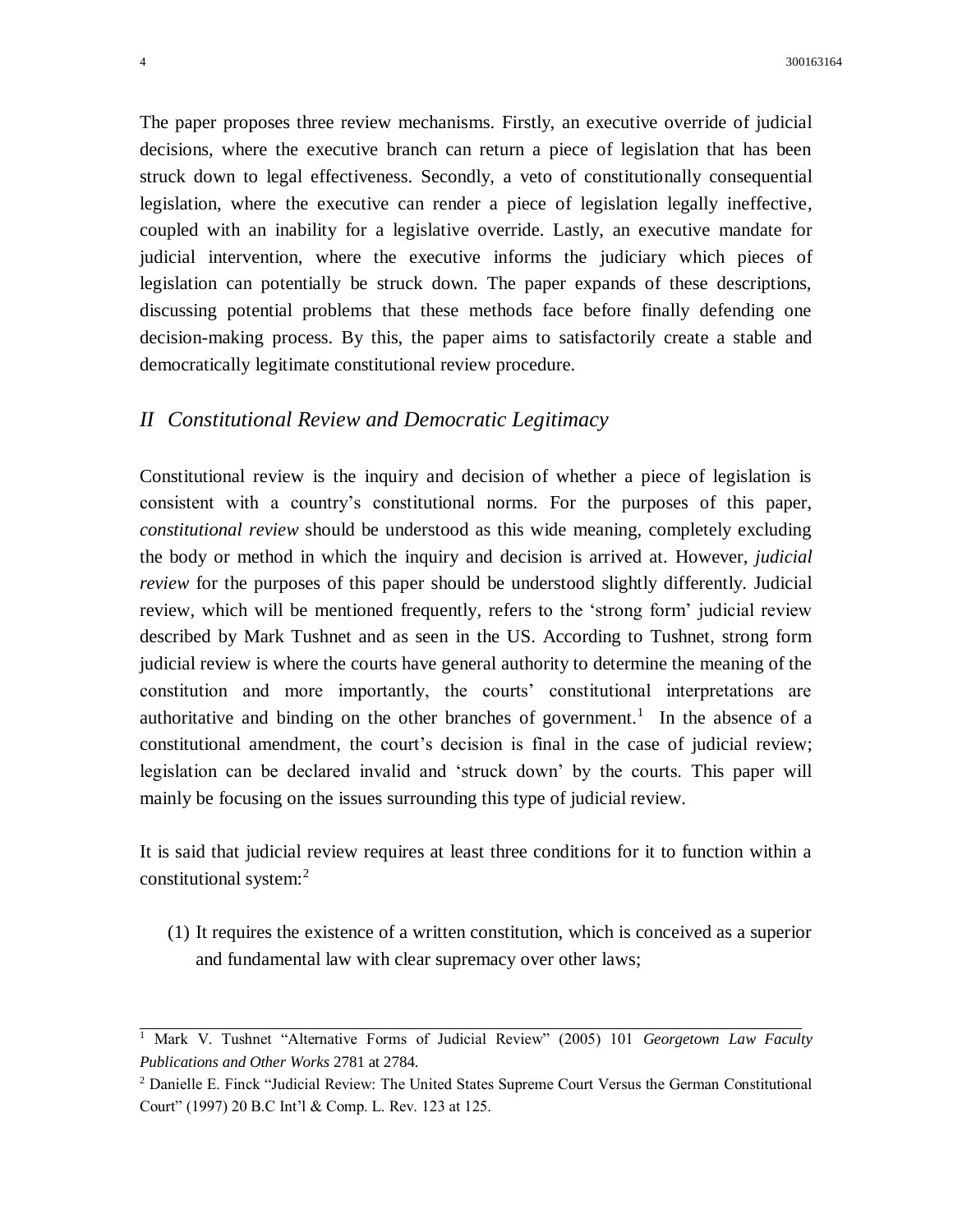The paper proposes three review mechanisms. Firstly, an executive override of judicial decisions, where the executive branch can return a piece of legislation that has been struck down to legal effectiveness. Secondly, a veto of constitutionally consequential legislation, where the executive can render a piece of legislation legally ineffective, coupled with an inability for a legislative override. Lastly, an executive mandate for judicial intervention, where the executive informs the judiciary which pieces of legislation can potentially be struck down. The paper expands of these descriptions, discussing potential problems that these methods face before finally defending one decision-making process. By this, the paper aims to satisfactorily create a stable and democratically legitimate constitutional review procedure.

# *II Constitutional Review and Democratic Legitimacy*

Constitutional review is the inquiry and decision of whether a piece of legislation is consistent with a country's constitutional norms. For the purposes of this paper, *constitutional review* should be understood as this wide meaning, completely excluding the body or method in which the inquiry and decision is arrived at. However, *judicial review* for the purposes of this paper should be understood slightly differently. Judicial review, which will be mentioned frequently, refers to the 'strong form' judicial review described by Mark Tushnet and as seen in the US. According to Tushnet, strong form judicial review is where the courts have general authority to determine the meaning of the constitution and more importantly, the courts' constitutional interpretations are authoritative and binding on the other branches of government.<sup>1</sup> In the absence of a constitutional amendment, the court's decision is final in the case of judicial review; legislation can be declared invalid and 'struck down' by the courts. This paper will mainly be focusing on the issues surrounding this type of judicial review.

It is said that judicial review requires at least three conditions for it to function within a constitutional system: $2$ 

(1) It requires the existence of a written constitution, which is conceived as a superior and fundamental law with clear supremacy over other laws;

<sup>1</sup> Mark V. Tushnet "Alternative Forms of Judicial Review" (2005) 101 *Georgetown Law Faculty Publications and Other Works* 2781 at 2784.

<sup>2</sup> Danielle E. Finck "Judicial Review: The United States Supreme Court Versus the German Constitutional Court" (1997) 20 B.C Int'l & Comp. L. Rev. 123 at 125.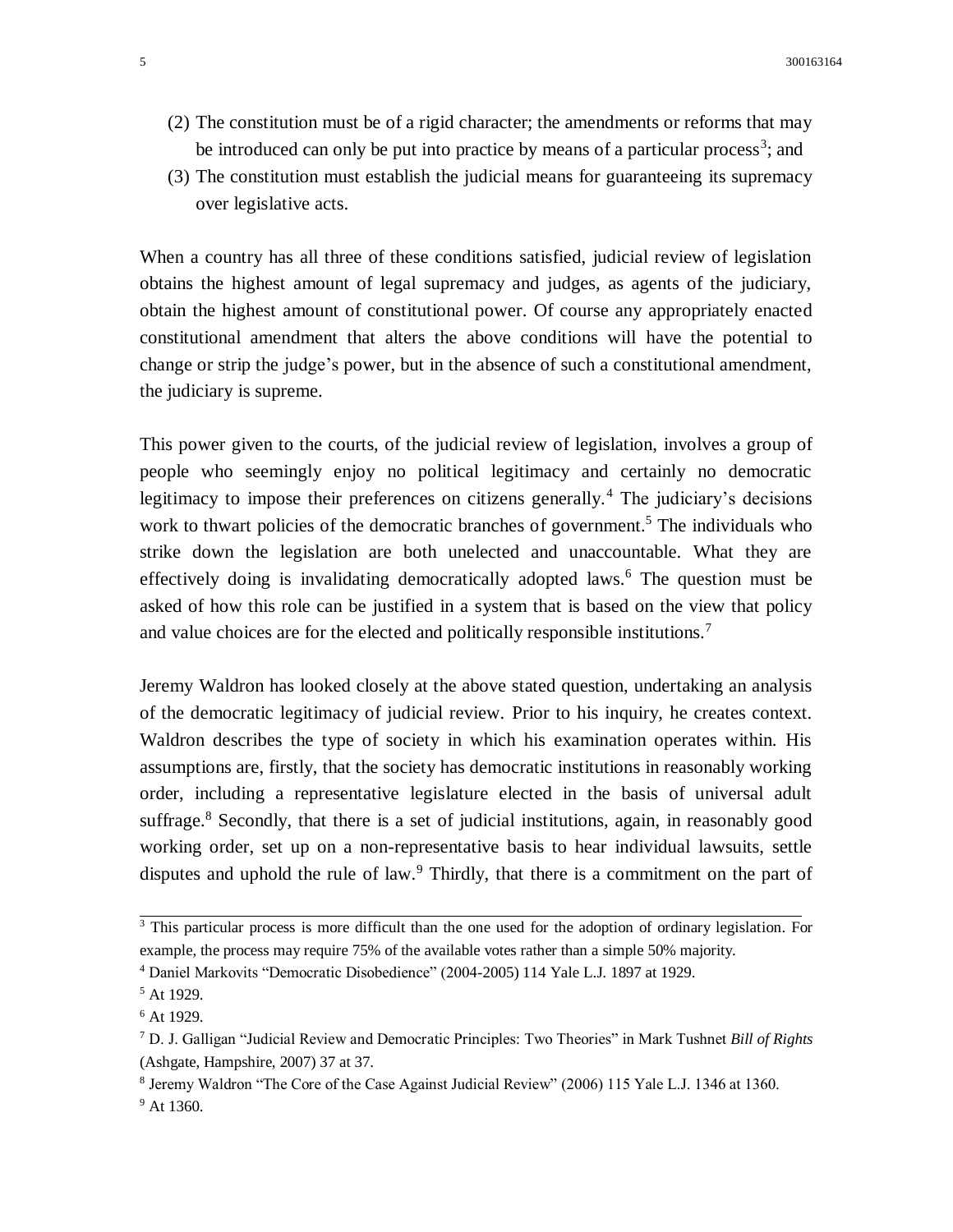- (2) The constitution must be of a rigid character; the amendments or reforms that may be introduced can only be put into practice by means of a particular process<sup>3</sup>; and
- (3) The constitution must establish the judicial means for guaranteeing its supremacy over legislative acts.

When a country has all three of these conditions satisfied, judicial review of legislation obtains the highest amount of legal supremacy and judges, as agents of the judiciary, obtain the highest amount of constitutional power. Of course any appropriately enacted constitutional amendment that alters the above conditions will have the potential to change or strip the judge's power, but in the absence of such a constitutional amendment, the judiciary is supreme.

This power given to the courts, of the judicial review of legislation, involves a group of people who seemingly enjoy no political legitimacy and certainly no democratic legitimacy to impose their preferences on citizens generally.<sup>4</sup> The judiciary's decisions work to thwart policies of the democratic branches of government.<sup>5</sup> The individuals who strike down the legislation are both unelected and unaccountable. What they are effectively doing is invalidating democratically adopted laws.<sup>6</sup> The question must be asked of how this role can be justified in a system that is based on the view that policy and value choices are for the elected and politically responsible institutions.<sup>7</sup>

Jeremy Waldron has looked closely at the above stated question, undertaking an analysis of the democratic legitimacy of judicial review. Prior to his inquiry, he creates context. Waldron describes the type of society in which his examination operates within. His assumptions are, firstly, that the society has democratic institutions in reasonably working order, including a representative legislature elected in the basis of universal adult suffrage.<sup>8</sup> Secondly, that there is a set of judicial institutions, again, in reasonably good working order, set up on a non-representative basis to hear individual lawsuits, settle disputes and uphold the rule of law.<sup>9</sup> Thirdly, that there is a commitment on the part of

<sup>&</sup>lt;sup>3</sup> This particular process is more difficult than the one used for the adoption of ordinary legislation. For example, the process may require 75% of the available votes rather than a simple 50% majority.

<sup>4</sup> Daniel Markovits "Democratic Disobedience" (2004-2005) 114 Yale L.J. 1897 at 1929.

<sup>5</sup> At 1929.

 $6$  At 1929.

<sup>7</sup> D. J. Galligan "Judicial Review and Democratic Principles: Two Theories" in Mark Tushnet *Bill of Rights*  (Ashgate, Hampshire, 2007) 37 at 37.

<sup>&</sup>lt;sup>8</sup> Jeremy Waldron "The Core of the Case Against Judicial Review" (2006) 115 Yale L.J. 1346 at 1360. <sup>9</sup> At 1360.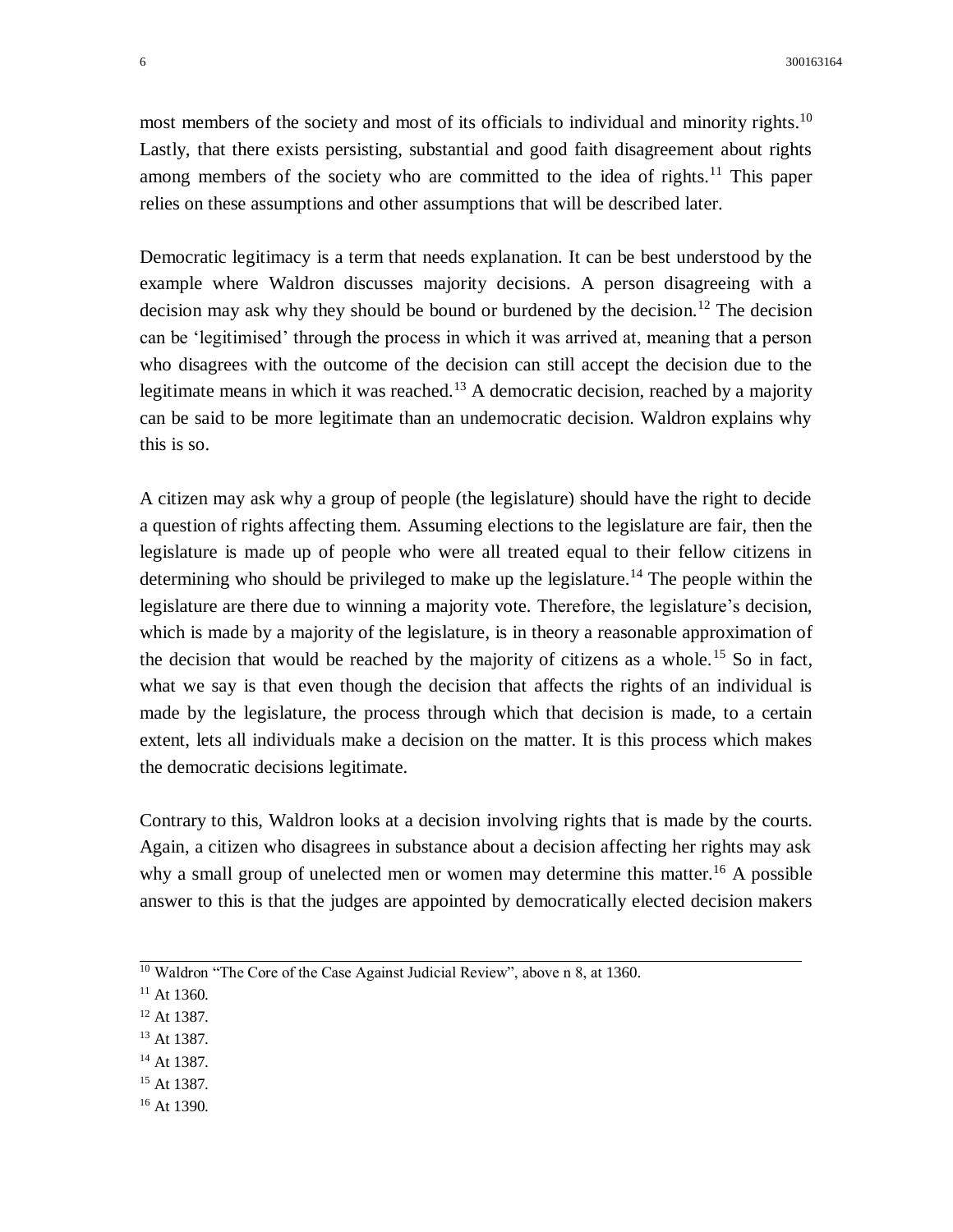most members of the society and most of its officials to individual and minority rights.<sup>10</sup> Lastly, that there exists persisting, substantial and good faith disagreement about rights among members of the society who are committed to the idea of rights.<sup>11</sup> This paper relies on these assumptions and other assumptions that will be described later.

Democratic legitimacy is a term that needs explanation. It can be best understood by the example where Waldron discusses majority decisions. A person disagreeing with a decision may ask why they should be bound or burdened by the decision.<sup>12</sup> The decision can be 'legitimised' through the process in which it was arrived at, meaning that a person who disagrees with the outcome of the decision can still accept the decision due to the legitimate means in which it was reached.<sup>13</sup> A democratic decision, reached by a majority can be said to be more legitimate than an undemocratic decision. Waldron explains why this is so.

A citizen may ask why a group of people (the legislature) should have the right to decide a question of rights affecting them. Assuming elections to the legislature are fair, then the legislature is made up of people who were all treated equal to their fellow citizens in determining who should be privileged to make up the legislature.<sup>14</sup> The people within the legislature are there due to winning a majority vote. Therefore, the legislature's decision, which is made by a majority of the legislature, is in theory a reasonable approximation of the decision that would be reached by the majority of citizens as a whole.<sup>15</sup> So in fact, what we say is that even though the decision that affects the rights of an individual is made by the legislature, the process through which that decision is made, to a certain extent, lets all individuals make a decision on the matter. It is this process which makes the democratic decisions legitimate.

Contrary to this, Waldron looks at a decision involving rights that is made by the courts. Again, a citizen who disagrees in substance about a decision affecting her rights may ask why a small group of unelected men or women may determine this matter.<sup>16</sup> A possible answer to this is that the judges are appointed by democratically elected decision makers

- <sup>12</sup> At 1387.
- <sup>13</sup> At 1387.
- <sup>14</sup> At 1387.
- <sup>15</sup> At 1387.
- <sup>16</sup> At 1390.

 $10$  Waldron "The Core of the Case Against Judicial Review", above n 8, at 1360.

 $11$  At 1360.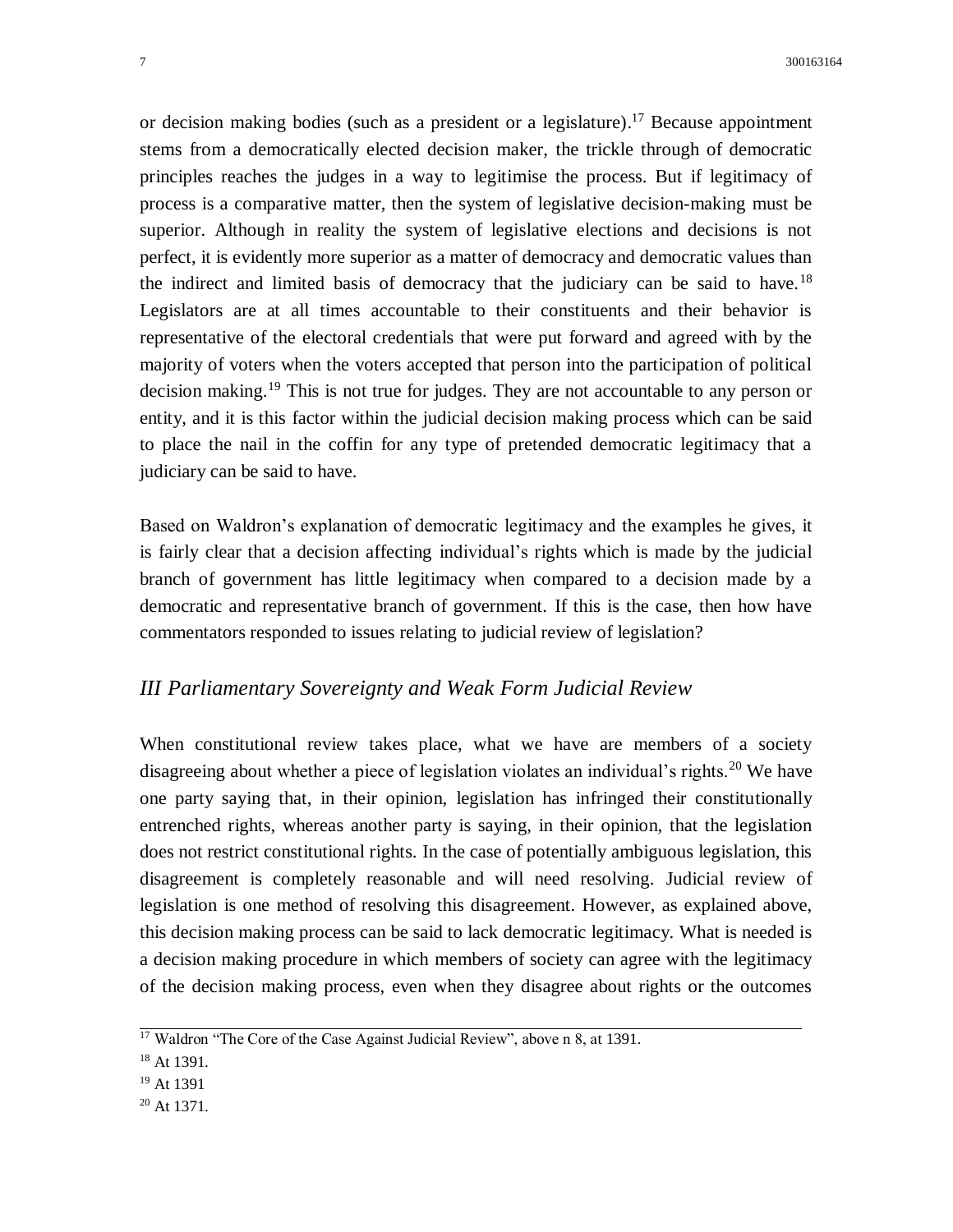or decision making bodies (such as a president or a legislature). <sup>17</sup> Because appointment stems from a democratically elected decision maker, the trickle through of democratic principles reaches the judges in a way to legitimise the process. But if legitimacy of process is a comparative matter, then the system of legislative decision-making must be superior. Although in reality the system of legislative elections and decisions is not perfect, it is evidently more superior as a matter of democracy and democratic values than the indirect and limited basis of democracy that the judiciary can be said to have.<sup>18</sup> Legislators are at all times accountable to their constituents and their behavior is representative of the electoral credentials that were put forward and agreed with by the majority of voters when the voters accepted that person into the participation of political decision making.<sup>19</sup> This is not true for judges. They are not accountable to any person or entity, and it is this factor within the judicial decision making process which can be said to place the nail in the coffin for any type of pretended democratic legitimacy that a judiciary can be said to have.

Based on Waldron's explanation of democratic legitimacy and the examples he gives, it is fairly clear that a decision affecting individual's rights which is made by the judicial branch of government has little legitimacy when compared to a decision made by a democratic and representative branch of government. If this is the case, then how have commentators responded to issues relating to judicial review of legislation?

# *III Parliamentary Sovereignty and Weak Form Judicial Review*

When constitutional review takes place, what we have are members of a society disagreeing about whether a piece of legislation violates an individual's rights.<sup>20</sup> We have one party saying that, in their opinion, legislation has infringed their constitutionally entrenched rights, whereas another party is saying, in their opinion, that the legislation does not restrict constitutional rights. In the case of potentially ambiguous legislation, this disagreement is completely reasonable and will need resolving. Judicial review of legislation is one method of resolving this disagreement. However, as explained above, this decision making process can be said to lack democratic legitimacy. What is needed is a decision making procedure in which members of society can agree with the legitimacy of the decision making process, even when they disagree about rights or the outcomes

 $17$  Waldron "The Core of the Case Against Judicial Review", above n 8, at 1391.

<sup>18</sup> At 1391.

<sup>19</sup> At 1391

 $20$  At 1371.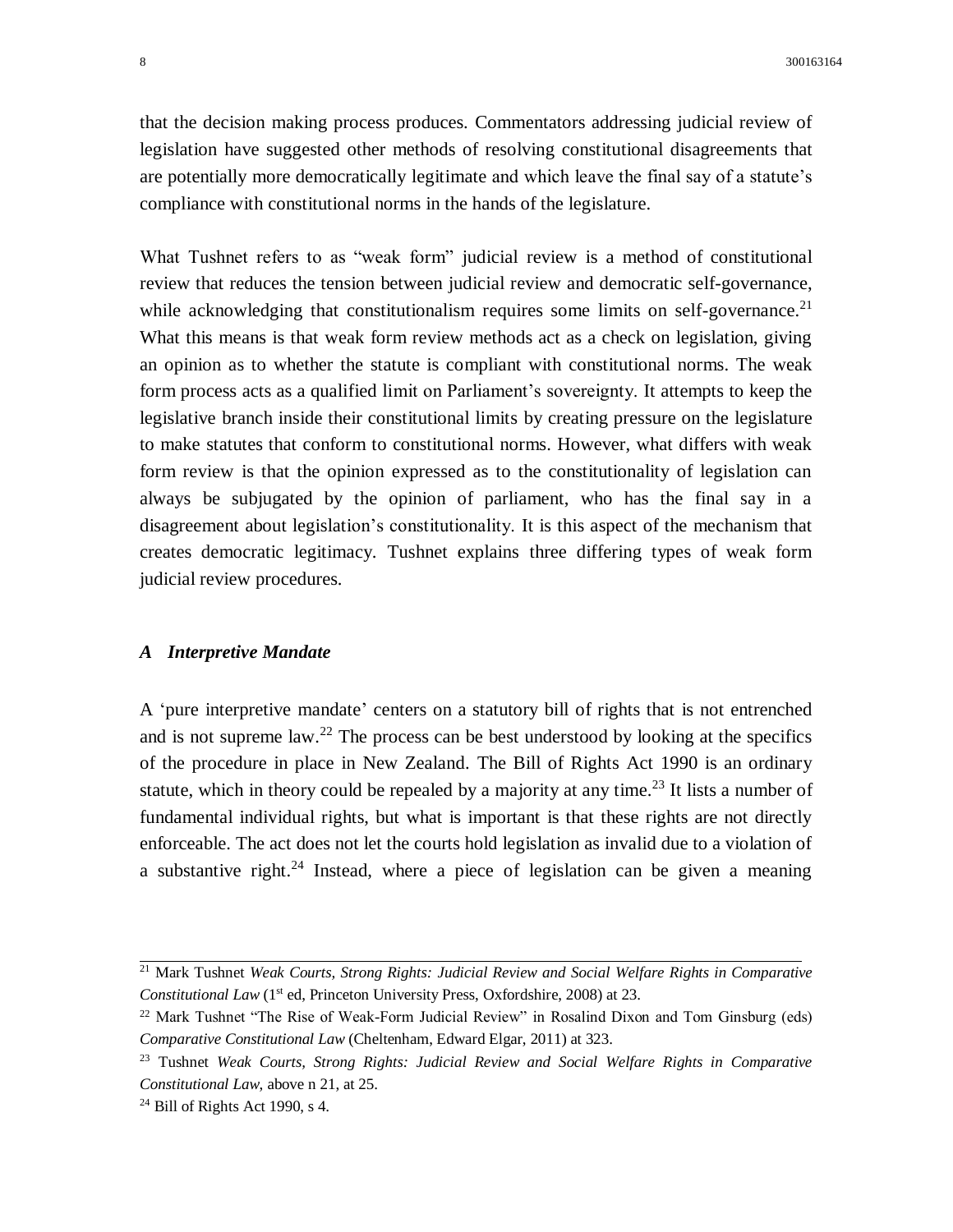that the decision making process produces. Commentators addressing judicial review of legislation have suggested other methods of resolving constitutional disagreements that are potentially more democratically legitimate and which leave the final say of a statute's compliance with constitutional norms in the hands of the legislature.

What Tushnet refers to as "weak form" judicial review is a method of constitutional review that reduces the tension between judicial review and democratic self-governance, while acknowledging that constitutionalism requires some limits on self-governance.<sup>21</sup> What this means is that weak form review methods act as a check on legislation, giving an opinion as to whether the statute is compliant with constitutional norms. The weak form process acts as a qualified limit on Parliament's sovereignty. It attempts to keep the legislative branch inside their constitutional limits by creating pressure on the legislature to make statutes that conform to constitutional norms. However, what differs with weak form review is that the opinion expressed as to the constitutionality of legislation can always be subjugated by the opinion of parliament, who has the final say in a disagreement about legislation's constitutionality. It is this aspect of the mechanism that creates democratic legitimacy. Tushnet explains three differing types of weak form judicial review procedures.

#### *A Interpretive Mandate*

A 'pure interpretive mandate' centers on a statutory bill of rights that is not entrenched and is not supreme law. <sup>22</sup> The process can be best understood by looking at the specifics of the procedure in place in New Zealand. The Bill of Rights Act 1990 is an ordinary statute, which in theory could be repealed by a majority at any time.<sup>23</sup> It lists a number of fundamental individual rights, but what is important is that these rights are not directly enforceable. The act does not let the courts hold legislation as invalid due to a violation of a substantive right.<sup>24</sup> Instead, where a piece of legislation can be given a meaning

<sup>21</sup> Mark Tushnet *Weak Courts, Strong Rights: Judicial Review and Social Welfare Rights in Comparative Constitutional Law* (1<sup>st</sup> ed, Princeton University Press, Oxfordshire, 2008) at 23.

 $22$  Mark Tushnet "The Rise of Weak-Form Judicial Review" in Rosalind Dixon and Tom Ginsburg (eds) *Comparative Constitutional Law* (Cheltenham, Edward Elgar, 2011) at 323.

<sup>23</sup> Tushnet *Weak Courts, Strong Rights: Judicial Review and Social Welfare Rights in Comparative Constitutional Law*, above n 21, at 25.

 $24$  Bill of Rights Act 1990, s 4.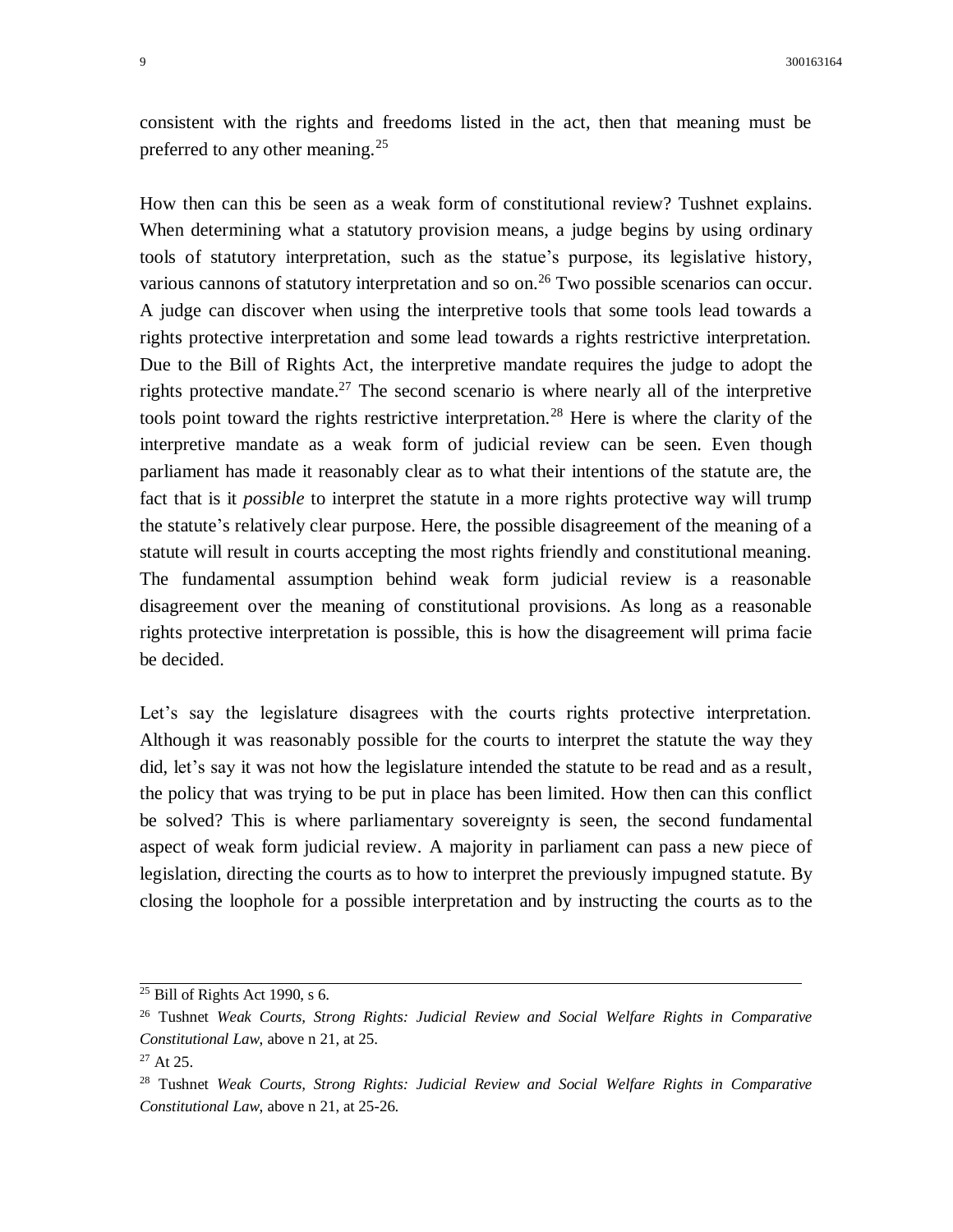consistent with the rights and freedoms listed in the act, then that meaning must be preferred to any other meaning.<sup>25</sup>

How then can this be seen as a weak form of constitutional review? Tushnet explains. When determining what a statutory provision means, a judge begins by using ordinary tools of statutory interpretation, such as the statue's purpose, its legislative history, various cannons of statutory interpretation and so on.<sup>26</sup> Two possible scenarios can occur. A judge can discover when using the interpretive tools that some tools lead towards a rights protective interpretation and some lead towards a rights restrictive interpretation. Due to the Bill of Rights Act, the interpretive mandate requires the judge to adopt the rights protective mandate.<sup>27</sup> The second scenario is where nearly all of the interpretive tools point toward the rights restrictive interpretation.<sup>28</sup> Here is where the clarity of the interpretive mandate as a weak form of judicial review can be seen. Even though parliament has made it reasonably clear as to what their intentions of the statute are, the fact that is it *possible* to interpret the statute in a more rights protective way will trump the statute's relatively clear purpose. Here, the possible disagreement of the meaning of a statute will result in courts accepting the most rights friendly and constitutional meaning. The fundamental assumption behind weak form judicial review is a reasonable disagreement over the meaning of constitutional provisions. As long as a reasonable rights protective interpretation is possible, this is how the disagreement will prima facie be decided.

Let's say the legislature disagrees with the courts rights protective interpretation. Although it was reasonably possible for the courts to interpret the statute the way they did, let's say it was not how the legislature intended the statute to be read and as a result, the policy that was trying to be put in place has been limited. How then can this conflict be solved? This is where parliamentary sovereignty is seen, the second fundamental aspect of weak form judicial review. A majority in parliament can pass a new piece of legislation, directing the courts as to how to interpret the previously impugned statute. By closing the loophole for a possible interpretation and by instructing the courts as to the

 $\frac{25}{25}$  Bill of Rights Act 1990, s 6.

<sup>26</sup> Tushnet *Weak Courts, Strong Rights: Judicial Review and Social Welfare Rights in Comparative Constitutional Law*, above n 21, at 25.

 $27$  At 25.

<sup>28</sup> Tushnet *Weak Courts, Strong Rights: Judicial Review and Social Welfare Rights in Comparative Constitutional Law*, above n 21, at 25-26.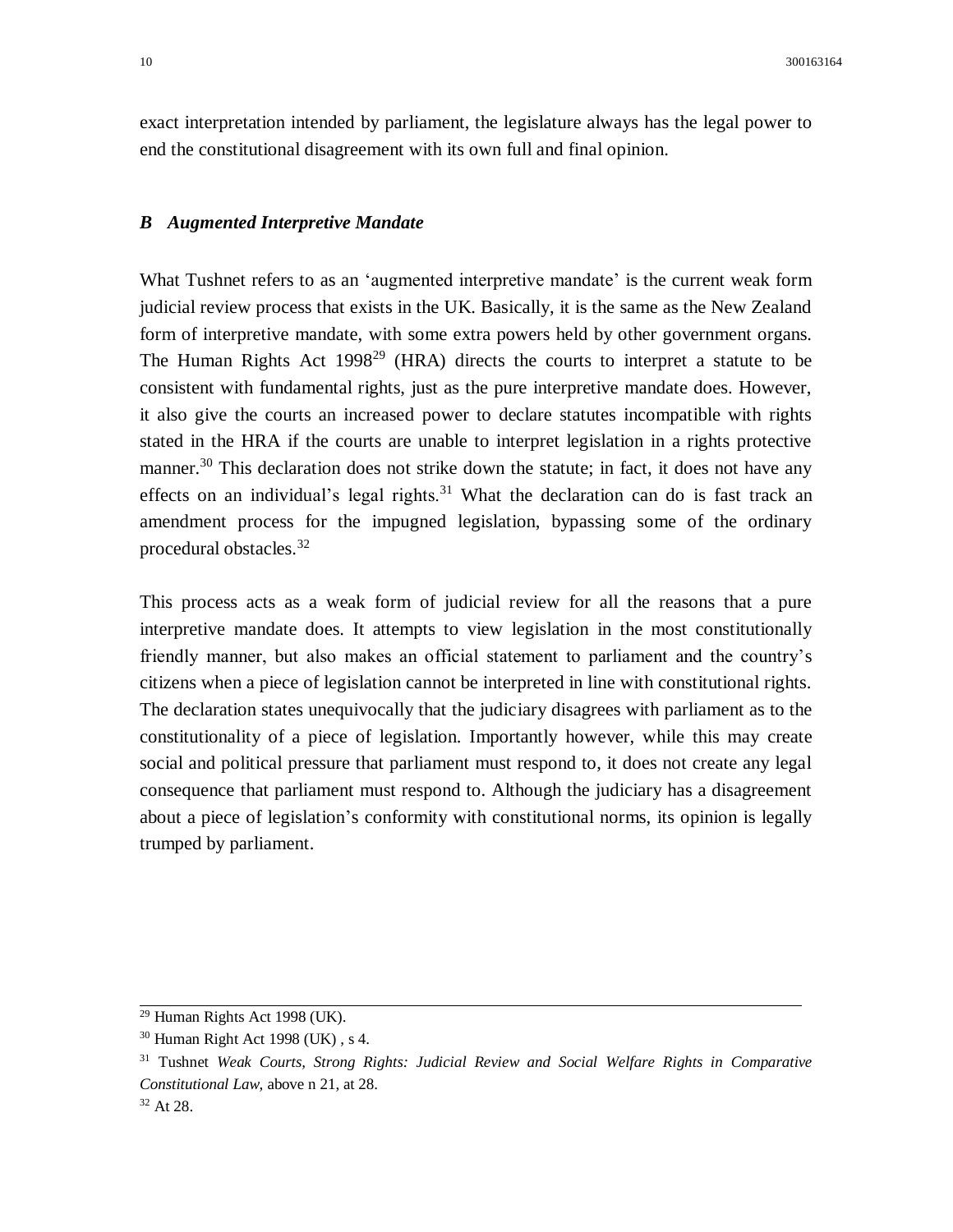exact interpretation intended by parliament, the legislature always has the legal power to end the constitutional disagreement with its own full and final opinion.

### *B Augmented Interpretive Mandate*

What Tushnet refers to as an 'augmented interpretive mandate' is the current weak form judicial review process that exists in the UK. Basically, it is the same as the New Zealand form of interpretive mandate, with some extra powers held by other government organs. The Human Rights Act 1998<sup>29</sup> (HRA) directs the courts to interpret a statute to be consistent with fundamental rights, just as the pure interpretive mandate does. However, it also give the courts an increased power to declare statutes incompatible with rights stated in the HRA if the courts are unable to interpret legislation in a rights protective manner.<sup>30</sup> This declaration does not strike down the statute; in fact, it does not have any effects on an individual's legal rights. $31$  What the declaration can do is fast track an amendment process for the impugned legislation, bypassing some of the ordinary procedural obstacles.<sup>32</sup>

This process acts as a weak form of judicial review for all the reasons that a pure interpretive mandate does. It attempts to view legislation in the most constitutionally friendly manner, but also makes an official statement to parliament and the country's citizens when a piece of legislation cannot be interpreted in line with constitutional rights. The declaration states unequivocally that the judiciary disagrees with parliament as to the constitutionality of a piece of legislation. Importantly however, while this may create social and political pressure that parliament must respond to, it does not create any legal consequence that parliament must respond to. Although the judiciary has a disagreement about a piece of legislation's conformity with constitutional norms, its opinion is legally trumped by parliament.

<sup>29</sup> Human Rights Act 1998 (UK).

<sup>30</sup> Human Right Act 1998 (UK) , s 4.

<sup>31</sup> Tushnet *Weak Courts, Strong Rights: Judicial Review and Social Welfare Rights in Comparative Constitutional Law*, above n 21, at 28.

<sup>32</sup> At 28.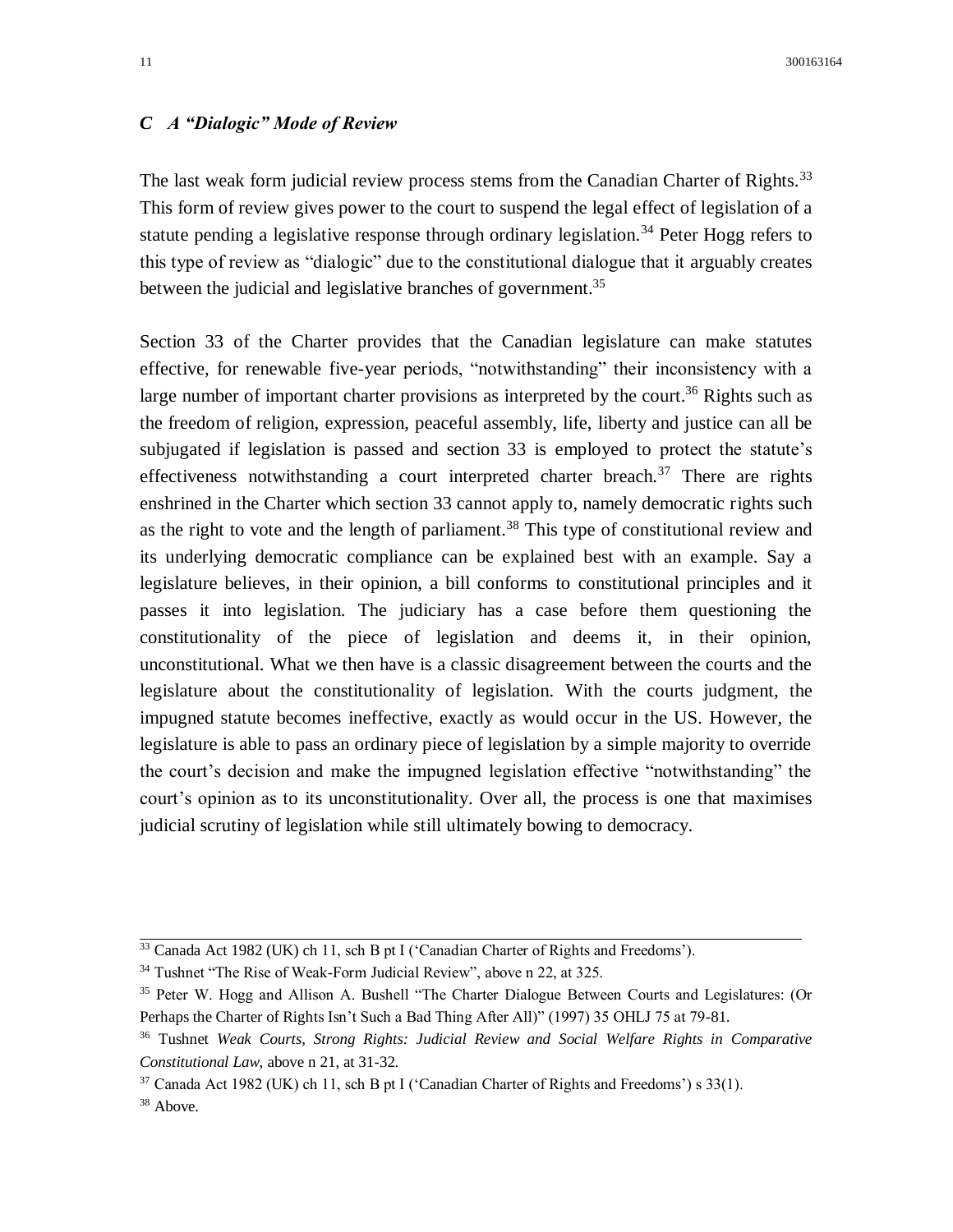# *C A "Dialogic" Mode of Review*

The last weak form judicial review process stems from the Canadian Charter of Rights.<sup>33</sup> This form of review gives power to the court to suspend the legal effect of legislation of a statute pending a legislative response through ordinary legislation.<sup>34</sup> Peter Hogg refers to this type of review as "dialogic" due to the constitutional dialogue that it arguably creates between the judicial and legislative branches of government.<sup>35</sup>

Section 33 of the Charter provides that the Canadian legislature can make statutes effective, for renewable five-year periods, "notwithstanding" their inconsistency with a large number of important charter provisions as interpreted by the court.<sup>36</sup> Rights such as the freedom of religion, expression, peaceful assembly, life, liberty and justice can all be subjugated if legislation is passed and section 33 is employed to protect the statute's effectiveness notwithstanding a court interpreted charter breach.<sup>37</sup> There are rights enshrined in the Charter which section 33 cannot apply to, namely democratic rights such as the right to vote and the length of parliament.<sup>38</sup> This type of constitutional review and its underlying democratic compliance can be explained best with an example. Say a legislature believes, in their opinion, a bill conforms to constitutional principles and it passes it into legislation. The judiciary has a case before them questioning the constitutionality of the piece of legislation and deems it, in their opinion, unconstitutional. What we then have is a classic disagreement between the courts and the legislature about the constitutionality of legislation. With the courts judgment, the impugned statute becomes ineffective, exactly as would occur in the US. However, the legislature is able to pass an ordinary piece of legislation by a simple majority to override the court's decision and make the impugned legislation effective "notwithstanding" the court's opinion as to its unconstitutionality. Over all, the process is one that maximises judicial scrutiny of legislation while still ultimately bowing to democracy.

<sup>33</sup> Canada Act 1982 (UK) ch 11, sch B pt I ('Canadian Charter of Rights and Freedoms').

<sup>&</sup>lt;sup>34</sup> Tushnet "The Rise of Weak-Form Judicial Review", above n 22, at 325.

<sup>35</sup> Peter W. Hogg and Allison A. Bushell "The Charter Dialogue Between Courts and Legislatures: (Or Perhaps the Charter of Rights Isn't Such a Bad Thing After All)" (1997) 35 OHLJ 75 at 79-81.

<sup>36</sup> Tushnet *Weak Courts, Strong Rights: Judicial Review and Social Welfare Rights in Comparative Constitutional Law*, above n 21, at 31-32.

 $37$  Canada Act 1982 (UK) ch 11, sch B pt I ('Canadian Charter of Rights and Freedoms') s 33(1).

<sup>&</sup>lt;sup>38</sup> Above.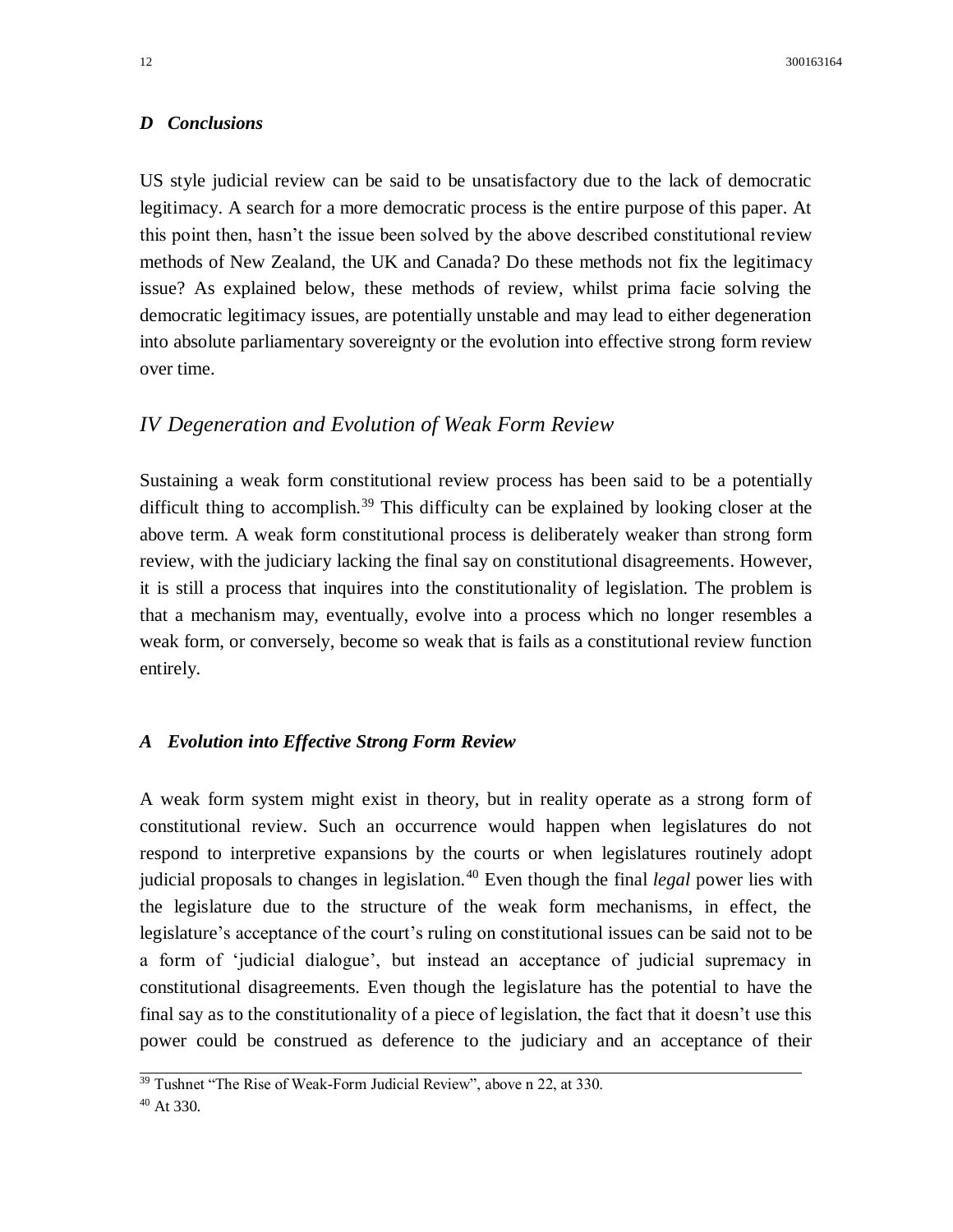## *D Conclusions*

US style judicial review can be said to be unsatisfactory due to the lack of democratic legitimacy. A search for a more democratic process is the entire purpose of this paper. At this point then, hasn't the issue been solved by the above described constitutional review methods of New Zealand, the UK and Canada? Do these methods not fix the legitimacy issue? As explained below, these methods of review, whilst prima facie solving the democratic legitimacy issues, are potentially unstable and may lead to either degeneration into absolute parliamentary sovereignty or the evolution into effective strong form review over time.

# *IV Degeneration and Evolution of Weak Form Review*

Sustaining a weak form constitutional review process has been said to be a potentially difficult thing to accomplish.<sup>39</sup> This difficulty can be explained by looking closer at the above term. A weak form constitutional process is deliberately weaker than strong form review, with the judiciary lacking the final say on constitutional disagreements. However, it is still a process that inquires into the constitutionality of legislation*.* The problem is that a mechanism may, eventually, evolve into a process which no longer resembles a weak form, or conversely, become so weak that is fails as a constitutional review function entirely.

#### *A Evolution into Effective Strong Form Review*

A weak form system might exist in theory, but in reality operate as a strong form of constitutional review. Such an occurrence would happen when legislatures do not respond to interpretive expansions by the courts or when legislatures routinely adopt judicial proposals to changes in legislation.<sup>40</sup> Even though the final *legal* power lies with the legislature due to the structure of the weak form mechanisms, in effect, the legislature's acceptance of the court's ruling on constitutional issues can be said not to be a form of 'judicial dialogue', but instead an acceptance of judicial supremacy in constitutional disagreements. Even though the legislature has the potential to have the final say as to the constitutionality of a piece of legislation, the fact that it doesn't use this power could be construed as deference to the judiciary and an acceptance of their

<sup>&</sup>lt;sup>39</sup> Tushnet "The Rise of Weak-Form Judicial Review", above n 22, at 330.

<sup>40</sup> At 330.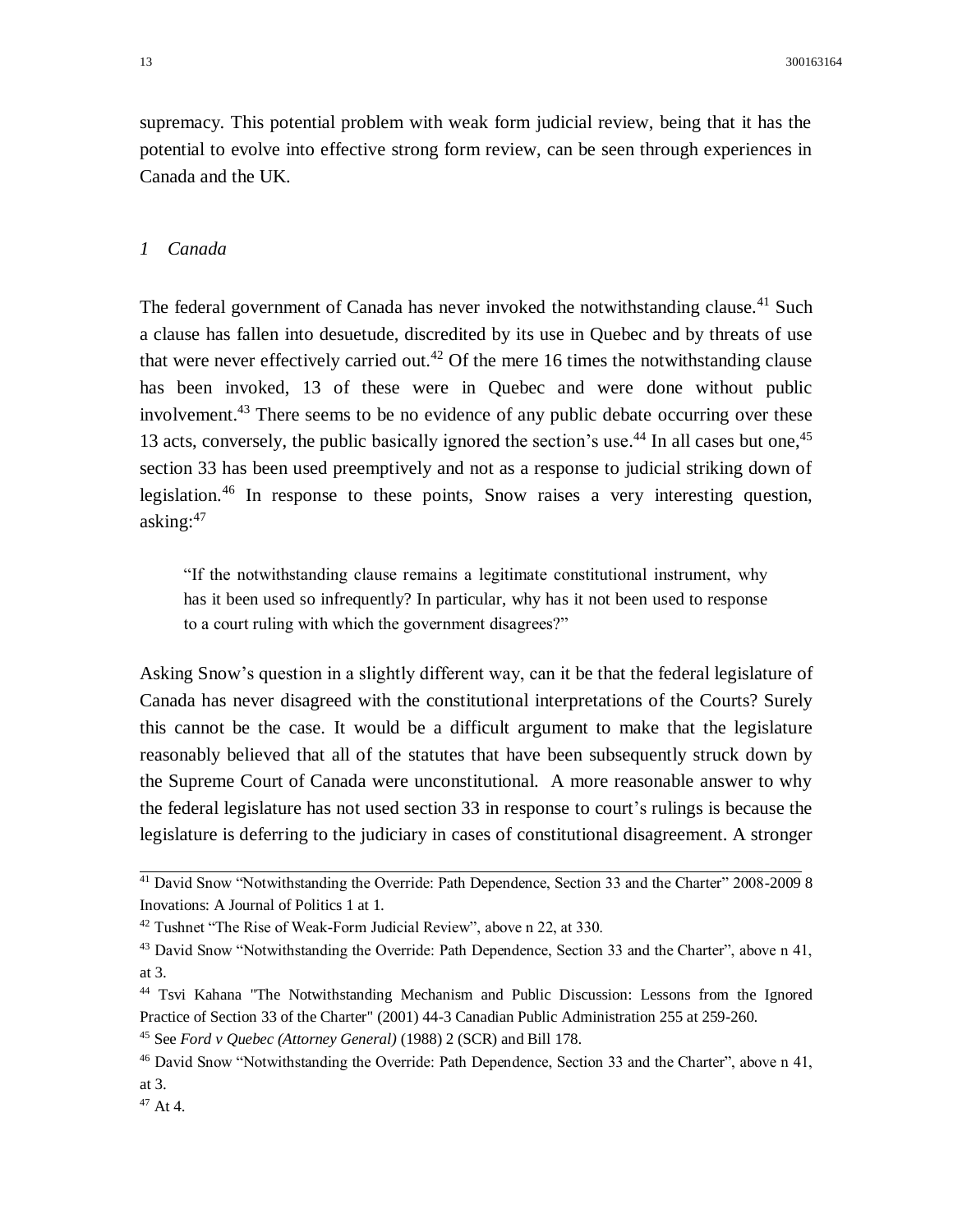supremacy. This potential problem with weak form judicial review, being that it has the potential to evolve into effective strong form review, can be seen through experiences in Canada and the UK.

#### *1 Canada*

The federal government of Canada has never invoked the notwithstanding clause.<sup>41</sup> Such a clause has fallen into desuetude, discredited by its use in Quebec and by threats of use that were never effectively carried out.<sup>42</sup> Of the mere 16 times the notwithstanding clause has been invoked, 13 of these were in Quebec and were done without public involvement.<sup>43</sup> There seems to be no evidence of any public debate occurring over these 13 acts, conversely, the public basically ignored the section's use.<sup>44</sup> In all cases but one,<sup>45</sup> section 33 has been used preemptively and not as a response to judicial striking down of legislation.<sup>46</sup> In response to these points, Snow raises a very interesting question, asking: $47$ 

"If the notwithstanding clause remains a legitimate constitutional instrument, why has it been used so infrequently? In particular, why has it not been used to response to a court ruling with which the government disagrees?"

Asking Snow's question in a slightly different way, can it be that the federal legislature of Canada has never disagreed with the constitutional interpretations of the Courts? Surely this cannot be the case. It would be a difficult argument to make that the legislature reasonably believed that all of the statutes that have been subsequently struck down by the Supreme Court of Canada were unconstitutional. A more reasonable answer to why the federal legislature has not used section 33 in response to court's rulings is because the legislature is deferring to the judiciary in cases of constitutional disagreement. A stronger

<sup>&</sup>lt;sup>41</sup> David Snow "Notwithstanding the Override: Path Dependence, Section 33 and the Charter" 2008-2009 8 Inovations: A Journal of Politics 1 at 1.

<sup>42</sup> Tushnet "The Rise of Weak-Form Judicial Review", above n 22, at 330.

<sup>&</sup>lt;sup>43</sup> David Snow "Notwithstanding the Override: Path Dependence, Section 33 and the Charter", above n 41, at 3.

<sup>44</sup> Tsvi Kahana "The Notwithstanding Mechanism and Public Discussion: Lessons from the Ignored Practice of Section 33 of the Charter" (2001) 44-3 Canadian Public Administration 255 at 259-260.

<sup>45</sup> See *Ford v Quebec (Attorney General)* (1988) 2 (SCR) and Bill 178.

<sup>46</sup> David Snow "Notwithstanding the Override: Path Dependence, Section 33 and the Charter", above n 41, at 3.

 $47$  At 4.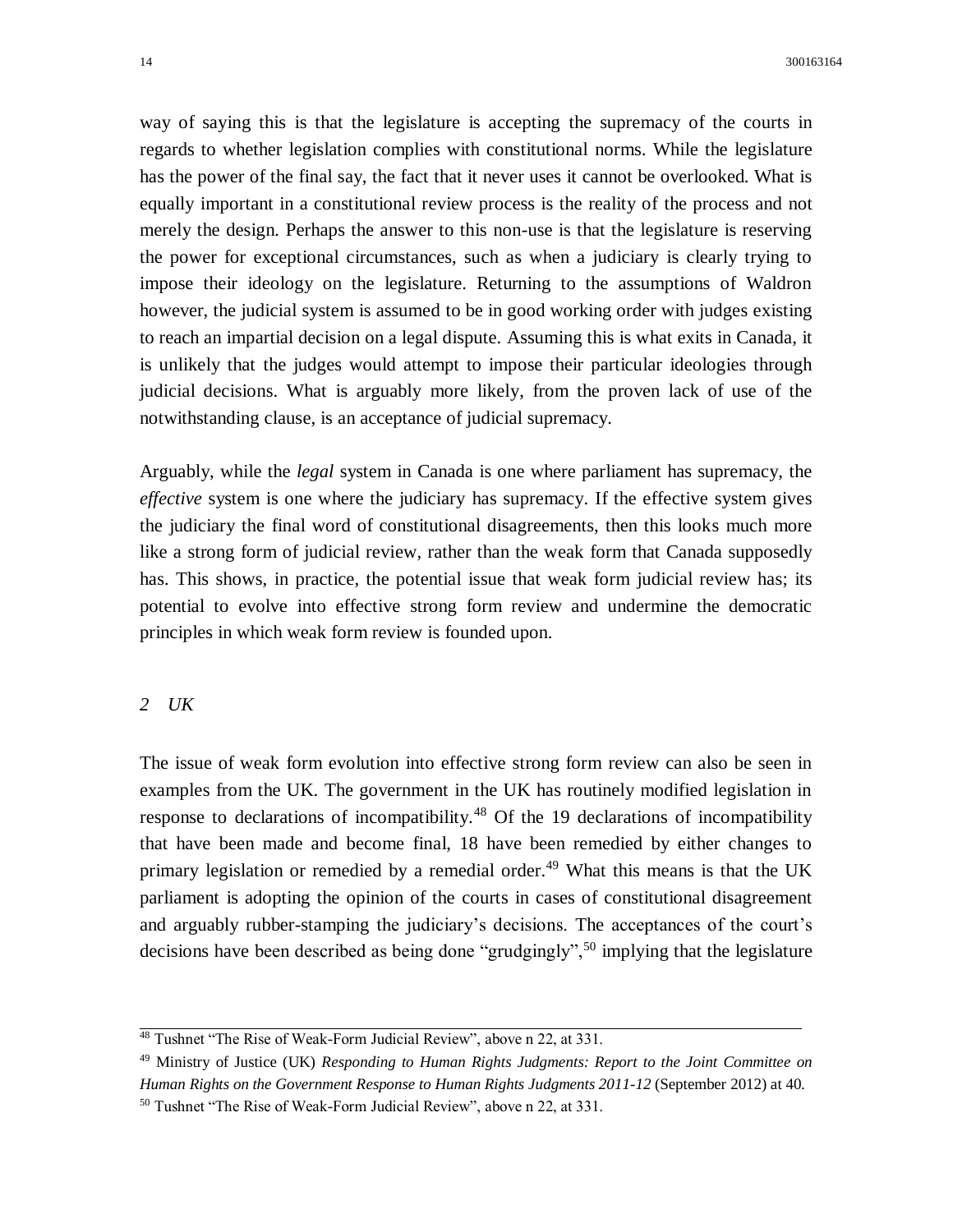way of saying this is that the legislature is accepting the supremacy of the courts in regards to whether legislation complies with constitutional norms. While the legislature has the power of the final say, the fact that it never uses it cannot be overlooked. What is equally important in a constitutional review process is the reality of the process and not merely the design. Perhaps the answer to this non-use is that the legislature is reserving the power for exceptional circumstances, such as when a judiciary is clearly trying to impose their ideology on the legislature. Returning to the assumptions of Waldron however, the judicial system is assumed to be in good working order with judges existing to reach an impartial decision on a legal dispute. Assuming this is what exits in Canada, it is unlikely that the judges would attempt to impose their particular ideologies through judicial decisions. What is arguably more likely, from the proven lack of use of the notwithstanding clause, is an acceptance of judicial supremacy.

Arguably, while the *legal* system in Canada is one where parliament has supremacy, the *effective* system is one where the judiciary has supremacy. If the effective system gives the judiciary the final word of constitutional disagreements, then this looks much more like a strong form of judicial review, rather than the weak form that Canada supposedly has. This shows, in practice, the potential issue that weak form judicial review has; its potential to evolve into effective strong form review and undermine the democratic principles in which weak form review is founded upon.

#### *2 UK*

The issue of weak form evolution into effective strong form review can also be seen in examples from the UK. The government in the UK has routinely modified legislation in response to declarations of incompatibility.<sup>48</sup> Of the 19 declarations of incompatibility that have been made and become final, 18 have been remedied by either changes to primary legislation or remedied by a remedial order.<sup>49</sup> What this means is that the UK parliament is adopting the opinion of the courts in cases of constitutional disagreement and arguably rubber-stamping the judiciary's decisions. The acceptances of the court's decisions have been described as being done "grudgingly",<sup>50</sup> implying that the legislature

<sup>48</sup> Tushnet "The Rise of Weak-Form Judicial Review", above n 22, at 331.

<sup>49</sup> Ministry of Justice (UK) *Responding to Human Rights Judgments: Report to the Joint Committee on Human Rights on the Government Response to Human Rights Judgments 2011-12* (September 2012) at 40. <sup>50</sup> Tushnet "The Rise of Weak-Form Judicial Review", above n 22, at 331.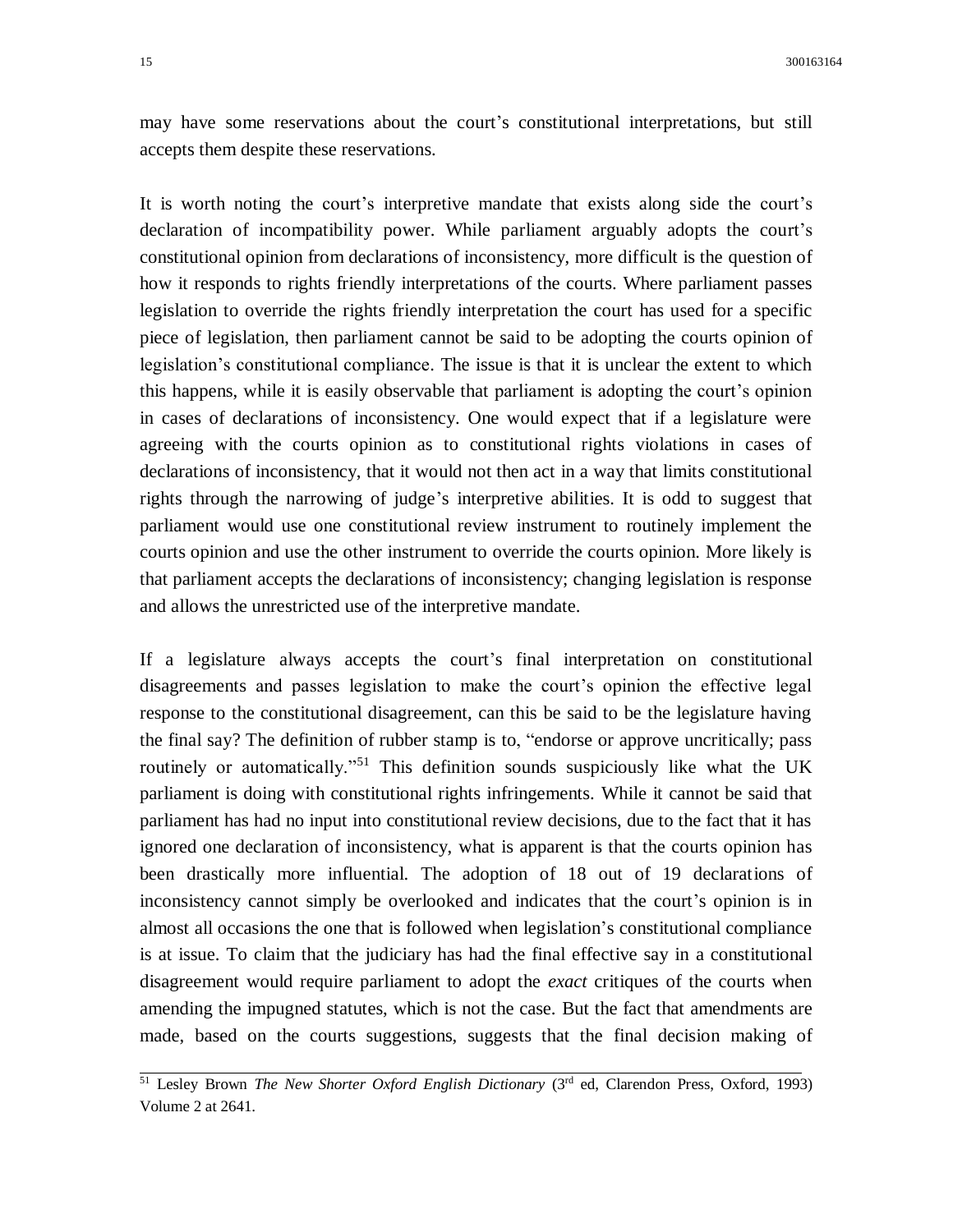may have some reservations about the court's constitutional interpretations, but still accepts them despite these reservations.

It is worth noting the court's interpretive mandate that exists along side the court's declaration of incompatibility power. While parliament arguably adopts the court's constitutional opinion from declarations of inconsistency, more difficult is the question of how it responds to rights friendly interpretations of the courts. Where parliament passes legislation to override the rights friendly interpretation the court has used for a specific piece of legislation, then parliament cannot be said to be adopting the courts opinion of legislation's constitutional compliance. The issue is that it is unclear the extent to which this happens, while it is easily observable that parliament is adopting the court's opinion in cases of declarations of inconsistency. One would expect that if a legislature were agreeing with the courts opinion as to constitutional rights violations in cases of declarations of inconsistency, that it would not then act in a way that limits constitutional rights through the narrowing of judge's interpretive abilities. It is odd to suggest that parliament would use one constitutional review instrument to routinely implement the courts opinion and use the other instrument to override the courts opinion. More likely is that parliament accepts the declarations of inconsistency; changing legislation is response and allows the unrestricted use of the interpretive mandate.

If a legislature always accepts the court's final interpretation on constitutional disagreements and passes legislation to make the court's opinion the effective legal response to the constitutional disagreement, can this be said to be the legislature having the final say? The definition of rubber stamp is to, "endorse or approve uncritically; pass routinely or automatically.<sup>"51</sup> This definition sounds suspiciously like what the UK parliament is doing with constitutional rights infringements. While it cannot be said that parliament has had no input into constitutional review decisions, due to the fact that it has ignored one declaration of inconsistency, what is apparent is that the courts opinion has been drastically more influential. The adoption of 18 out of 19 declarations of inconsistency cannot simply be overlooked and indicates that the court's opinion is in almost all occasions the one that is followed when legislation's constitutional compliance is at issue. To claim that the judiciary has had the final effective say in a constitutional disagreement would require parliament to adopt the *exact* critiques of the courts when amending the impugned statutes, which is not the case. But the fact that amendments are made, based on the courts suggestions, suggests that the final decision making of

<sup>&</sup>lt;sup>51</sup> Lesley Brown *The New Shorter Oxford English Dictionary* (3<sup>rd</sup> ed, Clarendon Press, Oxford, 1993) Volume 2 at 2641.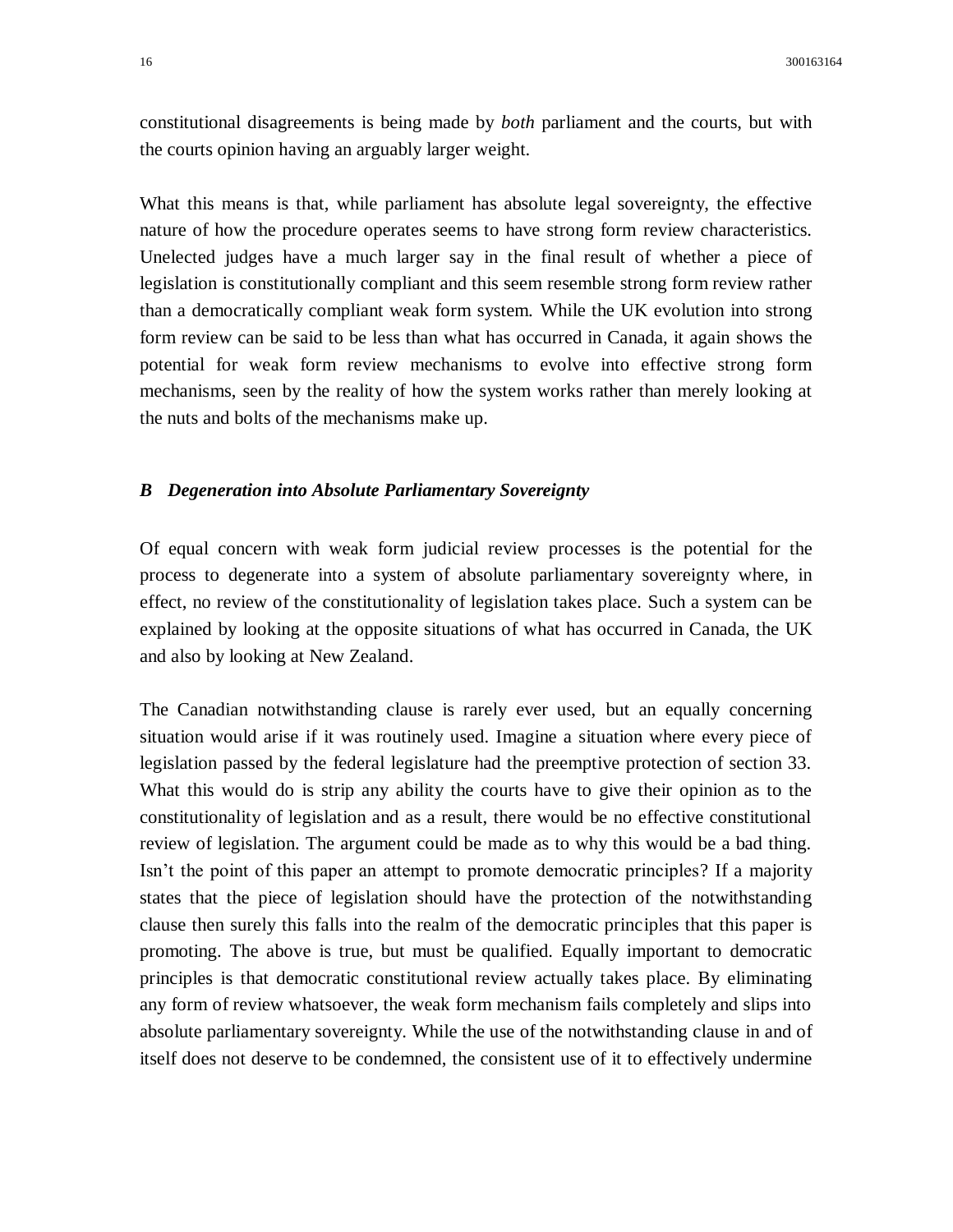constitutional disagreements is being made by *both* parliament and the courts, but with the courts opinion having an arguably larger weight.

What this means is that, while parliament has absolute legal sovereignty, the effective nature of how the procedure operates seems to have strong form review characteristics. Unelected judges have a much larger say in the final result of whether a piece of legislation is constitutionally compliant and this seem resemble strong form review rather than a democratically compliant weak form system. While the UK evolution into strong form review can be said to be less than what has occurred in Canada, it again shows the potential for weak form review mechanisms to evolve into effective strong form mechanisms, seen by the reality of how the system works rather than merely looking at the nuts and bolts of the mechanisms make up.

### *B Degeneration into Absolute Parliamentary Sovereignty*

Of equal concern with weak form judicial review processes is the potential for the process to degenerate into a system of absolute parliamentary sovereignty where, in effect, no review of the constitutionality of legislation takes place. Such a system can be explained by looking at the opposite situations of what has occurred in Canada, the UK and also by looking at New Zealand.

The Canadian notwithstanding clause is rarely ever used, but an equally concerning situation would arise if it was routinely used. Imagine a situation where every piece of legislation passed by the federal legislature had the preemptive protection of section 33. What this would do is strip any ability the courts have to give their opinion as to the constitutionality of legislation and as a result, there would be no effective constitutional review of legislation. The argument could be made as to why this would be a bad thing. Isn't the point of this paper an attempt to promote democratic principles? If a majority states that the piece of legislation should have the protection of the notwithstanding clause then surely this falls into the realm of the democratic principles that this paper is promoting. The above is true, but must be qualified. Equally important to democratic principles is that democratic constitutional review actually takes place. By eliminating any form of review whatsoever, the weak form mechanism fails completely and slips into absolute parliamentary sovereignty. While the use of the notwithstanding clause in and of itself does not deserve to be condemned, the consistent use of it to effectively undermine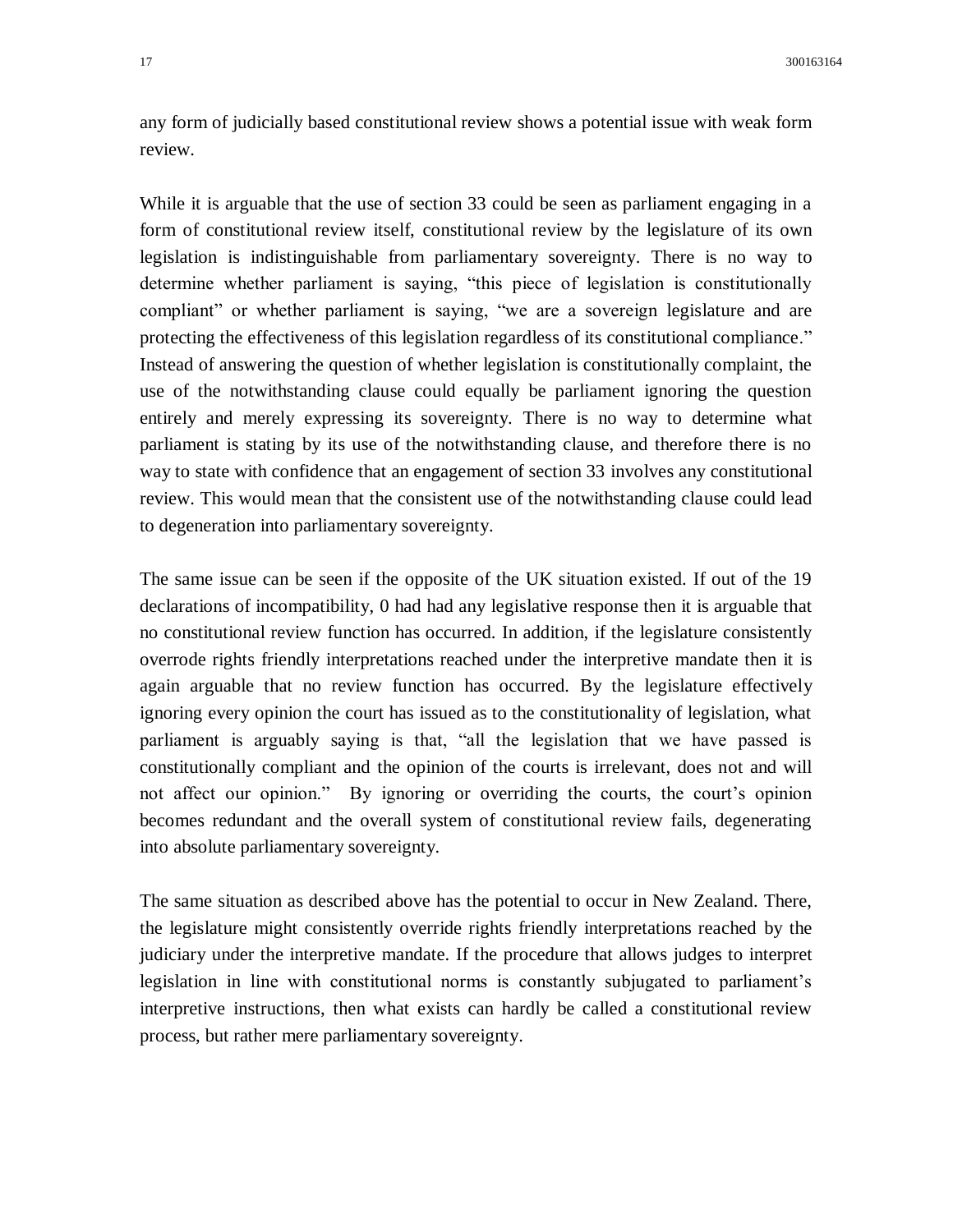any form of judicially based constitutional review shows a potential issue with weak form review.

While it is arguable that the use of section 33 could be seen as parliament engaging in a form of constitutional review itself, constitutional review by the legislature of its own legislation is indistinguishable from parliamentary sovereignty. There is no way to determine whether parliament is saying, "this piece of legislation is constitutionally compliant" or whether parliament is saying, "we are a sovereign legislature and are protecting the effectiveness of this legislation regardless of its constitutional compliance." Instead of answering the question of whether legislation is constitutionally complaint, the use of the notwithstanding clause could equally be parliament ignoring the question entirely and merely expressing its sovereignty. There is no way to determine what parliament is stating by its use of the notwithstanding clause, and therefore there is no way to state with confidence that an engagement of section 33 involves any constitutional review. This would mean that the consistent use of the notwithstanding clause could lead to degeneration into parliamentary sovereignty.

The same issue can be seen if the opposite of the UK situation existed. If out of the 19 declarations of incompatibility, 0 had had any legislative response then it is arguable that no constitutional review function has occurred. In addition, if the legislature consistently overrode rights friendly interpretations reached under the interpretive mandate then it is again arguable that no review function has occurred. By the legislature effectively ignoring every opinion the court has issued as to the constitutionality of legislation, what parliament is arguably saying is that, "all the legislation that we have passed is constitutionally compliant and the opinion of the courts is irrelevant, does not and will not affect our opinion." By ignoring or overriding the courts, the court's opinion becomes redundant and the overall system of constitutional review fails, degenerating into absolute parliamentary sovereignty.

The same situation as described above has the potential to occur in New Zealand. There, the legislature might consistently override rights friendly interpretations reached by the judiciary under the interpretive mandate. If the procedure that allows judges to interpret legislation in line with constitutional norms is constantly subjugated to parliament's interpretive instructions, then what exists can hardly be called a constitutional review process, but rather mere parliamentary sovereignty.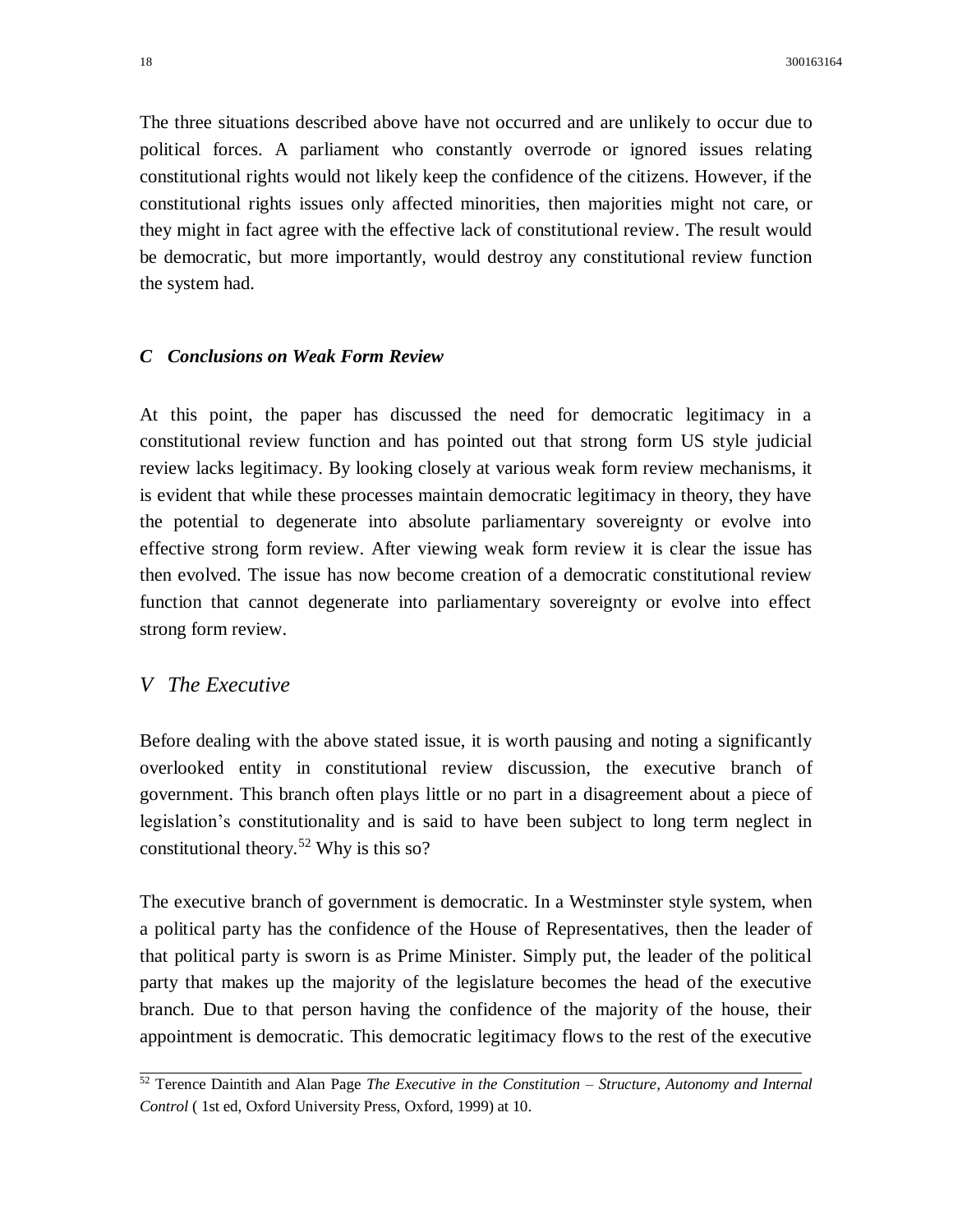The three situations described above have not occurred and are unlikely to occur due to political forces. A parliament who constantly overrode or ignored issues relating constitutional rights would not likely keep the confidence of the citizens. However, if the constitutional rights issues only affected minorities, then majorities might not care, or they might in fact agree with the effective lack of constitutional review. The result would be democratic, but more importantly, would destroy any constitutional review function the system had.

#### *C Conclusions on Weak Form Review*

At this point, the paper has discussed the need for democratic legitimacy in a constitutional review function and has pointed out that strong form US style judicial review lacks legitimacy. By looking closely at various weak form review mechanisms, it is evident that while these processes maintain democratic legitimacy in theory, they have the potential to degenerate into absolute parliamentary sovereignty or evolve into effective strong form review. After viewing weak form review it is clear the issue has then evolved. The issue has now become creation of a democratic constitutional review function that cannot degenerate into parliamentary sovereignty or evolve into effect strong form review.

# *V The Executive*

Before dealing with the above stated issue, it is worth pausing and noting a significantly overlooked entity in constitutional review discussion, the executive branch of government. This branch often plays little or no part in a disagreement about a piece of legislation's constitutionality and is said to have been subject to long term neglect in constitutional theory.<sup>52</sup> Why is this so?

The executive branch of government is democratic. In a Westminster style system, when a political party has the confidence of the House of Representatives, then the leader of that political party is sworn is as Prime Minister. Simply put, the leader of the political party that makes up the majority of the legislature becomes the head of the executive branch. Due to that person having the confidence of the majority of the house, their appointment is democratic. This democratic legitimacy flows to the rest of the executive

<sup>52</sup> Terence Daintith and Alan Page *The Executive in the Constitution – Structure, Autonomy and Internal Control* ( 1st ed, Oxford University Press, Oxford, 1999) at 10.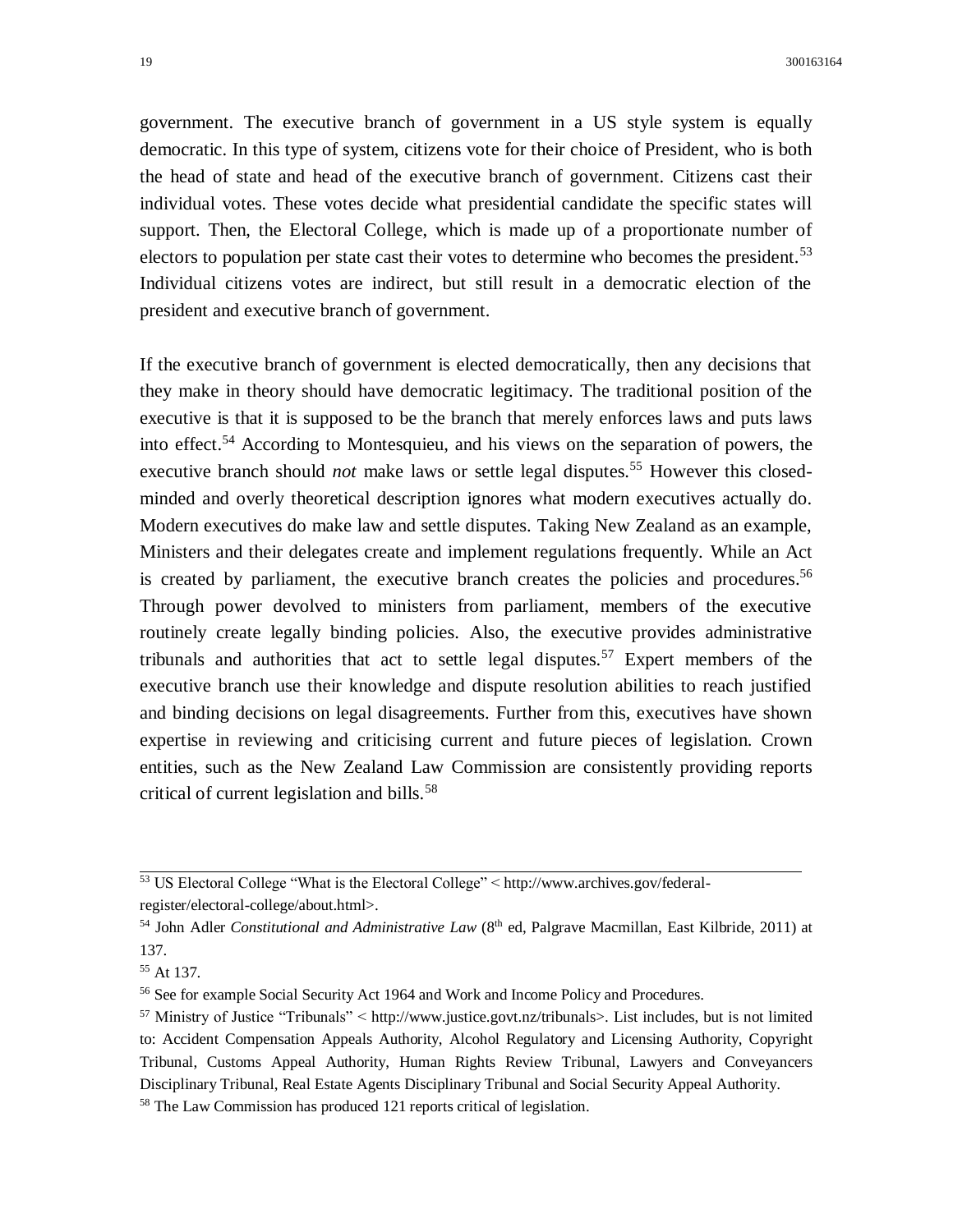government. The executive branch of government in a US style system is equally democratic. In this type of system, citizens vote for their choice of President, who is both the head of state and head of the executive branch of government. Citizens cast their individual votes. These votes decide what presidential candidate the specific states will support. Then, the Electoral College, which is made up of a proportionate number of electors to population per state cast their votes to determine who becomes the president.<sup>53</sup> Individual citizens votes are indirect, but still result in a democratic election of the president and executive branch of government.

If the executive branch of government is elected democratically, then any decisions that they make in theory should have democratic legitimacy. The traditional position of the executive is that it is supposed to be the branch that merely enforces laws and puts laws into effect.<sup>54</sup> According to Montesquieu, and his views on the separation of powers, the executive branch should *not* make laws or settle legal disputes.<sup>55</sup> However this closedminded and overly theoretical description ignores what modern executives actually do. Modern executives do make law and settle disputes. Taking New Zealand as an example, Ministers and their delegates create and implement regulations frequently. While an Act is created by parliament, the executive branch creates the policies and procedures.<sup>56</sup> Through power devolved to ministers from parliament, members of the executive routinely create legally binding policies. Also, the executive provides administrative tribunals and authorities that act to settle legal disputes.<sup>57</sup> Expert members of the executive branch use their knowledge and dispute resolution abilities to reach justified and binding decisions on legal disagreements. Further from this, executives have shown expertise in reviewing and criticising current and future pieces of legislation. Crown entities, such as the New Zealand Law Commission are consistently providing reports critical of current legislation and bills.<sup>58</sup>

<sup>53</sup> US Electoral College "What is the Electoral College" < http://www.archives.gov/federalregister/electoral-college/about.html>.

<sup>&</sup>lt;sup>54</sup> John Adler *Constitutional and Administrative Law* (8<sup>th</sup> ed, Palgrave Macmillan, East Kilbride, 2011) at 137.

<sup>55</sup> At 137.

<sup>56</sup> See for example Social Security Act 1964 and Work and Income Policy and Procedures.

<sup>57</sup> Ministry of Justice "Tribunals" < http://www.justice.govt.nz/tribunals>. List includes, but is not limited to: Accident Compensation Appeals Authority, Alcohol Regulatory and Licensing Authority, Copyright Tribunal, Customs Appeal Authority, Human Rights Review Tribunal, Lawyers and Conveyancers Disciplinary Tribunal, Real Estate Agents Disciplinary Tribunal and Social Security Appeal Authority.

<sup>58</sup> The Law Commission has produced 121 reports critical of legislation.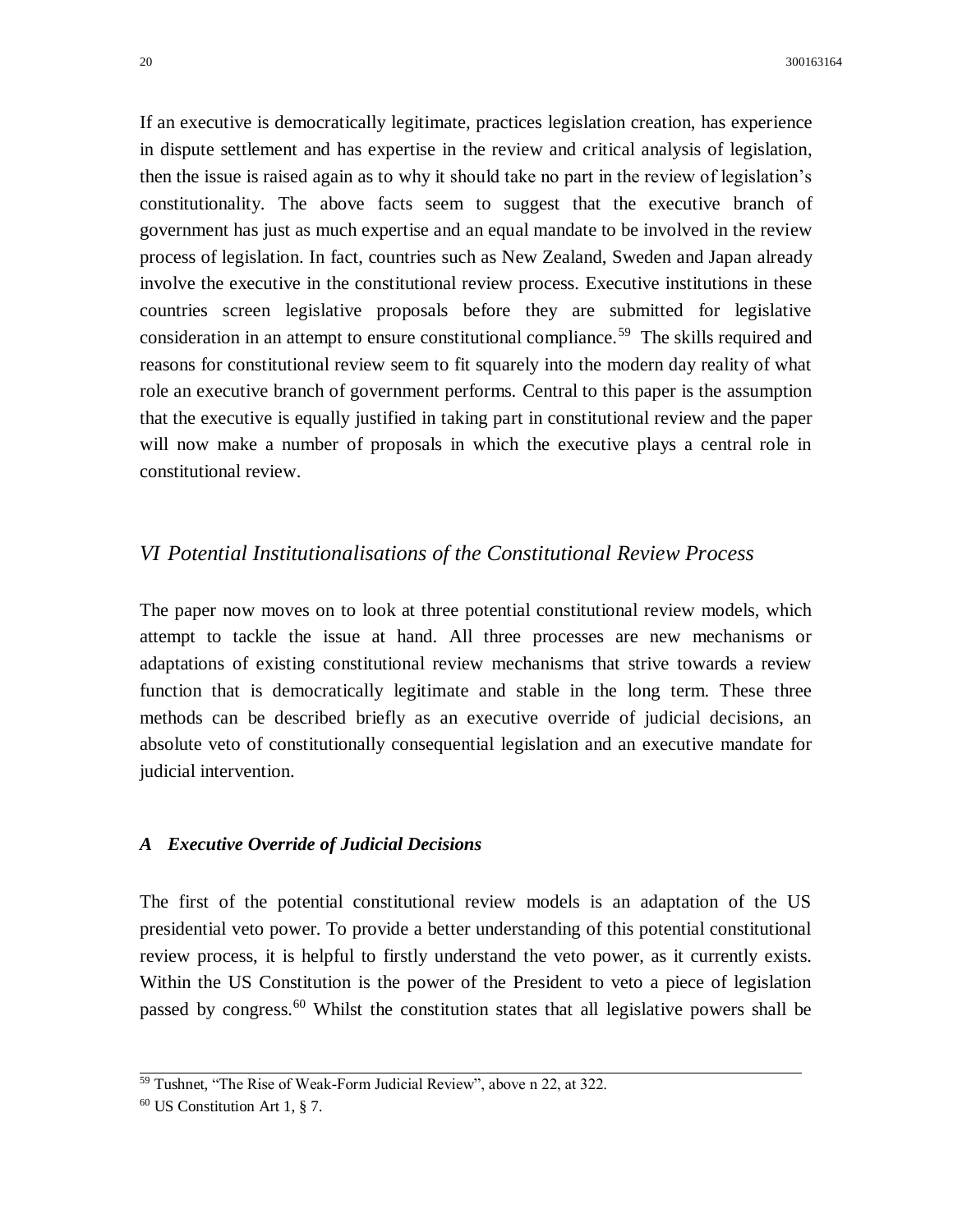If an executive is democratically legitimate, practices legislation creation, has experience in dispute settlement and has expertise in the review and critical analysis of legislation, then the issue is raised again as to why it should take no part in the review of legislation's constitutionality. The above facts seem to suggest that the executive branch of government has just as much expertise and an equal mandate to be involved in the review process of legislation. In fact, countries such as New Zealand, Sweden and Japan already involve the executive in the constitutional review process. Executive institutions in these countries screen legislative proposals before they are submitted for legislative consideration in an attempt to ensure constitutional compliance.<sup>59</sup> The skills required and reasons for constitutional review seem to fit squarely into the modern day reality of what role an executive branch of government performs. Central to this paper is the assumption that the executive is equally justified in taking part in constitutional review and the paper will now make a number of proposals in which the executive plays a central role in constitutional review.

### *VI Potential Institutionalisations of the Constitutional Review Process*

The paper now moves on to look at three potential constitutional review models, which attempt to tackle the issue at hand. All three processes are new mechanisms or adaptations of existing constitutional review mechanisms that strive towards a review function that is democratically legitimate and stable in the long term. These three methods can be described briefly as an executive override of judicial decisions, an absolute veto of constitutionally consequential legislation and an executive mandate for judicial intervention.

#### *A Executive Override of Judicial Decisions*

The first of the potential constitutional review models is an adaptation of the US presidential veto power. To provide a better understanding of this potential constitutional review process, it is helpful to firstly understand the veto power, as it currently exists. Within the US Constitution is the power of the President to veto a piece of legislation passed by congress.<sup>60</sup> Whilst the constitution states that all legislative powers shall be

<sup>&</sup>lt;sup>59</sup> Tushnet, "The Rise of Weak-Form Judicial Review", above n 22, at 322.

<sup>60</sup> US Constitution Art 1, § 7.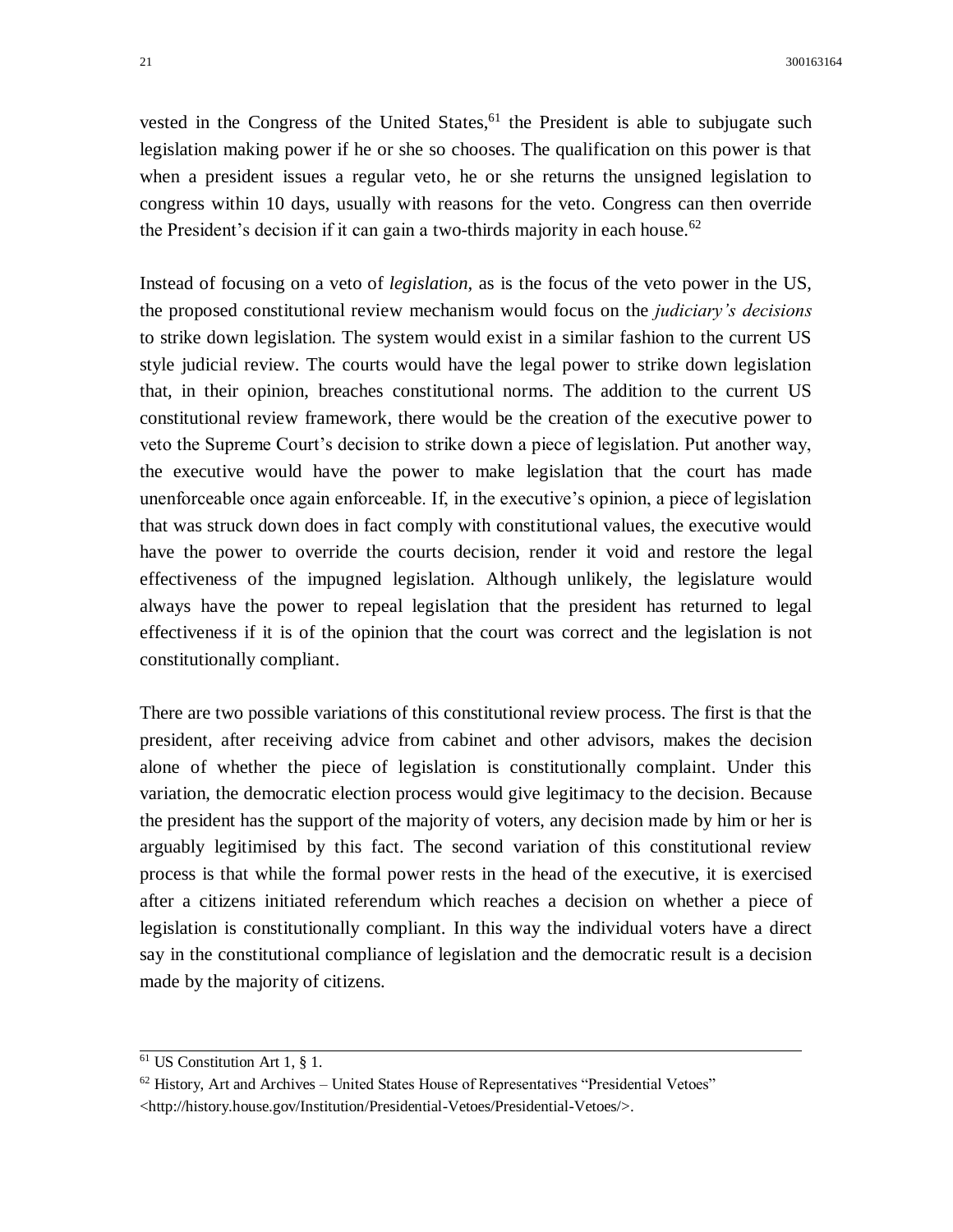vested in the Congress of the United States,  $61$  the President is able to subjugate such legislation making power if he or she so chooses. The qualification on this power is that when a president issues a regular veto, he or she returns the unsigned legislation to congress within 10 days, usually with reasons for the veto. Congress can then override the President's decision if it can gain a two-thirds majority in each house.<sup>62</sup>

Instead of focusing on a veto of *legislation,* as is the focus of the veto power in the US, the proposed constitutional review mechanism would focus on the *judiciary's decisions* to strike down legislation. The system would exist in a similar fashion to the current US style judicial review. The courts would have the legal power to strike down legislation that, in their opinion, breaches constitutional norms. The addition to the current US constitutional review framework, there would be the creation of the executive power to veto the Supreme Court's decision to strike down a piece of legislation. Put another way, the executive would have the power to make legislation that the court has made unenforceable once again enforceable. If, in the executive's opinion, a piece of legislation that was struck down does in fact comply with constitutional values, the executive would have the power to override the courts decision, render it void and restore the legal effectiveness of the impugned legislation. Although unlikely, the legislature would always have the power to repeal legislation that the president has returned to legal effectiveness if it is of the opinion that the court was correct and the legislation is not constitutionally compliant.

There are two possible variations of this constitutional review process. The first is that the president, after receiving advice from cabinet and other advisors, makes the decision alone of whether the piece of legislation is constitutionally complaint. Under this variation, the democratic election process would give legitimacy to the decision. Because the president has the support of the majority of voters, any decision made by him or her is arguably legitimised by this fact. The second variation of this constitutional review process is that while the formal power rests in the head of the executive, it is exercised after a citizens initiated referendum which reaches a decision on whether a piece of legislation is constitutionally compliant. In this way the individual voters have a direct say in the constitutional compliance of legislation and the democratic result is a decision made by the majority of citizens.

 $\frac{61}{61}$  US Constitution Art 1, § 1.

 $62$  History, Art and Archives – United States House of Representatives "Presidential Vetoes" <http://history.house.gov/Institution/Presidential-Vetoes/Presidential-Vetoes/>.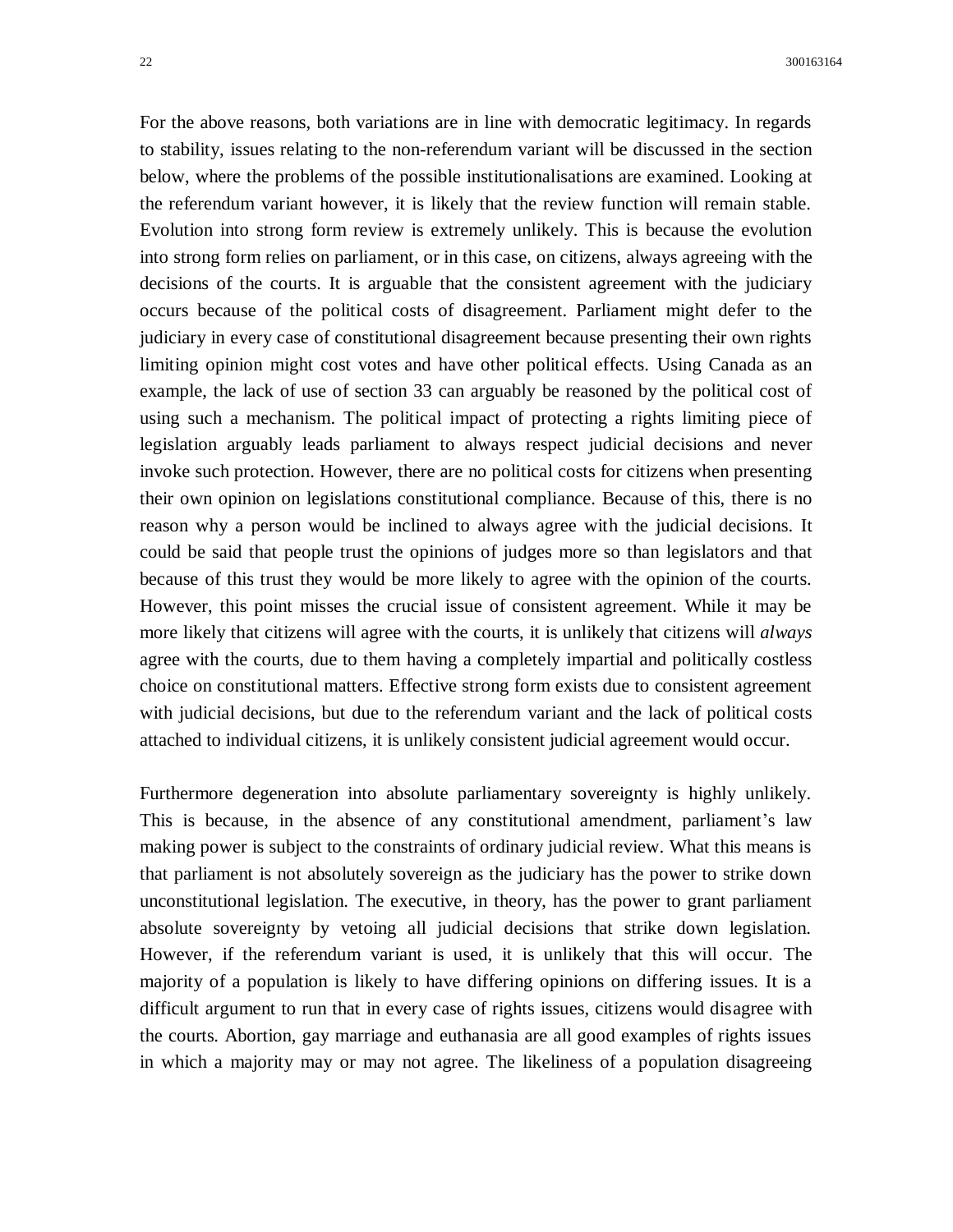For the above reasons, both variations are in line with democratic legitimacy. In regards to stability, issues relating to the non-referendum variant will be discussed in the section below, where the problems of the possible institutionalisations are examined. Looking at the referendum variant however, it is likely that the review function will remain stable. Evolution into strong form review is extremely unlikely. This is because the evolution into strong form relies on parliament, or in this case, on citizens, always agreeing with the decisions of the courts. It is arguable that the consistent agreement with the judiciary occurs because of the political costs of disagreement. Parliament might defer to the judiciary in every case of constitutional disagreement because presenting their own rights limiting opinion might cost votes and have other political effects. Using Canada as an example, the lack of use of section 33 can arguably be reasoned by the political cost of using such a mechanism. The political impact of protecting a rights limiting piece of legislation arguably leads parliament to always respect judicial decisions and never invoke such protection. However, there are no political costs for citizens when presenting their own opinion on legislations constitutional compliance. Because of this, there is no reason why a person would be inclined to always agree with the judicial decisions. It could be said that people trust the opinions of judges more so than legislators and that because of this trust they would be more likely to agree with the opinion of the courts. However, this point misses the crucial issue of consistent agreement. While it may be more likely that citizens will agree with the courts, it is unlikely that citizens will *always* agree with the courts, due to them having a completely impartial and politically costless choice on constitutional matters. Effective strong form exists due to consistent agreement with judicial decisions, but due to the referendum variant and the lack of political costs attached to individual citizens, it is unlikely consistent judicial agreement would occur.

Furthermore degeneration into absolute parliamentary sovereignty is highly unlikely. This is because, in the absence of any constitutional amendment, parliament's law making power is subject to the constraints of ordinary judicial review. What this means is that parliament is not absolutely sovereign as the judiciary has the power to strike down unconstitutional legislation. The executive, in theory, has the power to grant parliament absolute sovereignty by vetoing all judicial decisions that strike down legislation. However, if the referendum variant is used, it is unlikely that this will occur. The majority of a population is likely to have differing opinions on differing issues. It is a difficult argument to run that in every case of rights issues, citizens would disagree with the courts. Abortion, gay marriage and euthanasia are all good examples of rights issues in which a majority may or may not agree. The likeliness of a population disagreeing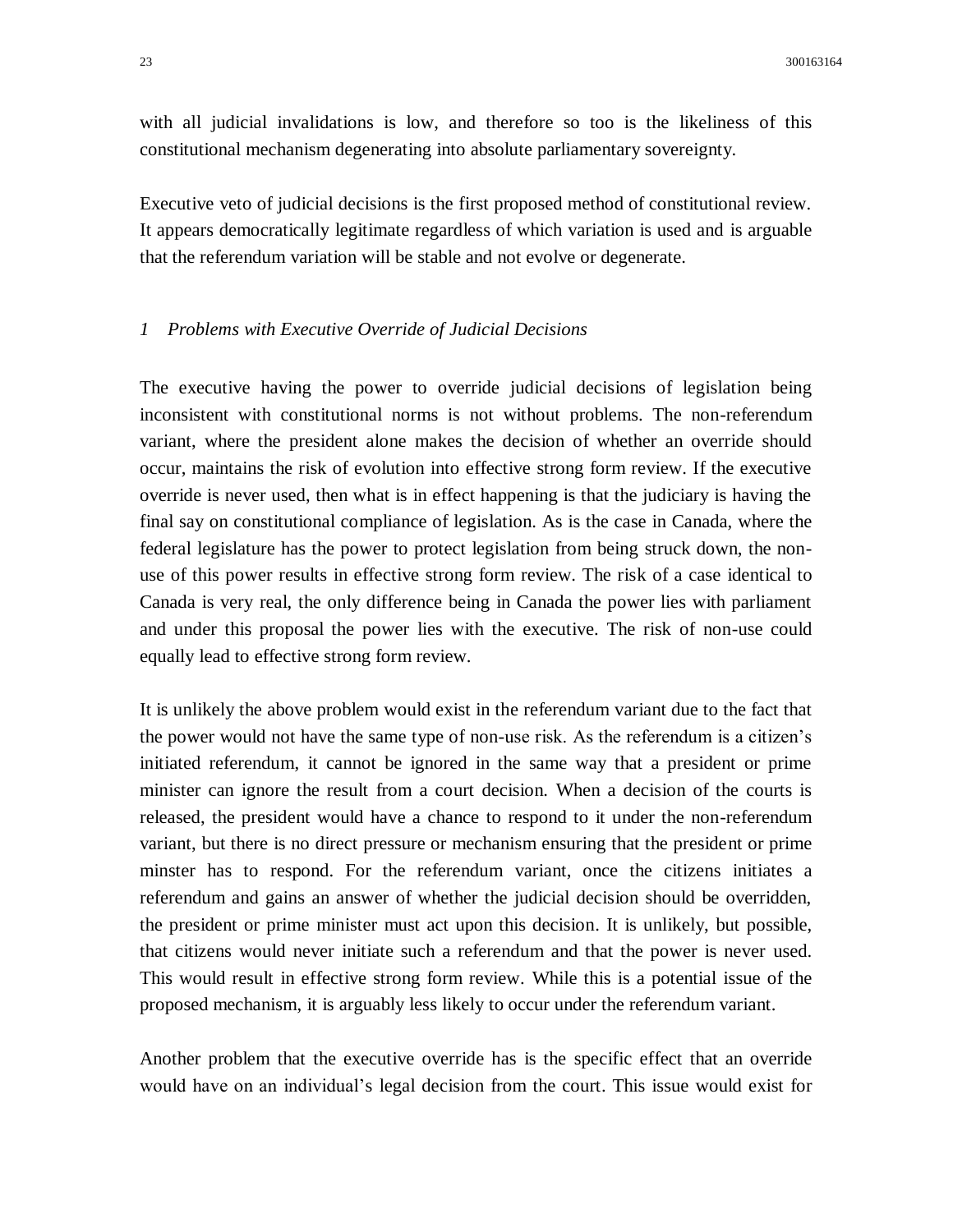with all judicial invalidations is low, and therefore so too is the likeliness of this constitutional mechanism degenerating into absolute parliamentary sovereignty.

Executive veto of judicial decisions is the first proposed method of constitutional review. It appears democratically legitimate regardless of which variation is used and is arguable that the referendum variation will be stable and not evolve or degenerate.

#### *1 Problems with Executive Override of Judicial Decisions*

The executive having the power to override judicial decisions of legislation being inconsistent with constitutional norms is not without problems. The non-referendum variant, where the president alone makes the decision of whether an override should occur, maintains the risk of evolution into effective strong form review. If the executive override is never used, then what is in effect happening is that the judiciary is having the final say on constitutional compliance of legislation. As is the case in Canada, where the federal legislature has the power to protect legislation from being struck down, the nonuse of this power results in effective strong form review. The risk of a case identical to Canada is very real, the only difference being in Canada the power lies with parliament and under this proposal the power lies with the executive. The risk of non-use could equally lead to effective strong form review.

It is unlikely the above problem would exist in the referendum variant due to the fact that the power would not have the same type of non-use risk. As the referendum is a citizen's initiated referendum, it cannot be ignored in the same way that a president or prime minister can ignore the result from a court decision. When a decision of the courts is released, the president would have a chance to respond to it under the non-referendum variant, but there is no direct pressure or mechanism ensuring that the president or prime minster has to respond. For the referendum variant, once the citizens initiates a referendum and gains an answer of whether the judicial decision should be overridden, the president or prime minister must act upon this decision. It is unlikely, but possible, that citizens would never initiate such a referendum and that the power is never used. This would result in effective strong form review. While this is a potential issue of the proposed mechanism, it is arguably less likely to occur under the referendum variant.

Another problem that the executive override has is the specific effect that an override would have on an individual's legal decision from the court. This issue would exist for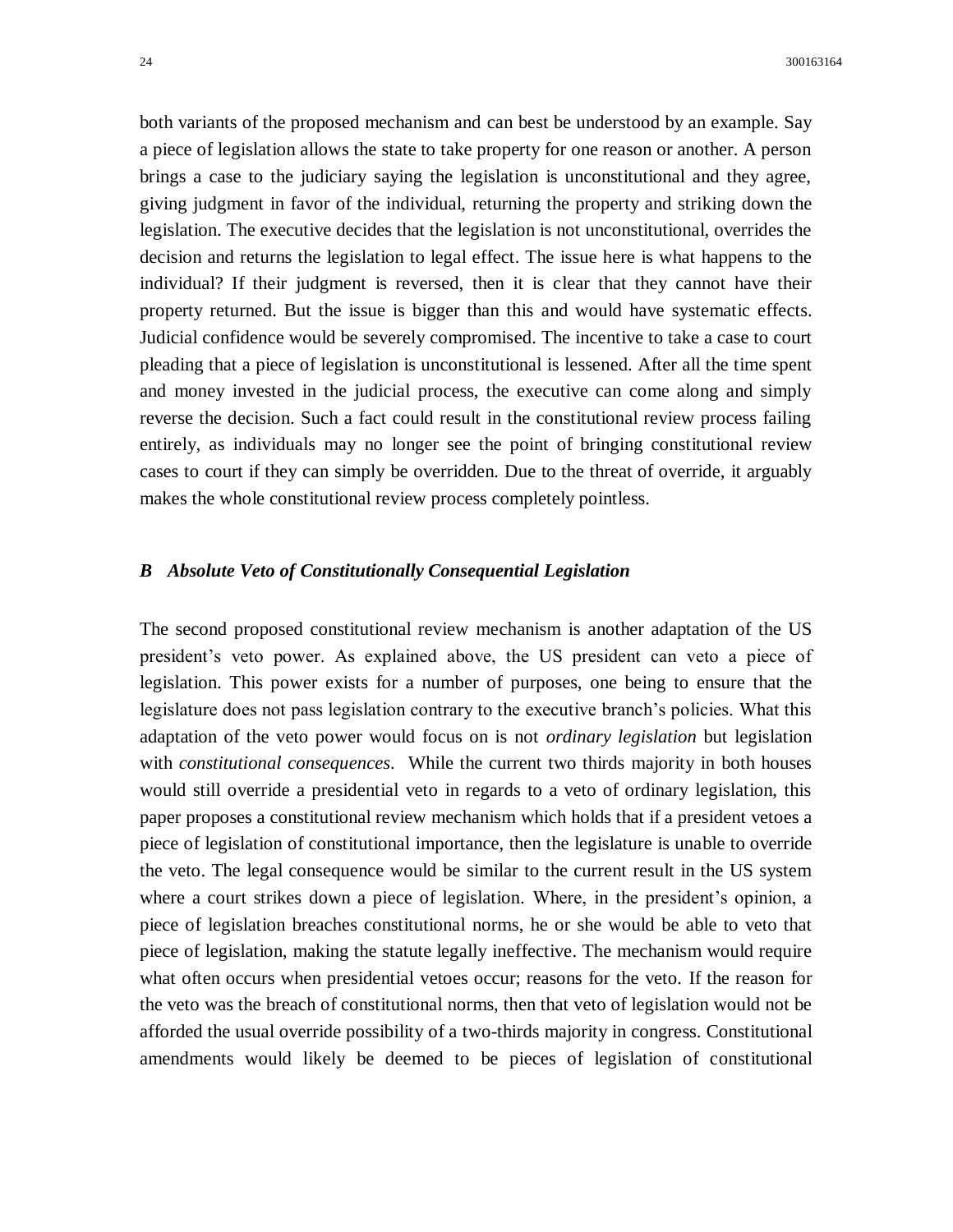both variants of the proposed mechanism and can best be understood by an example. Say a piece of legislation allows the state to take property for one reason or another. A person brings a case to the judiciary saying the legislation is unconstitutional and they agree, giving judgment in favor of the individual, returning the property and striking down the legislation. The executive decides that the legislation is not unconstitutional, overrides the decision and returns the legislation to legal effect. The issue here is what happens to the individual? If their judgment is reversed, then it is clear that they cannot have their property returned. But the issue is bigger than this and would have systematic effects. Judicial confidence would be severely compromised. The incentive to take a case to court pleading that a piece of legislation is unconstitutional is lessened. After all the time spent and money invested in the judicial process, the executive can come along and simply reverse the decision. Such a fact could result in the constitutional review process failing entirely, as individuals may no longer see the point of bringing constitutional review cases to court if they can simply be overridden. Due to the threat of override, it arguably makes the whole constitutional review process completely pointless.

#### *B Absolute Veto of Constitutionally Consequential Legislation*

The second proposed constitutional review mechanism is another adaptation of the US president's veto power. As explained above, the US president can veto a piece of legislation. This power exists for a number of purposes, one being to ensure that the legislature does not pass legislation contrary to the executive branch's policies. What this adaptation of the veto power would focus on is not *ordinary legislation* but legislation with *constitutional consequences*. While the current two thirds majority in both houses would still override a presidential veto in regards to a veto of ordinary legislation, this paper proposes a constitutional review mechanism which holds that if a president vetoes a piece of legislation of constitutional importance, then the legislature is unable to override the veto. The legal consequence would be similar to the current result in the US system where a court strikes down a piece of legislation. Where, in the president's opinion, a piece of legislation breaches constitutional norms, he or she would be able to veto that piece of legislation, making the statute legally ineffective. The mechanism would require what often occurs when presidential vetoes occur; reasons for the veto. If the reason for the veto was the breach of constitutional norms, then that veto of legislation would not be afforded the usual override possibility of a two-thirds majority in congress. Constitutional amendments would likely be deemed to be pieces of legislation of constitutional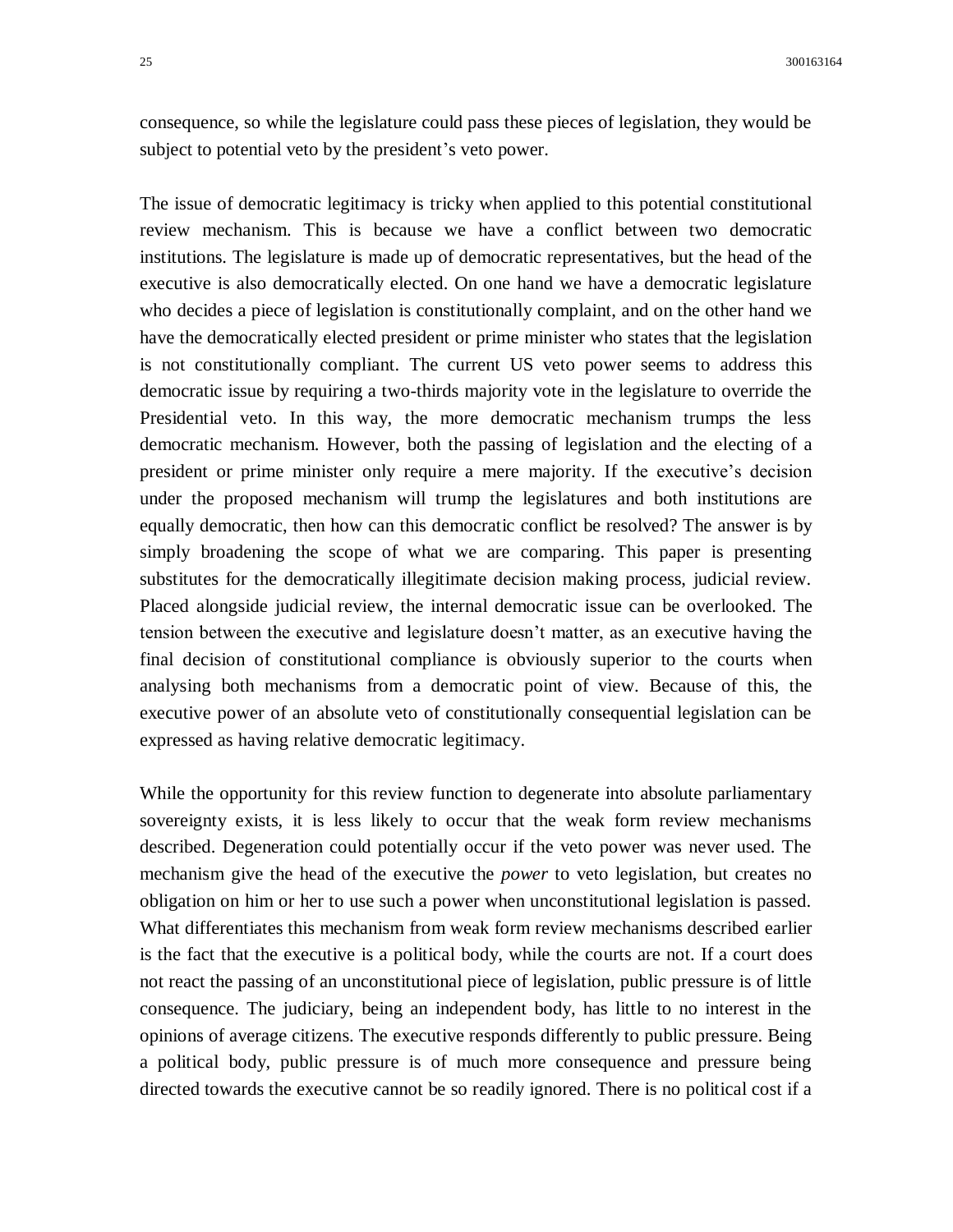consequence, so while the legislature could pass these pieces of legislation, they would be subject to potential veto by the president's veto power.

The issue of democratic legitimacy is tricky when applied to this potential constitutional review mechanism. This is because we have a conflict between two democratic institutions. The legislature is made up of democratic representatives, but the head of the executive is also democratically elected. On one hand we have a democratic legislature who decides a piece of legislation is constitutionally complaint, and on the other hand we have the democratically elected president or prime minister who states that the legislation is not constitutionally compliant. The current US veto power seems to address this democratic issue by requiring a two-thirds majority vote in the legislature to override the Presidential veto. In this way, the more democratic mechanism trumps the less democratic mechanism. However, both the passing of legislation and the electing of a president or prime minister only require a mere majority. If the executive's decision under the proposed mechanism will trump the legislatures and both institutions are equally democratic, then how can this democratic conflict be resolved? The answer is by simply broadening the scope of what we are comparing. This paper is presenting substitutes for the democratically illegitimate decision making process, judicial review. Placed alongside judicial review, the internal democratic issue can be overlooked. The tension between the executive and legislature doesn't matter, as an executive having the final decision of constitutional compliance is obviously superior to the courts when analysing both mechanisms from a democratic point of view. Because of this, the executive power of an absolute veto of constitutionally consequential legislation can be expressed as having relative democratic legitimacy.

While the opportunity for this review function to degenerate into absolute parliamentary sovereignty exists, it is less likely to occur that the weak form review mechanisms described. Degeneration could potentially occur if the veto power was never used. The mechanism give the head of the executive the *power* to veto legislation, but creates no obligation on him or her to use such a power when unconstitutional legislation is passed. What differentiates this mechanism from weak form review mechanisms described earlier is the fact that the executive is a political body, while the courts are not. If a court does not react the passing of an unconstitutional piece of legislation, public pressure is of little consequence. The judiciary, being an independent body, has little to no interest in the opinions of average citizens. The executive responds differently to public pressure. Being a political body, public pressure is of much more consequence and pressure being directed towards the executive cannot be so readily ignored. There is no political cost if a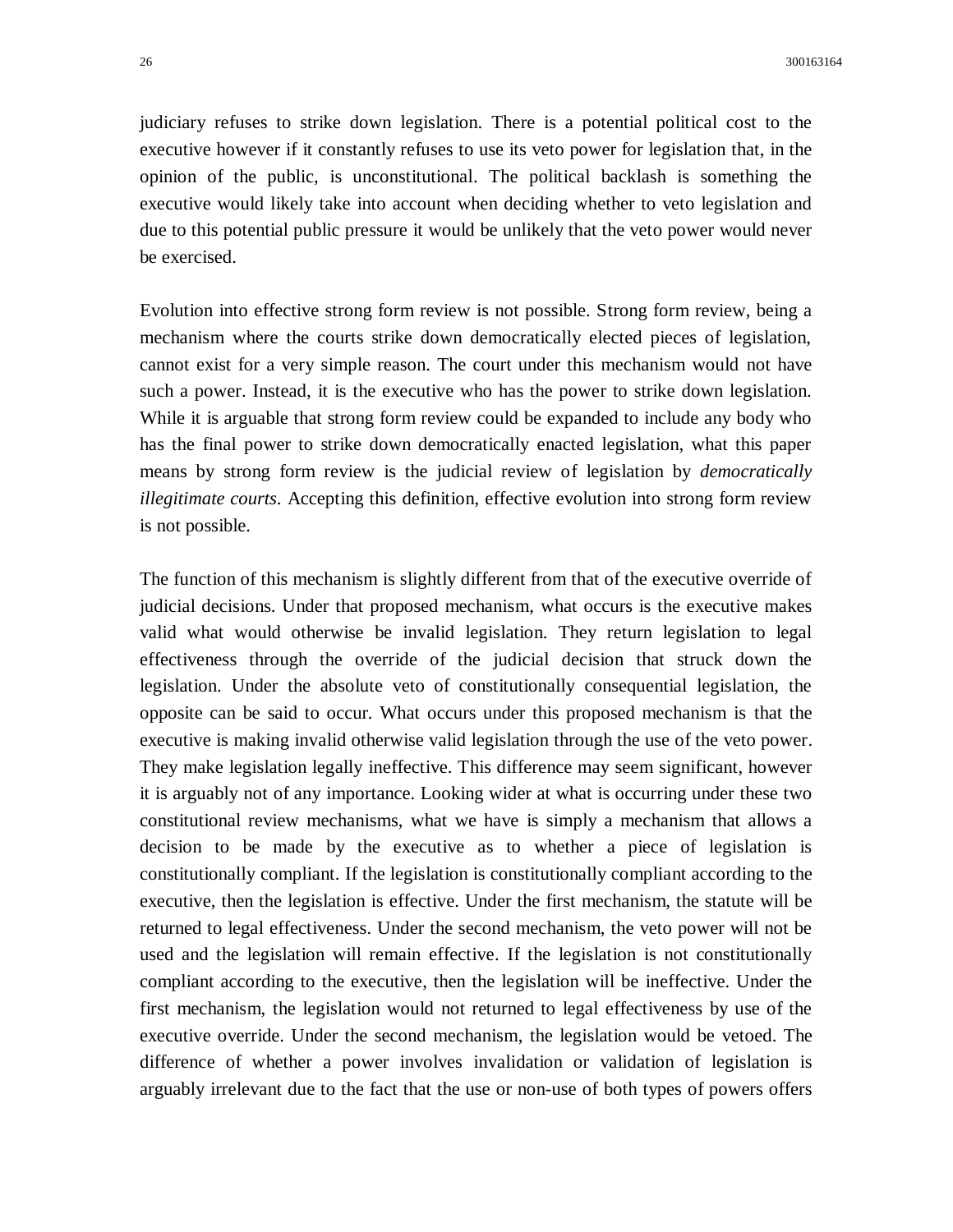judiciary refuses to strike down legislation. There is a potential political cost to the executive however if it constantly refuses to use its veto power for legislation that, in the opinion of the public, is unconstitutional. The political backlash is something the executive would likely take into account when deciding whether to veto legislation and due to this potential public pressure it would be unlikely that the veto power would never be exercised.

Evolution into effective strong form review is not possible. Strong form review, being a mechanism where the courts strike down democratically elected pieces of legislation, cannot exist for a very simple reason. The court under this mechanism would not have such a power. Instead, it is the executive who has the power to strike down legislation. While it is arguable that strong form review could be expanded to include any body who has the final power to strike down democratically enacted legislation, what this paper means by strong form review is the judicial review of legislation by *democratically illegitimate courts*. Accepting this definition, effective evolution into strong form review is not possible.

The function of this mechanism is slightly different from that of the executive override of judicial decisions. Under that proposed mechanism, what occurs is the executive makes valid what would otherwise be invalid legislation. They return legislation to legal effectiveness through the override of the judicial decision that struck down the legislation. Under the absolute veto of constitutionally consequential legislation, the opposite can be said to occur. What occurs under this proposed mechanism is that the executive is making invalid otherwise valid legislation through the use of the veto power. They make legislation legally ineffective. This difference may seem significant, however it is arguably not of any importance. Looking wider at what is occurring under these two constitutional review mechanisms, what we have is simply a mechanism that allows a decision to be made by the executive as to whether a piece of legislation is constitutionally compliant. If the legislation is constitutionally compliant according to the executive, then the legislation is effective. Under the first mechanism, the statute will be returned to legal effectiveness. Under the second mechanism, the veto power will not be used and the legislation will remain effective. If the legislation is not constitutionally compliant according to the executive, then the legislation will be ineffective. Under the first mechanism, the legislation would not returned to legal effectiveness by use of the executive override. Under the second mechanism, the legislation would be vetoed. The difference of whether a power involves invalidation or validation of legislation is arguably irrelevant due to the fact that the use or non-use of both types of powers offers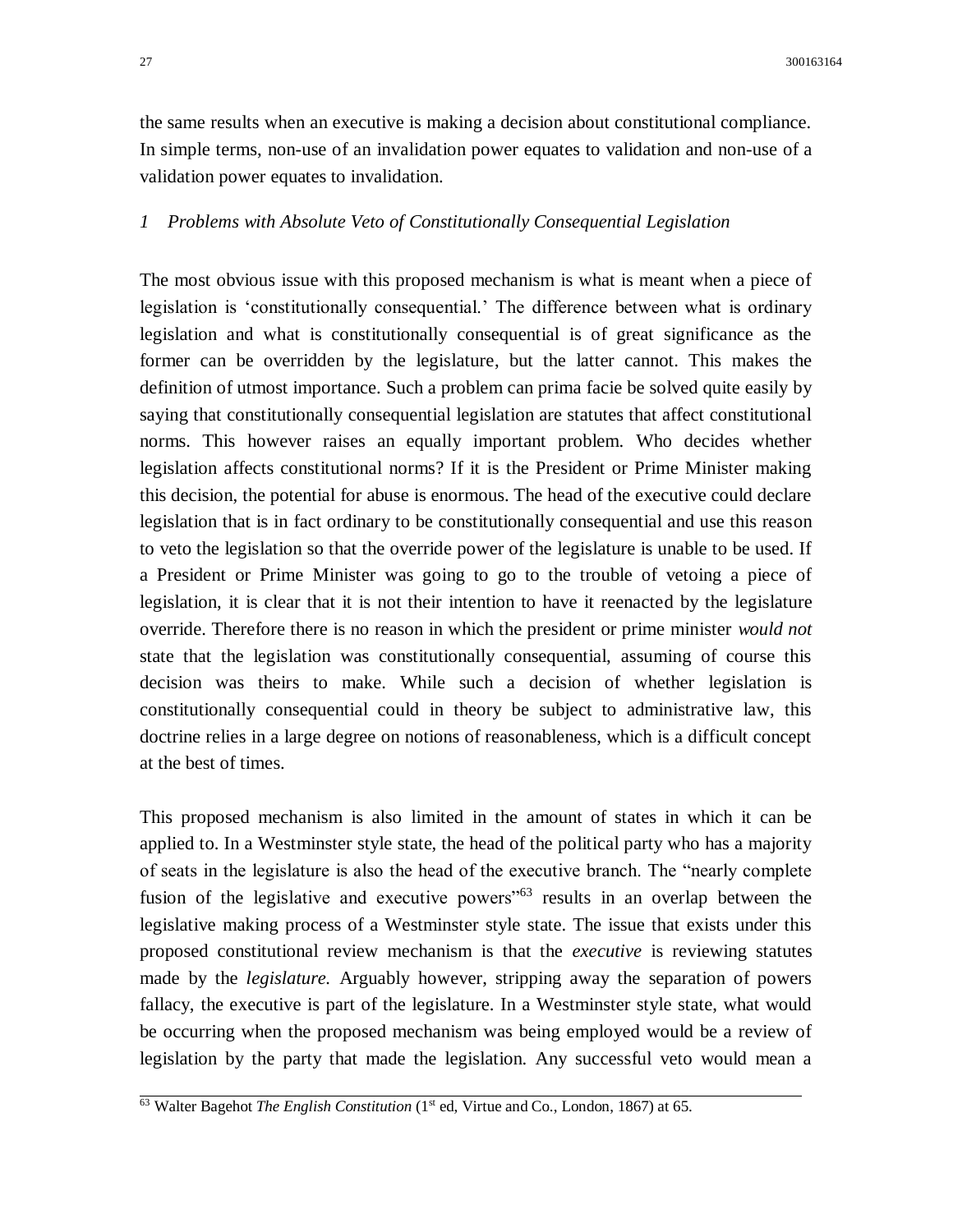the same results when an executive is making a decision about constitutional compliance. In simple terms, non-use of an invalidation power equates to validation and non-use of a validation power equates to invalidation.

### *1 Problems with Absolute Veto of Constitutionally Consequential Legislation*

The most obvious issue with this proposed mechanism is what is meant when a piece of legislation is 'constitutionally consequential.' The difference between what is ordinary legislation and what is constitutionally consequential is of great significance as the former can be overridden by the legislature, but the latter cannot. This makes the definition of utmost importance. Such a problem can prima facie be solved quite easily by saying that constitutionally consequential legislation are statutes that affect constitutional norms. This however raises an equally important problem. Who decides whether legislation affects constitutional norms? If it is the President or Prime Minister making this decision, the potential for abuse is enormous. The head of the executive could declare legislation that is in fact ordinary to be constitutionally consequential and use this reason to veto the legislation so that the override power of the legislature is unable to be used. If a President or Prime Minister was going to go to the trouble of vetoing a piece of legislation, it is clear that it is not their intention to have it reenacted by the legislature override. Therefore there is no reason in which the president or prime minister *would not*  state that the legislation was constitutionally consequential, assuming of course this decision was theirs to make. While such a decision of whether legislation is constitutionally consequential could in theory be subject to administrative law, this doctrine relies in a large degree on notions of reasonableness, which is a difficult concept at the best of times.

This proposed mechanism is also limited in the amount of states in which it can be applied to. In a Westminster style state, the head of the political party who has a majority of seats in the legislature is also the head of the executive branch. The "nearly complete fusion of the legislative and executive powers<sup>"63</sup> results in an overlap between the legislative making process of a Westminster style state. The issue that exists under this proposed constitutional review mechanism is that the *executive* is reviewing statutes made by the *legislature.* Arguably however, stripping away the separation of powers fallacy, the executive is part of the legislature. In a Westminster style state, what would be occurring when the proposed mechanism was being employed would be a review of legislation by the party that made the legislation. Any successful veto would mean a

<sup>&</sup>lt;sup>63</sup> Walter Bagehot *The English Constitution* (1<sup>st</sup> ed, Virtue and Co., London, 1867) at 65.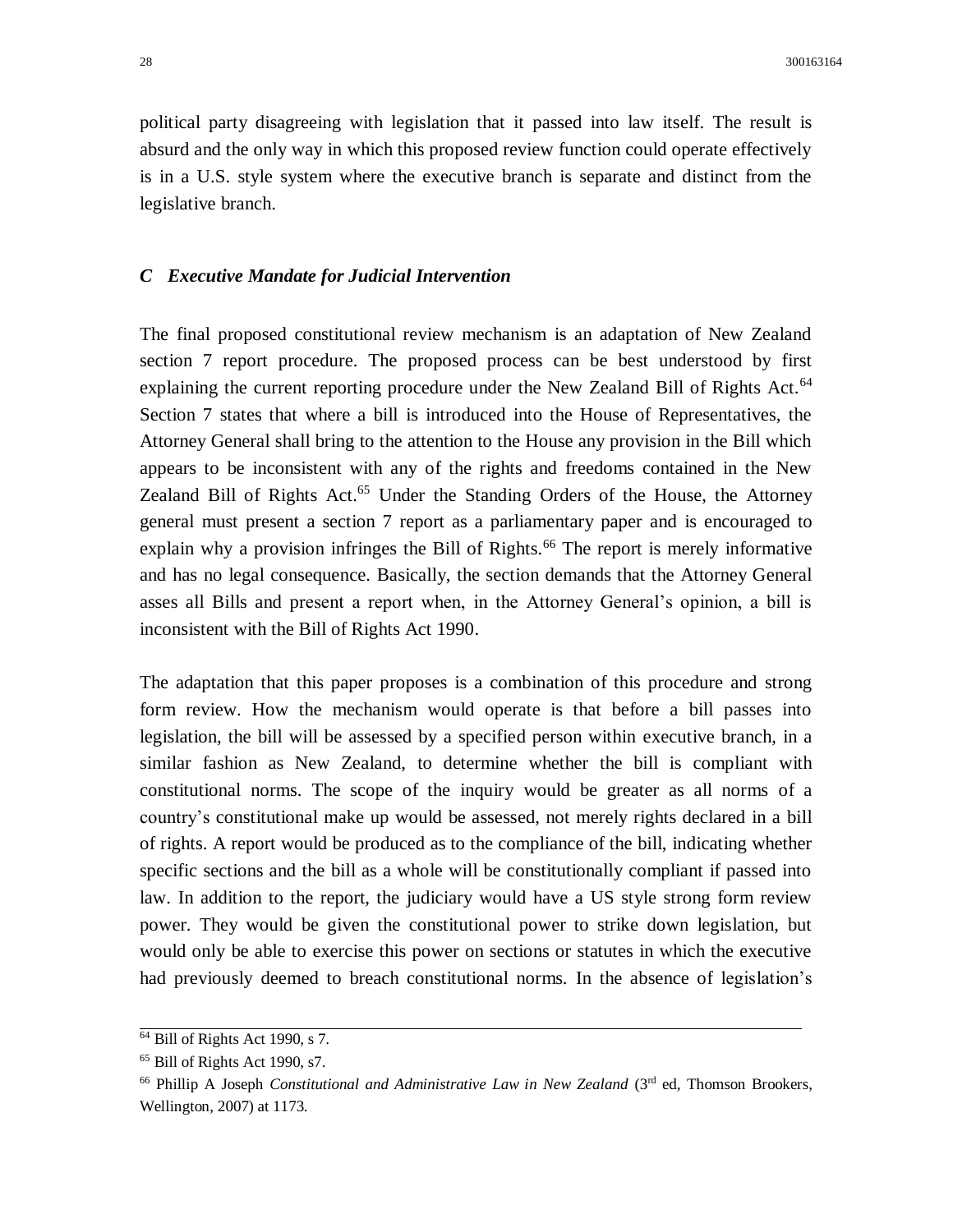political party disagreeing with legislation that it passed into law itself. The result is absurd and the only way in which this proposed review function could operate effectively is in a U.S. style system where the executive branch is separate and distinct from the legislative branch.

#### *C Executive Mandate for Judicial Intervention*

The final proposed constitutional review mechanism is an adaptation of New Zealand section 7 report procedure. The proposed process can be best understood by first explaining the current reporting procedure under the New Zealand Bill of Rights Act.<sup>64</sup> Section 7 states that where a bill is introduced into the House of Representatives, the Attorney General shall bring to the attention to the House any provision in the Bill which appears to be inconsistent with any of the rights and freedoms contained in the New Zealand Bill of Rights Act.<sup>65</sup> Under the Standing Orders of the House, the Attorney general must present a section 7 report as a parliamentary paper and is encouraged to explain why a provision infringes the Bill of Rights.<sup>66</sup> The report is merely informative and has no legal consequence. Basically, the section demands that the Attorney General asses all Bills and present a report when, in the Attorney General's opinion, a bill is inconsistent with the Bill of Rights Act 1990.

The adaptation that this paper proposes is a combination of this procedure and strong form review. How the mechanism would operate is that before a bill passes into legislation, the bill will be assessed by a specified person within executive branch, in a similar fashion as New Zealand, to determine whether the bill is compliant with constitutional norms. The scope of the inquiry would be greater as all norms of a country's constitutional make up would be assessed, not merely rights declared in a bill of rights. A report would be produced as to the compliance of the bill, indicating whether specific sections and the bill as a whole will be constitutionally compliant if passed into law. In addition to the report, the judiciary would have a US style strong form review power. They would be given the constitutional power to strike down legislation, but would only be able to exercise this power on sections or statutes in which the executive had previously deemed to breach constitutional norms. In the absence of legislation's

<sup>64</sup> Bill of Rights Act 1990, s 7.

<sup>65</sup> Bill of Rights Act 1990, s7.

<sup>&</sup>lt;sup>66</sup> Phillip A Joseph *Constitutional and Administrative Law in New Zealand* (3<sup>rd</sup> ed, Thomson Brookers, Wellington, 2007) at 1173.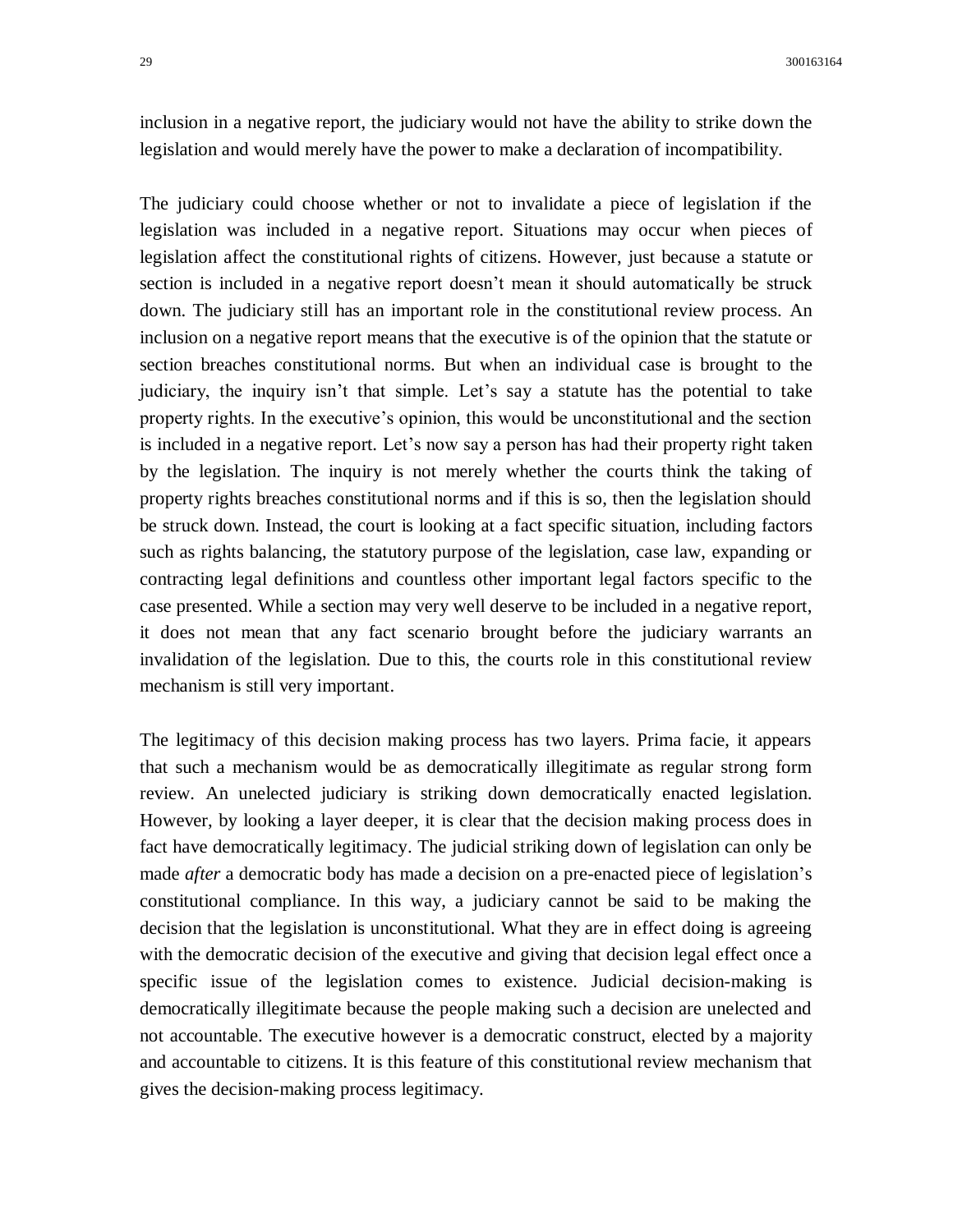inclusion in a negative report, the judiciary would not have the ability to strike down the legislation and would merely have the power to make a declaration of incompatibility.

The judiciary could choose whether or not to invalidate a piece of legislation if the legislation was included in a negative report. Situations may occur when pieces of legislation affect the constitutional rights of citizens. However, just because a statute or section is included in a negative report doesn't mean it should automatically be struck down. The judiciary still has an important role in the constitutional review process. An inclusion on a negative report means that the executive is of the opinion that the statute or section breaches constitutional norms. But when an individual case is brought to the judiciary, the inquiry isn't that simple. Let's say a statute has the potential to take property rights. In the executive's opinion, this would be unconstitutional and the section is included in a negative report. Let's now say a person has had their property right taken by the legislation. The inquiry is not merely whether the courts think the taking of property rights breaches constitutional norms and if this is so, then the legislation should be struck down. Instead, the court is looking at a fact specific situation, including factors such as rights balancing, the statutory purpose of the legislation, case law, expanding or contracting legal definitions and countless other important legal factors specific to the case presented. While a section may very well deserve to be included in a negative report, it does not mean that any fact scenario brought before the judiciary warrants an invalidation of the legislation. Due to this, the courts role in this constitutional review mechanism is still very important.

The legitimacy of this decision making process has two layers. Prima facie, it appears that such a mechanism would be as democratically illegitimate as regular strong form review. An unelected judiciary is striking down democratically enacted legislation. However, by looking a layer deeper, it is clear that the decision making process does in fact have democratically legitimacy. The judicial striking down of legislation can only be made *after* a democratic body has made a decision on a pre-enacted piece of legislation's constitutional compliance. In this way, a judiciary cannot be said to be making the decision that the legislation is unconstitutional. What they are in effect doing is agreeing with the democratic decision of the executive and giving that decision legal effect once a specific issue of the legislation comes to existence. Judicial decision-making is democratically illegitimate because the people making such a decision are unelected and not accountable. The executive however is a democratic construct, elected by a majority and accountable to citizens. It is this feature of this constitutional review mechanism that gives the decision-making process legitimacy.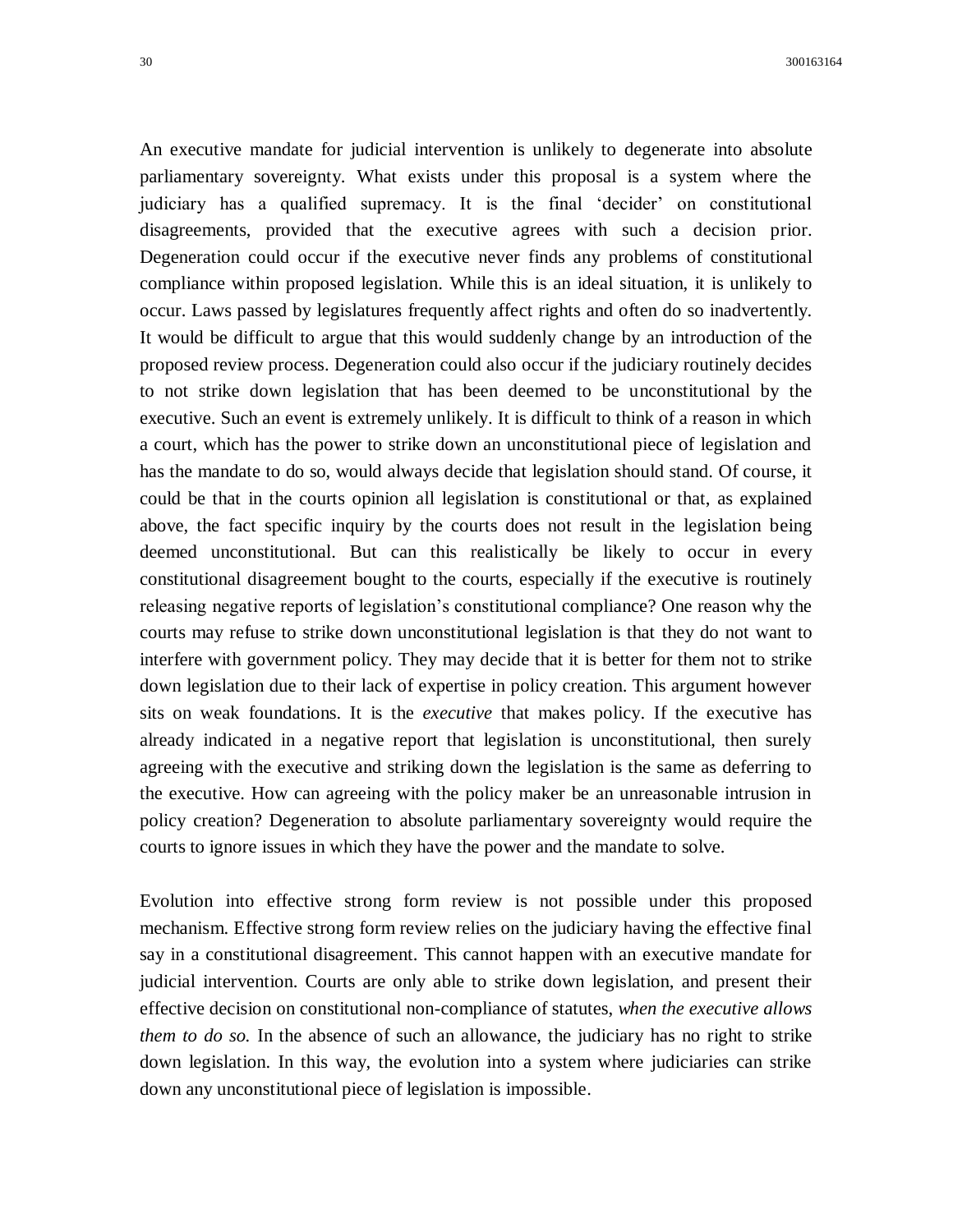An executive mandate for judicial intervention is unlikely to degenerate into absolute parliamentary sovereignty. What exists under this proposal is a system where the judiciary has a qualified supremacy. It is the final 'decider' on constitutional disagreements, provided that the executive agrees with such a decision prior. Degeneration could occur if the executive never finds any problems of constitutional compliance within proposed legislation. While this is an ideal situation, it is unlikely to occur. Laws passed by legislatures frequently affect rights and often do so inadvertently. It would be difficult to argue that this would suddenly change by an introduction of the proposed review process. Degeneration could also occur if the judiciary routinely decides to not strike down legislation that has been deemed to be unconstitutional by the executive. Such an event is extremely unlikely. It is difficult to think of a reason in which a court, which has the power to strike down an unconstitutional piece of legislation and has the mandate to do so, would always decide that legislation should stand. Of course, it could be that in the courts opinion all legislation is constitutional or that, as explained above, the fact specific inquiry by the courts does not result in the legislation being deemed unconstitutional. But can this realistically be likely to occur in every constitutional disagreement bought to the courts, especially if the executive is routinely releasing negative reports of legislation's constitutional compliance? One reason why the courts may refuse to strike down unconstitutional legislation is that they do not want to interfere with government policy. They may decide that it is better for them not to strike down legislation due to their lack of expertise in policy creation. This argument however sits on weak foundations. It is the *executive* that makes policy. If the executive has already indicated in a negative report that legislation is unconstitutional, then surely agreeing with the executive and striking down the legislation is the same as deferring to the executive. How can agreeing with the policy maker be an unreasonable intrusion in policy creation? Degeneration to absolute parliamentary sovereignty would require the courts to ignore issues in which they have the power and the mandate to solve.

Evolution into effective strong form review is not possible under this proposed mechanism. Effective strong form review relies on the judiciary having the effective final say in a constitutional disagreement. This cannot happen with an executive mandate for judicial intervention. Courts are only able to strike down legislation, and present their effective decision on constitutional non-compliance of statutes, *when the executive allows them to do so.* In the absence of such an allowance, the judiciary has no right to strike down legislation. In this way, the evolution into a system where judiciaries can strike down any unconstitutional piece of legislation is impossible.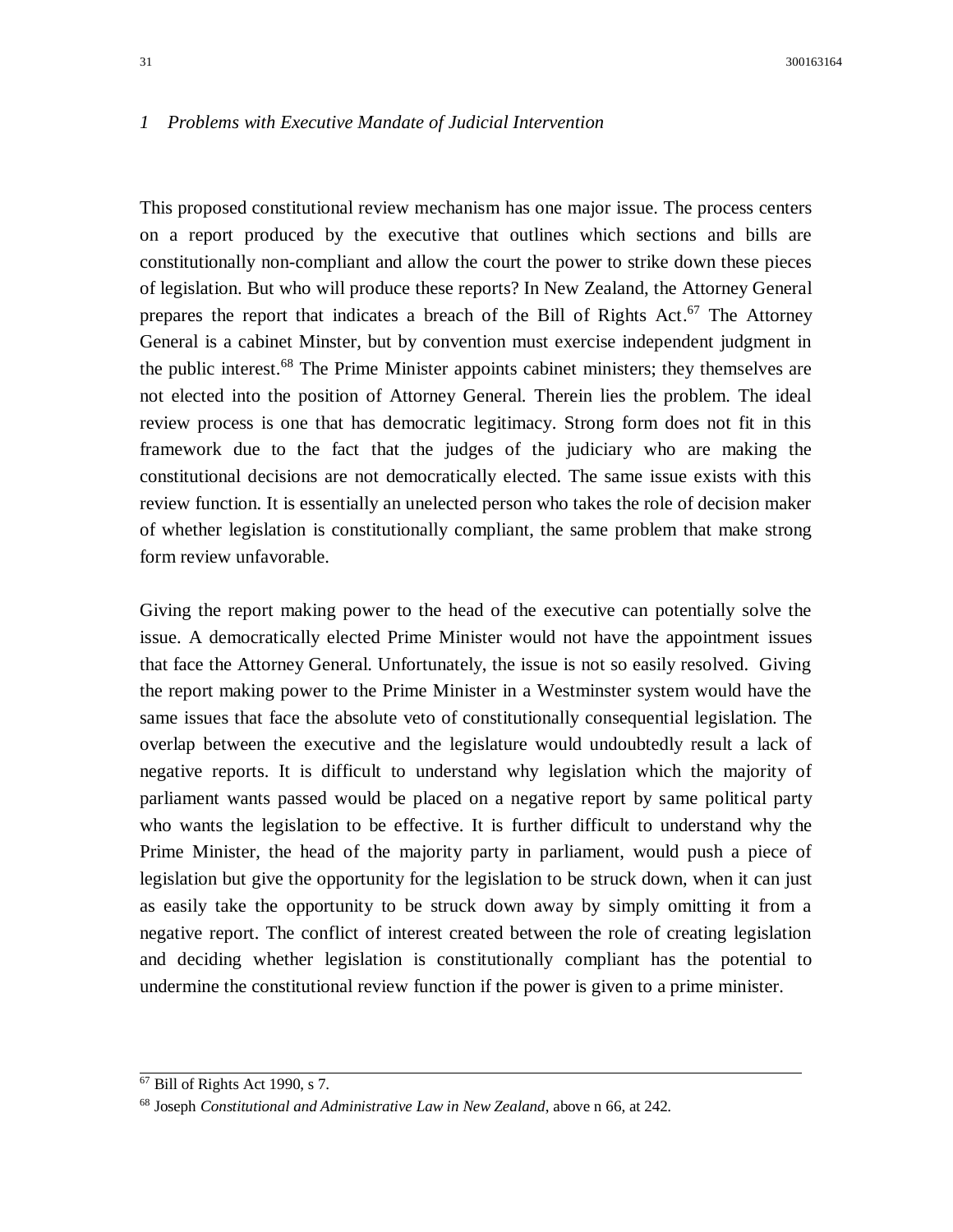#### *1 Problems with Executive Mandate of Judicial Intervention*

This proposed constitutional review mechanism has one major issue. The process centers on a report produced by the executive that outlines which sections and bills are constitutionally non-compliant and allow the court the power to strike down these pieces of legislation. But who will produce these reports? In New Zealand, the Attorney General prepares the report that indicates a breach of the Bill of Rights Act.<sup>67</sup> The Attorney General is a cabinet Minster, but by convention must exercise independent judgment in the public interest.<sup>68</sup> The Prime Minister appoints cabinet ministers; they themselves are not elected into the position of Attorney General. Therein lies the problem. The ideal review process is one that has democratic legitimacy. Strong form does not fit in this framework due to the fact that the judges of the judiciary who are making the constitutional decisions are not democratically elected. The same issue exists with this review function. It is essentially an unelected person who takes the role of decision maker of whether legislation is constitutionally compliant, the same problem that make strong form review unfavorable.

Giving the report making power to the head of the executive can potentially solve the issue. A democratically elected Prime Minister would not have the appointment issues that face the Attorney General. Unfortunately, the issue is not so easily resolved. Giving the report making power to the Prime Minister in a Westminster system would have the same issues that face the absolute veto of constitutionally consequential legislation. The overlap between the executive and the legislature would undoubtedly result a lack of negative reports. It is difficult to understand why legislation which the majority of parliament wants passed would be placed on a negative report by same political party who wants the legislation to be effective. It is further difficult to understand why the Prime Minister, the head of the majority party in parliament, would push a piece of legislation but give the opportunity for the legislation to be struck down, when it can just as easily take the opportunity to be struck down away by simply omitting it from a negative report. The conflict of interest created between the role of creating legislation and deciding whether legislation is constitutionally compliant has the potential to undermine the constitutional review function if the power is given to a prime minister.

 $\overline{67}$  Bill of Rights Act 1990, s 7.

<sup>68</sup> Joseph *Constitutional and Administrative Law in New Zealand*, above n 66, at 242.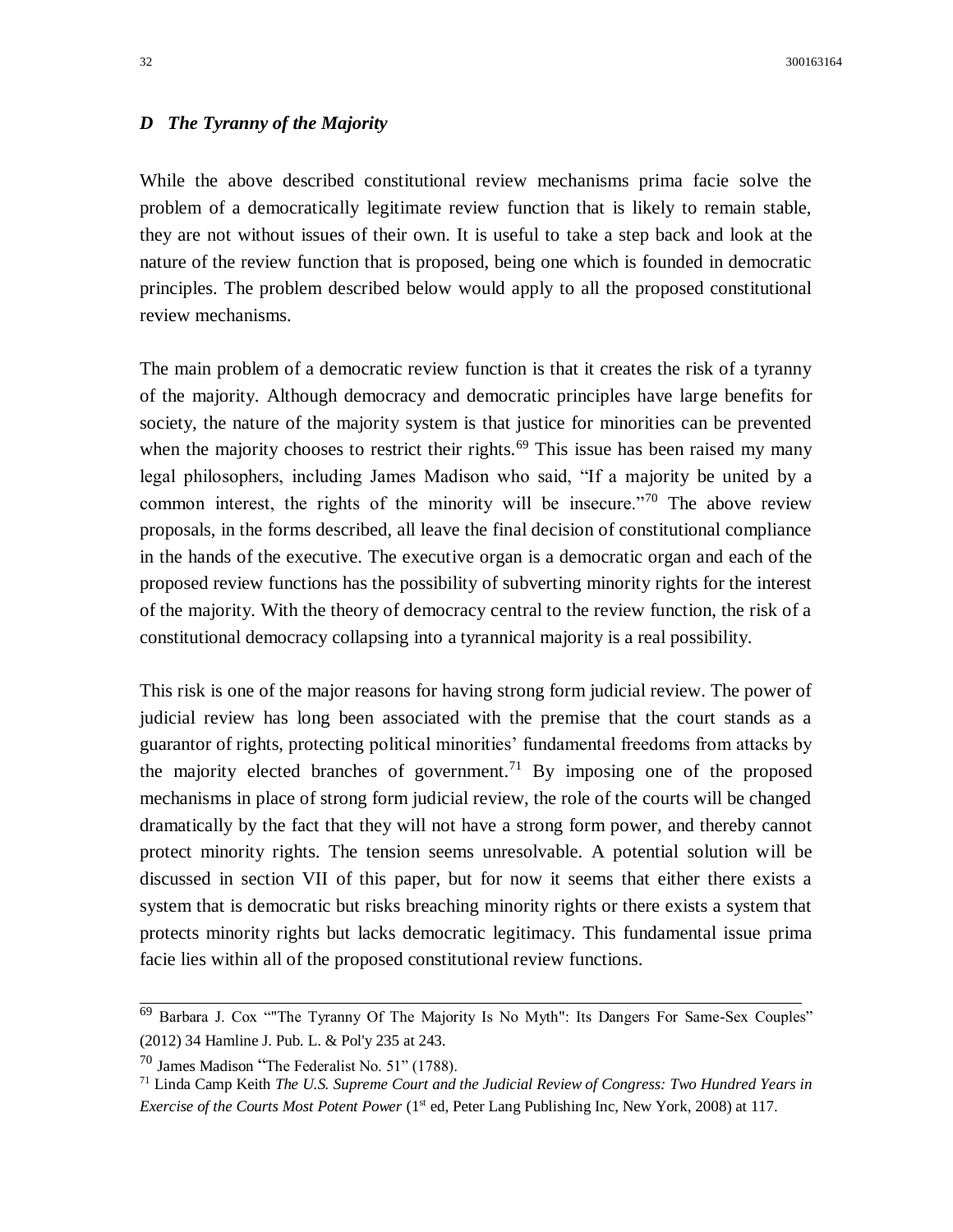## *D The Tyranny of the Majority*

While the above described constitutional review mechanisms prima facie solve the problem of a democratically legitimate review function that is likely to remain stable, they are not without issues of their own. It is useful to take a step back and look at the nature of the review function that is proposed, being one which is founded in democratic principles. The problem described below would apply to all the proposed constitutional review mechanisms.

The main problem of a democratic review function is that it creates the risk of a tyranny of the majority. Although democracy and democratic principles have large benefits for society, the nature of the majority system is that justice for minorities can be prevented when the majority chooses to restrict their rights.<sup>69</sup> This issue has been raised my many legal philosophers, including James Madison who said, "If a majority be united by a common interest, the rights of the minority will be insecure."<sup>70</sup> The above review proposals, in the forms described, all leave the final decision of constitutional compliance in the hands of the executive. The executive organ is a democratic organ and each of the proposed review functions has the possibility of subverting minority rights for the interest of the majority. With the theory of democracy central to the review function, the risk of a constitutional democracy collapsing into a tyrannical majority is a real possibility.

This risk is one of the major reasons for having strong form judicial review. The power of judicial review has long been associated with the premise that the court stands as a guarantor of rights, protecting political minorities' fundamental freedoms from attacks by the majority elected branches of government.<sup>71</sup> By imposing one of the proposed mechanisms in place of strong form judicial review, the role of the courts will be changed dramatically by the fact that they will not have a strong form power, and thereby cannot protect minority rights. The tension seems unresolvable. A potential solution will be discussed in section VII of this paper, but for now it seems that either there exists a system that is democratic but risks breaching minority rights or there exists a system that protects minority rights but lacks democratic legitimacy. This fundamental issue prima facie lies within all of the proposed constitutional review functions.

 $69$  Barbara J. Cox "The Tyranny Of The Majority Is No Myth": Its Dangers For Same-Sex Couples" (2012) 34 Hamline J. Pub. L. & Pol'y 235 at 243.

<sup>70</sup> James Madison "The Federalist No. 51" (1788).

<sup>71</sup> Linda Camp Keith *The U.S. Supreme Court and the Judicial Review of Congress: Two Hundred Years in Exercise of the Courts Most Potent Power* (1<sup>st</sup> ed, Peter Lang Publishing Inc, New York, 2008) at 117.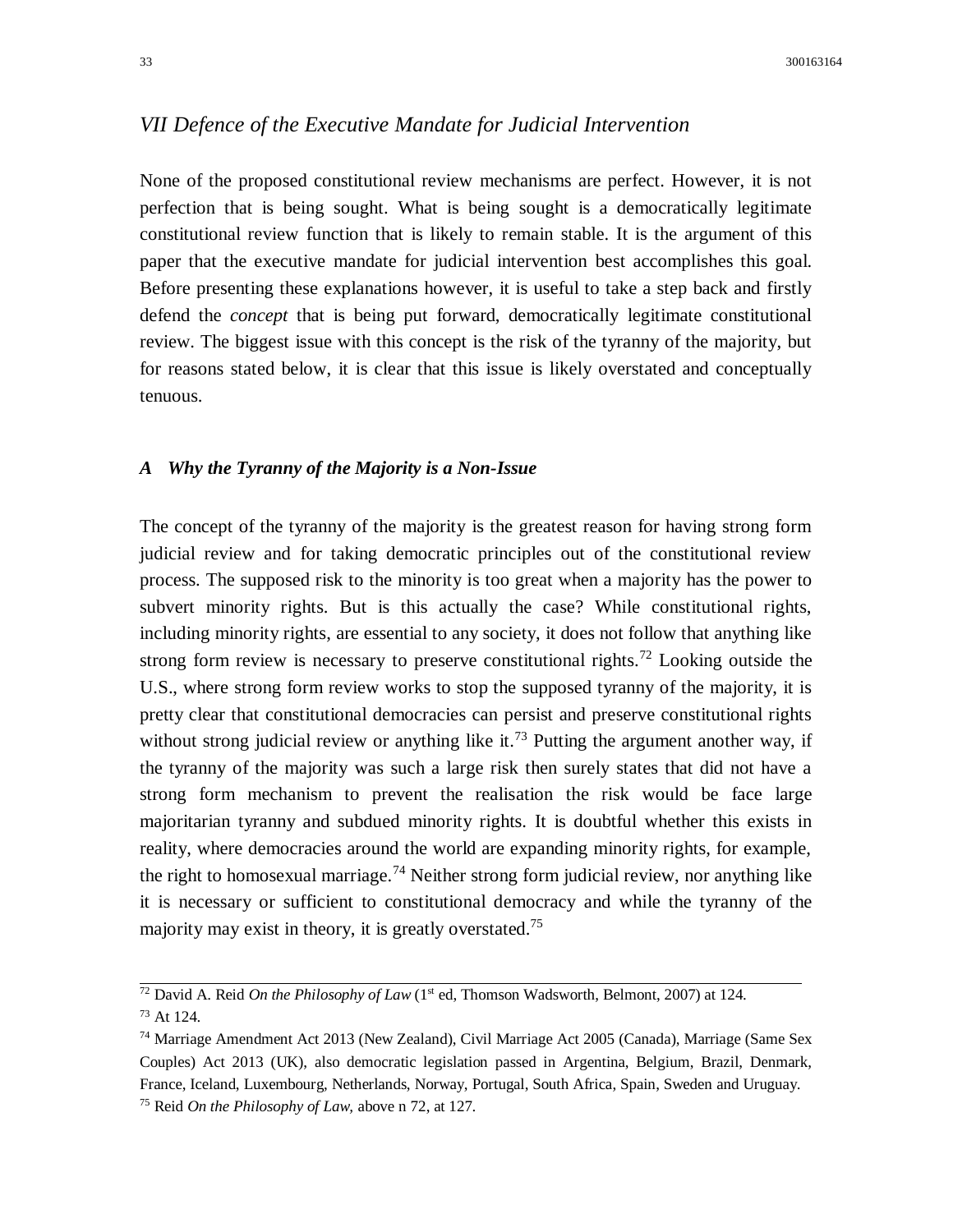# *VII Defence of the Executive Mandate for Judicial Intervention*

None of the proposed constitutional review mechanisms are perfect. However, it is not perfection that is being sought. What is being sought is a democratically legitimate constitutional review function that is likely to remain stable. It is the argument of this paper that the executive mandate for judicial intervention best accomplishes this goal. Before presenting these explanations however, it is useful to take a step back and firstly defend the *concept* that is being put forward, democratically legitimate constitutional review. The biggest issue with this concept is the risk of the tyranny of the majority, but for reasons stated below, it is clear that this issue is likely overstated and conceptually tenuous.

#### *A Why the Tyranny of the Majority is a Non-Issue*

The concept of the tyranny of the majority is the greatest reason for having strong form judicial review and for taking democratic principles out of the constitutional review process. The supposed risk to the minority is too great when a majority has the power to subvert minority rights. But is this actually the case? While constitutional rights, including minority rights, are essential to any society, it does not follow that anything like strong form review is necessary to preserve constitutional rights.<sup>72</sup> Looking outside the U.S., where strong form review works to stop the supposed tyranny of the majority, it is pretty clear that constitutional democracies can persist and preserve constitutional rights without strong judicial review or anything like it.<sup>73</sup> Putting the argument another way, if the tyranny of the majority was such a large risk then surely states that did not have a strong form mechanism to prevent the realisation the risk would be face large majoritarian tyranny and subdued minority rights. It is doubtful whether this exists in reality, where democracies around the world are expanding minority rights, for example, the right to homosexual marriage.<sup>74</sup> Neither strong form judicial review, nor anything like it is necessary or sufficient to constitutional democracy and while the tyranny of the majority may exist in theory, it is greatly overstated.<sup>75</sup>

 $\frac{72}{72}$  David A. Reid *On the Philosophy of Law* (1<sup>st</sup> ed, Thomson Wadsworth, Belmont, 2007) at 124. <sup>73</sup> At 124.

<sup>74</sup> Marriage Amendment Act 2013 (New Zealand), Civil Marriage Act 2005 (Canada), Marriage (Same Sex Couples) Act 2013 (UK), also democratic legislation passed in Argentina, Belgium, Brazil, Denmark, France, Iceland, Luxembourg, Netherlands, Norway, Portugal, South Africa, Spain, Sweden and Uruguay. <sup>75</sup> Reid *On the Philosophy of Law,* above n 72, at 127.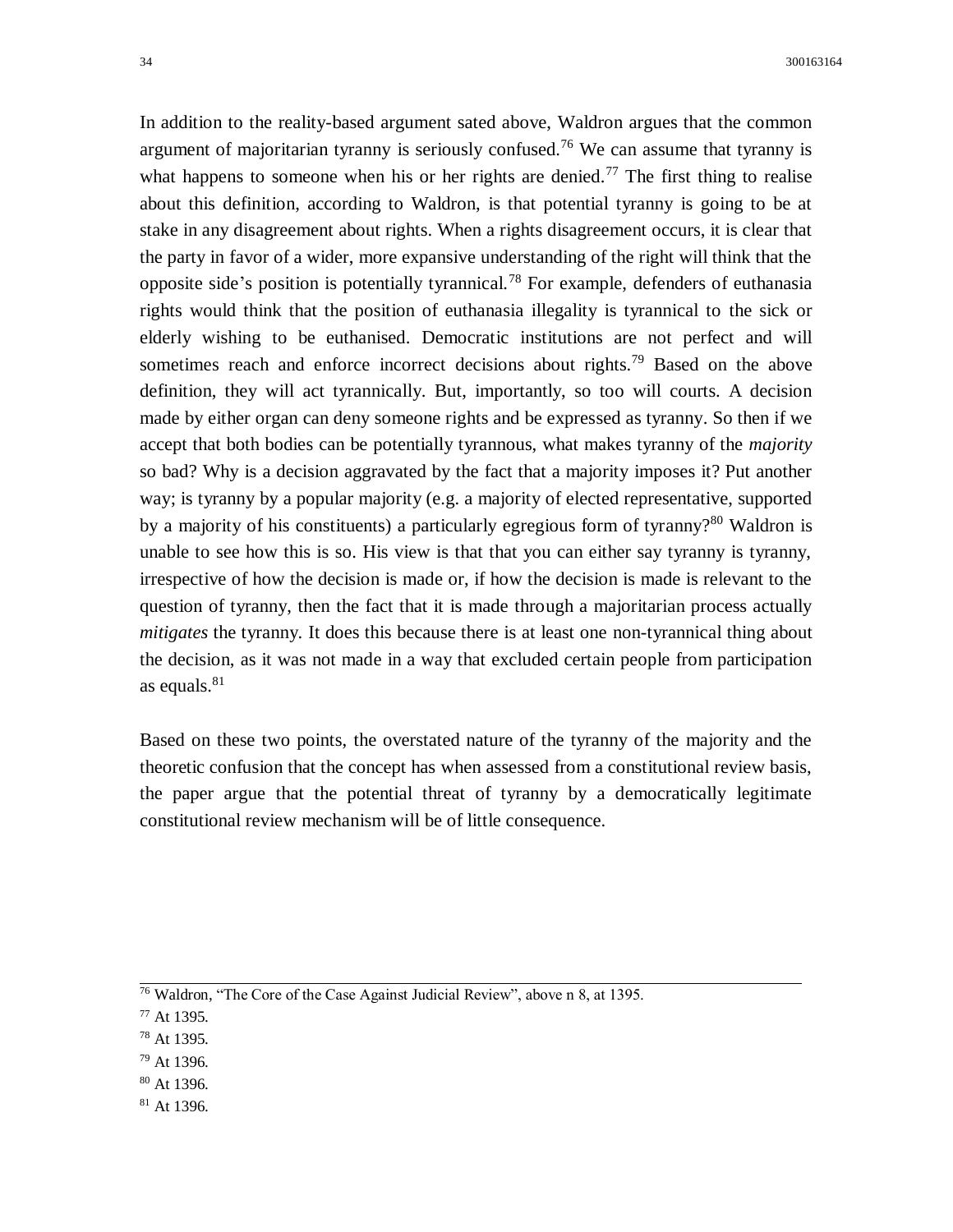In addition to the reality-based argument sated above, Waldron argues that the common argument of majoritarian tyranny is seriously confused.<sup>76</sup> We can assume that tyranny is what happens to someone when his or her rights are denied.<sup>77</sup> The first thing to realise about this definition, according to Waldron, is that potential tyranny is going to be at stake in any disagreement about rights. When a rights disagreement occurs, it is clear that the party in favor of a wider, more expansive understanding of the right will think that the opposite side's position is potentially tyrannical.<sup>78</sup> For example, defenders of euthanasia rights would think that the position of euthanasia illegality is tyrannical to the sick or elderly wishing to be euthanised. Democratic institutions are not perfect and will sometimes reach and enforce incorrect decisions about rights.<sup>79</sup> Based on the above definition, they will act tyrannically. But, importantly, so too will courts. A decision made by either organ can deny someone rights and be expressed as tyranny. So then if we accept that both bodies can be potentially tyrannous, what makes tyranny of the *majority* so bad? Why is a decision aggravated by the fact that a majority imposes it? Put another way; is tyranny by a popular majority (e.g. a majority of elected representative, supported by a majority of his constituents) a particularly egregious form of tyranny?<sup>80</sup> Waldron is unable to see how this is so. His view is that that you can either say tyranny is tyranny, irrespective of how the decision is made or, if how the decision is made is relevant to the question of tyranny, then the fact that it is made through a majoritarian process actually *mitigates* the tyranny. It does this because there is at least one non-tyrannical thing about the decision, as it was not made in a way that excluded certain people from participation as equals. $81$ 

Based on these two points, the overstated nature of the tyranny of the majority and the theoretic confusion that the concept has when assessed from a constitutional review basis, the paper argue that the potential threat of tyranny by a democratically legitimate constitutional review mechanism will be of little consequence.

- <sup>78</sup> At 1395.
- <sup>79</sup> At 1396.
- <sup>80</sup> At 1396.
- $81$  At 1396.

 $\frac{76}{76}$  Waldron, "The Core of the Case Against Judicial Review", above n 8, at 1395.

<sup>77</sup> At 1395.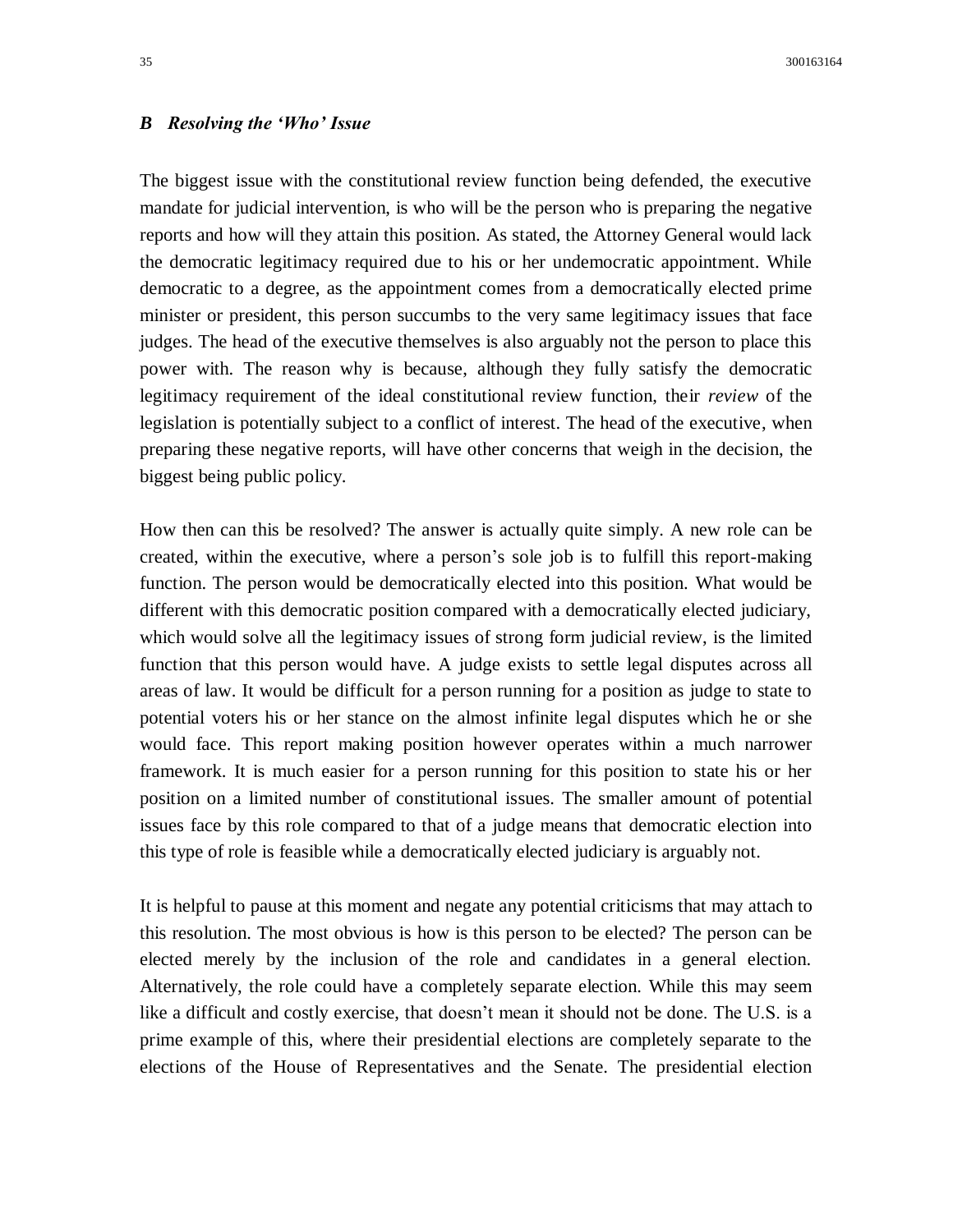# *B Resolving the 'Who' Issue*

The biggest issue with the constitutional review function being defended, the executive mandate for judicial intervention, is who will be the person who is preparing the negative reports and how will they attain this position. As stated, the Attorney General would lack the democratic legitimacy required due to his or her undemocratic appointment. While democratic to a degree, as the appointment comes from a democratically elected prime minister or president, this person succumbs to the very same legitimacy issues that face judges. The head of the executive themselves is also arguably not the person to place this power with. The reason why is because, although they fully satisfy the democratic legitimacy requirement of the ideal constitutional review function, their *review* of the legislation is potentially subject to a conflict of interest. The head of the executive, when preparing these negative reports, will have other concerns that weigh in the decision, the biggest being public policy.

How then can this be resolved? The answer is actually quite simply. A new role can be created, within the executive, where a person's sole job is to fulfill this report-making function. The person would be democratically elected into this position. What would be different with this democratic position compared with a democratically elected judiciary, which would solve all the legitimacy issues of strong form judicial review, is the limited function that this person would have. A judge exists to settle legal disputes across all areas of law. It would be difficult for a person running for a position as judge to state to potential voters his or her stance on the almost infinite legal disputes which he or she would face. This report making position however operates within a much narrower framework. It is much easier for a person running for this position to state his or her position on a limited number of constitutional issues. The smaller amount of potential issues face by this role compared to that of a judge means that democratic election into this type of role is feasible while a democratically elected judiciary is arguably not.

It is helpful to pause at this moment and negate any potential criticisms that may attach to this resolution. The most obvious is how is this person to be elected? The person can be elected merely by the inclusion of the role and candidates in a general election. Alternatively, the role could have a completely separate election. While this may seem like a difficult and costly exercise, that doesn't mean it should not be done. The U.S. is a prime example of this, where their presidential elections are completely separate to the elections of the House of Representatives and the Senate. The presidential election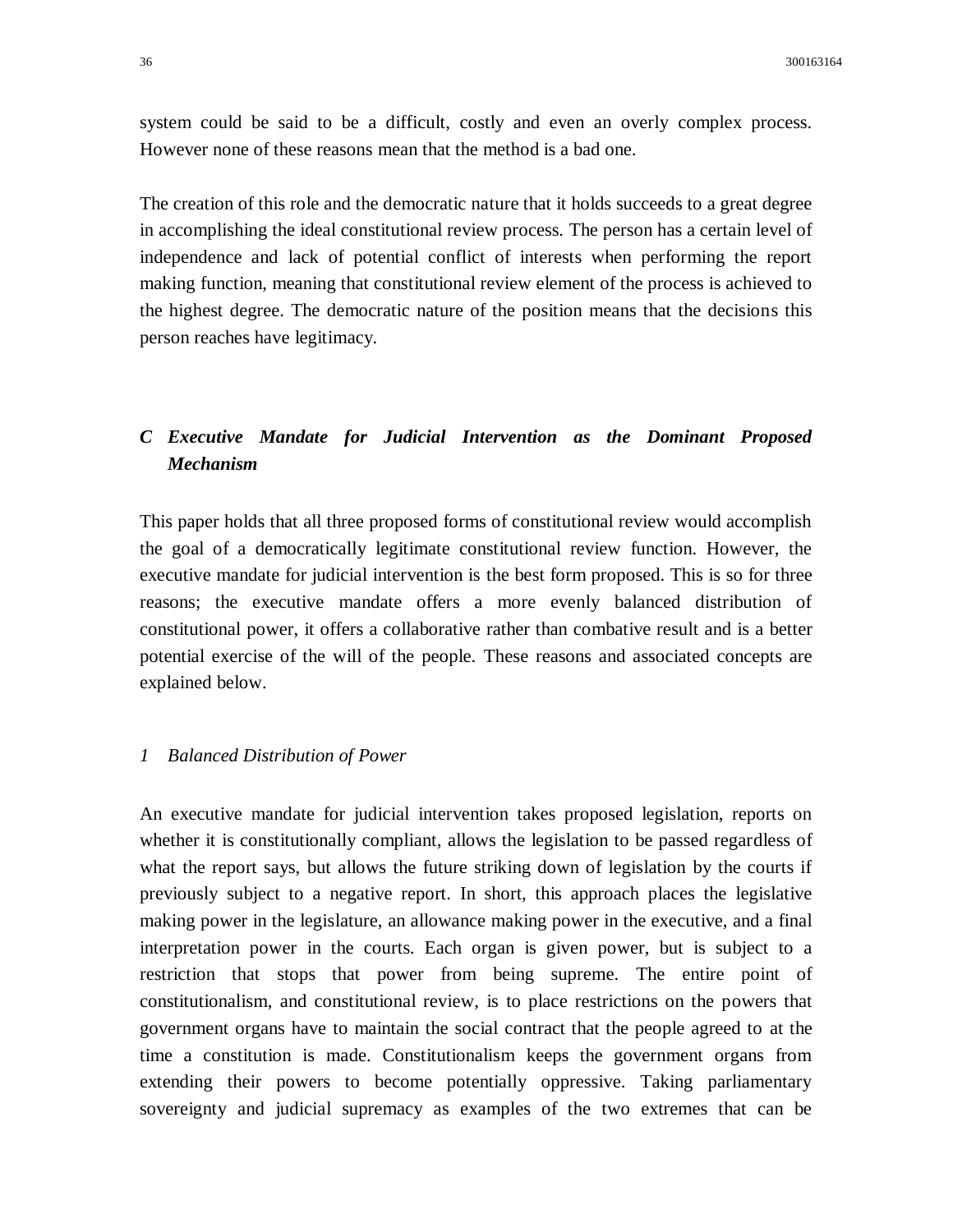system could be said to be a difficult, costly and even an overly complex process. However none of these reasons mean that the method is a bad one.

The creation of this role and the democratic nature that it holds succeeds to a great degree in accomplishing the ideal constitutional review process. The person has a certain level of independence and lack of potential conflict of interests when performing the report making function, meaning that constitutional review element of the process is achieved to the highest degree. The democratic nature of the position means that the decisions this person reaches have legitimacy.

# *C Executive Mandate for Judicial Intervention as the Dominant Proposed Mechanism*

This paper holds that all three proposed forms of constitutional review would accomplish the goal of a democratically legitimate constitutional review function. However, the executive mandate for judicial intervention is the best form proposed. This is so for three reasons; the executive mandate offers a more evenly balanced distribution of constitutional power, it offers a collaborative rather than combative result and is a better potential exercise of the will of the people. These reasons and associated concepts are explained below.

#### *1 Balanced Distribution of Power*

An executive mandate for judicial intervention takes proposed legislation, reports on whether it is constitutionally compliant, allows the legislation to be passed regardless of what the report says, but allows the future striking down of legislation by the courts if previously subject to a negative report. In short, this approach places the legislative making power in the legislature, an allowance making power in the executive, and a final interpretation power in the courts. Each organ is given power, but is subject to a restriction that stops that power from being supreme. The entire point of constitutionalism, and constitutional review, is to place restrictions on the powers that government organs have to maintain the social contract that the people agreed to at the time a constitution is made. Constitutionalism keeps the government organs from extending their powers to become potentially oppressive. Taking parliamentary sovereignty and judicial supremacy as examples of the two extremes that can be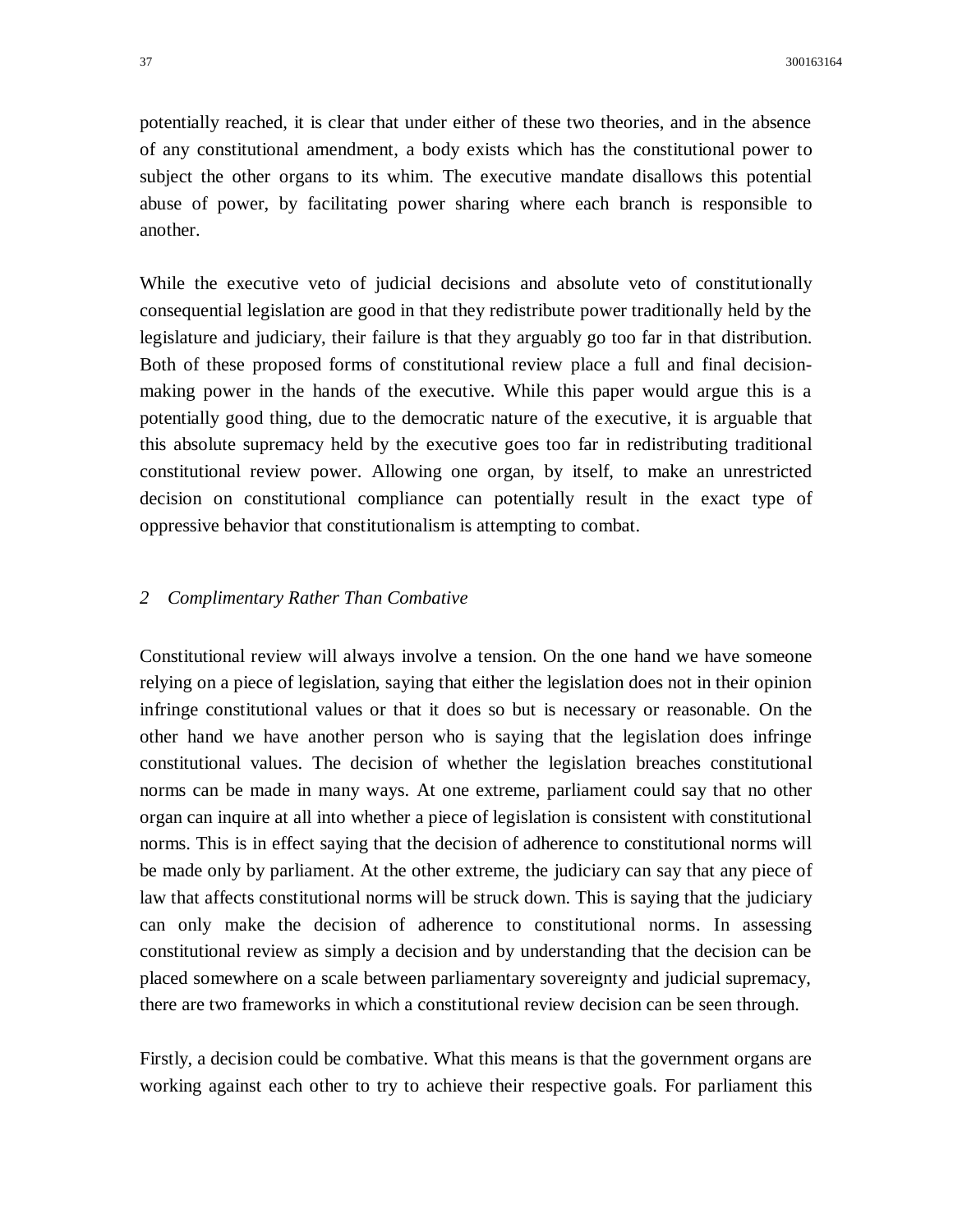potentially reached, it is clear that under either of these two theories, and in the absence of any constitutional amendment, a body exists which has the constitutional power to subject the other organs to its whim. The executive mandate disallows this potential abuse of power, by facilitating power sharing where each branch is responsible to another.

While the executive veto of judicial decisions and absolute veto of constitutionally consequential legislation are good in that they redistribute power traditionally held by the legislature and judiciary, their failure is that they arguably go too far in that distribution. Both of these proposed forms of constitutional review place a full and final decisionmaking power in the hands of the executive. While this paper would argue this is a potentially good thing, due to the democratic nature of the executive, it is arguable that this absolute supremacy held by the executive goes too far in redistributing traditional constitutional review power. Allowing one organ, by itself, to make an unrestricted decision on constitutional compliance can potentially result in the exact type of oppressive behavior that constitutionalism is attempting to combat.

## *2 Complimentary Rather Than Combative*

Constitutional review will always involve a tension. On the one hand we have someone relying on a piece of legislation, saying that either the legislation does not in their opinion infringe constitutional values or that it does so but is necessary or reasonable. On the other hand we have another person who is saying that the legislation does infringe constitutional values. The decision of whether the legislation breaches constitutional norms can be made in many ways. At one extreme, parliament could say that no other organ can inquire at all into whether a piece of legislation is consistent with constitutional norms. This is in effect saying that the decision of adherence to constitutional norms will be made only by parliament. At the other extreme, the judiciary can say that any piece of law that affects constitutional norms will be struck down. This is saying that the judiciary can only make the decision of adherence to constitutional norms. In assessing constitutional review as simply a decision and by understanding that the decision can be placed somewhere on a scale between parliamentary sovereignty and judicial supremacy, there are two frameworks in which a constitutional review decision can be seen through.

Firstly, a decision could be combative. What this means is that the government organs are working against each other to try to achieve their respective goals. For parliament this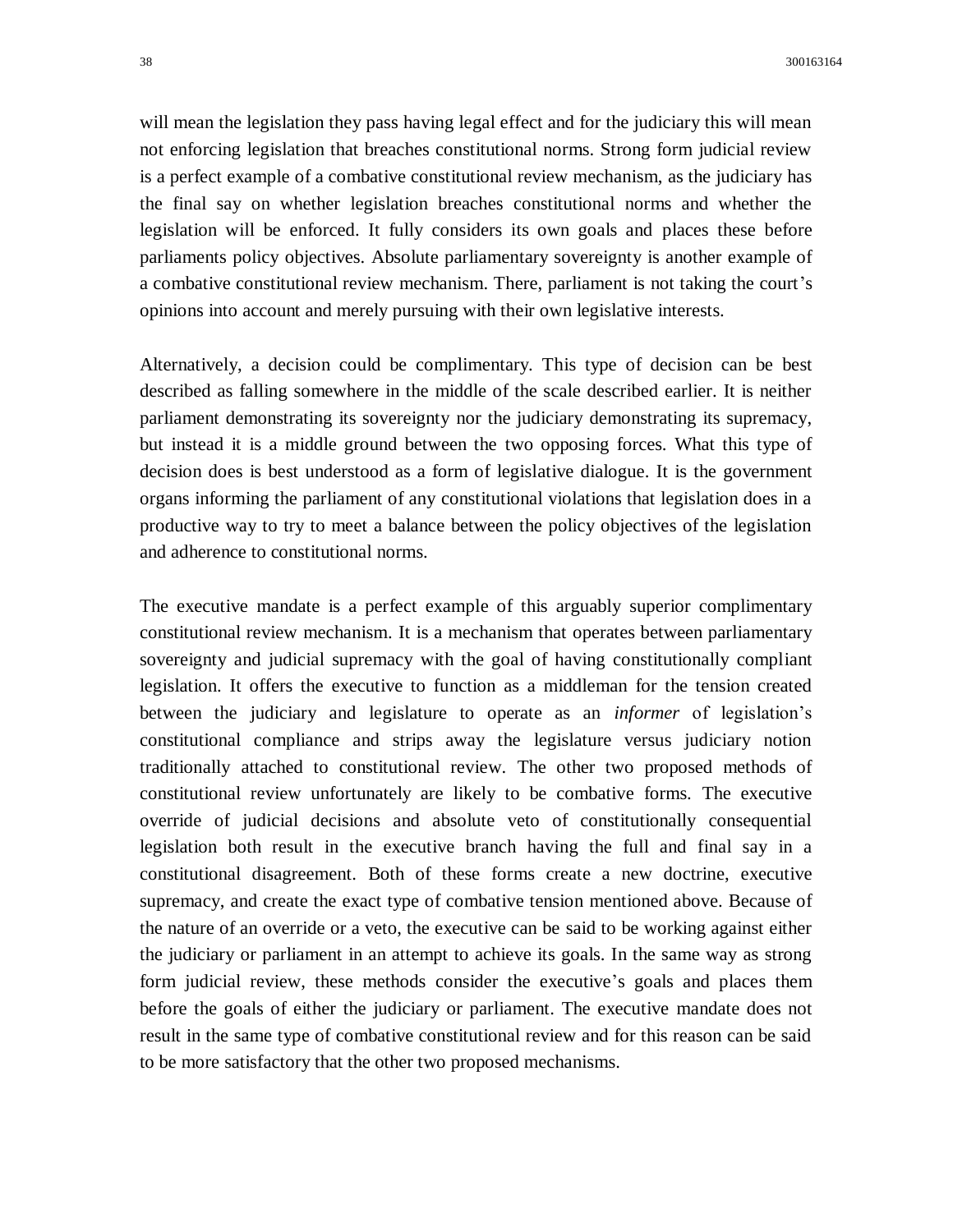will mean the legislation they pass having legal effect and for the judiciary this will mean not enforcing legislation that breaches constitutional norms. Strong form judicial review is a perfect example of a combative constitutional review mechanism, as the judiciary has the final say on whether legislation breaches constitutional norms and whether the legislation will be enforced. It fully considers its own goals and places these before parliaments policy objectives. Absolute parliamentary sovereignty is another example of a combative constitutional review mechanism. There, parliament is not taking the court's opinions into account and merely pursuing with their own legislative interests.

Alternatively, a decision could be complimentary. This type of decision can be best described as falling somewhere in the middle of the scale described earlier. It is neither parliament demonstrating its sovereignty nor the judiciary demonstrating its supremacy, but instead it is a middle ground between the two opposing forces. What this type of decision does is best understood as a form of legislative dialogue. It is the government organs informing the parliament of any constitutional violations that legislation does in a productive way to try to meet a balance between the policy objectives of the legislation and adherence to constitutional norms.

The executive mandate is a perfect example of this arguably superior complimentary constitutional review mechanism. It is a mechanism that operates between parliamentary sovereignty and judicial supremacy with the goal of having constitutionally compliant legislation. It offers the executive to function as a middleman for the tension created between the judiciary and legislature to operate as an *informer* of legislation's constitutional compliance and strips away the legislature versus judiciary notion traditionally attached to constitutional review. The other two proposed methods of constitutional review unfortunately are likely to be combative forms. The executive override of judicial decisions and absolute veto of constitutionally consequential legislation both result in the executive branch having the full and final say in a constitutional disagreement. Both of these forms create a new doctrine, executive supremacy, and create the exact type of combative tension mentioned above. Because of the nature of an override or a veto, the executive can be said to be working against either the judiciary or parliament in an attempt to achieve its goals. In the same way as strong form judicial review, these methods consider the executive's goals and places them before the goals of either the judiciary or parliament. The executive mandate does not result in the same type of combative constitutional review and for this reason can be said to be more satisfactory that the other two proposed mechanisms.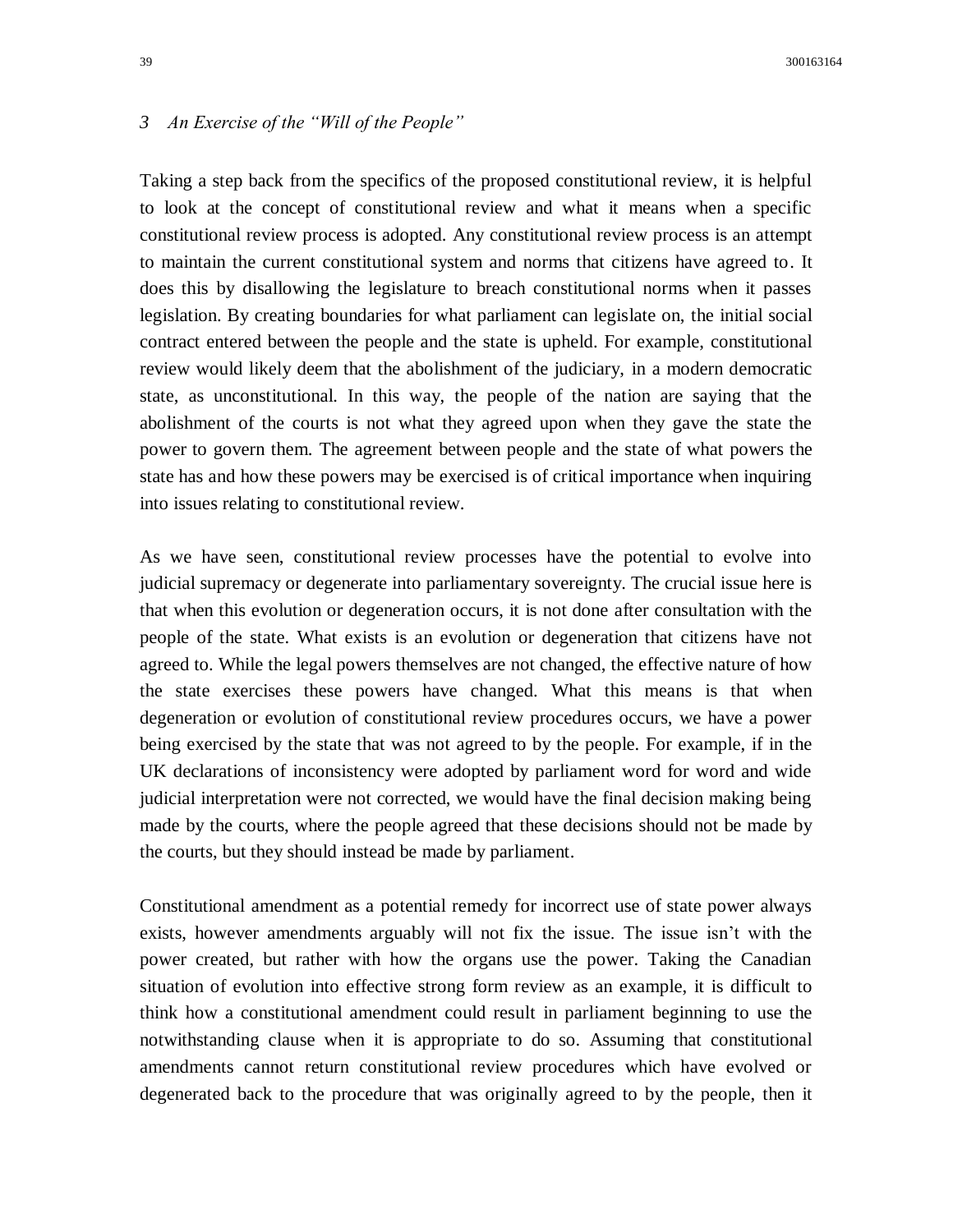# *3 An Exercise of the "Will of the People"*

Taking a step back from the specifics of the proposed constitutional review, it is helpful to look at the concept of constitutional review and what it means when a specific constitutional review process is adopted. Any constitutional review process is an attempt to maintain the current constitutional system and norms that citizens have agreed to. It does this by disallowing the legislature to breach constitutional norms when it passes legislation. By creating boundaries for what parliament can legislate on, the initial social contract entered between the people and the state is upheld. For example, constitutional review would likely deem that the abolishment of the judiciary, in a modern democratic state, as unconstitutional. In this way, the people of the nation are saying that the abolishment of the courts is not what they agreed upon when they gave the state the power to govern them. The agreement between people and the state of what powers the state has and how these powers may be exercised is of critical importance when inquiring into issues relating to constitutional review.

As we have seen, constitutional review processes have the potential to evolve into judicial supremacy or degenerate into parliamentary sovereignty. The crucial issue here is that when this evolution or degeneration occurs, it is not done after consultation with the people of the state. What exists is an evolution or degeneration that citizens have not agreed to. While the legal powers themselves are not changed, the effective nature of how the state exercises these powers have changed. What this means is that when degeneration or evolution of constitutional review procedures occurs, we have a power being exercised by the state that was not agreed to by the people. For example, if in the UK declarations of inconsistency were adopted by parliament word for word and wide judicial interpretation were not corrected, we would have the final decision making being made by the courts, where the people agreed that these decisions should not be made by the courts, but they should instead be made by parliament.

Constitutional amendment as a potential remedy for incorrect use of state power always exists, however amendments arguably will not fix the issue. The issue isn't with the power created, but rather with how the organs use the power. Taking the Canadian situation of evolution into effective strong form review as an example, it is difficult to think how a constitutional amendment could result in parliament beginning to use the notwithstanding clause when it is appropriate to do so. Assuming that constitutional amendments cannot return constitutional review procedures which have evolved or degenerated back to the procedure that was originally agreed to by the people, then it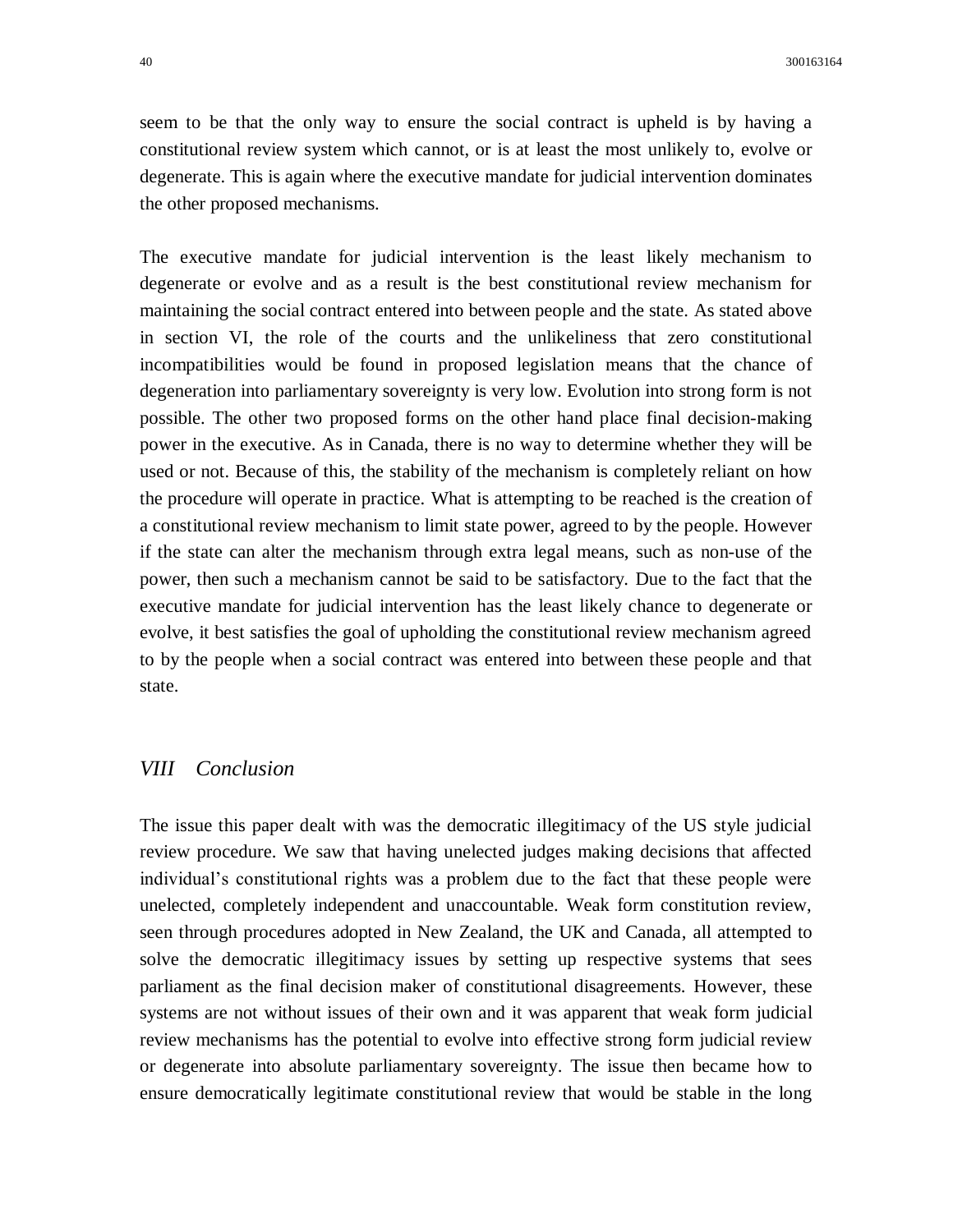seem to be that the only way to ensure the social contract is upheld is by having a constitutional review system which cannot, or is at least the most unlikely to, evolve or degenerate. This is again where the executive mandate for judicial intervention dominates the other proposed mechanisms.

The executive mandate for judicial intervention is the least likely mechanism to degenerate or evolve and as a result is the best constitutional review mechanism for maintaining the social contract entered into between people and the state. As stated above in section VI, the role of the courts and the unlikeliness that zero constitutional incompatibilities would be found in proposed legislation means that the chance of degeneration into parliamentary sovereignty is very low. Evolution into strong form is not possible. The other two proposed forms on the other hand place final decision-making power in the executive. As in Canada, there is no way to determine whether they will be used or not. Because of this, the stability of the mechanism is completely reliant on how the procedure will operate in practice. What is attempting to be reached is the creation of a constitutional review mechanism to limit state power, agreed to by the people. However if the state can alter the mechanism through extra legal means, such as non-use of the power, then such a mechanism cannot be said to be satisfactory. Due to the fact that the executive mandate for judicial intervention has the least likely chance to degenerate or evolve, it best satisfies the goal of upholding the constitutional review mechanism agreed to by the people when a social contract was entered into between these people and that state.

# *VIII Conclusion*

The issue this paper dealt with was the democratic illegitimacy of the US style judicial review procedure. We saw that having unelected judges making decisions that affected individual's constitutional rights was a problem due to the fact that these people were unelected, completely independent and unaccountable. Weak form constitution review, seen through procedures adopted in New Zealand, the UK and Canada, all attempted to solve the democratic illegitimacy issues by setting up respective systems that sees parliament as the final decision maker of constitutional disagreements. However, these systems are not without issues of their own and it was apparent that weak form judicial review mechanisms has the potential to evolve into effective strong form judicial review or degenerate into absolute parliamentary sovereignty. The issue then became how to ensure democratically legitimate constitutional review that would be stable in the long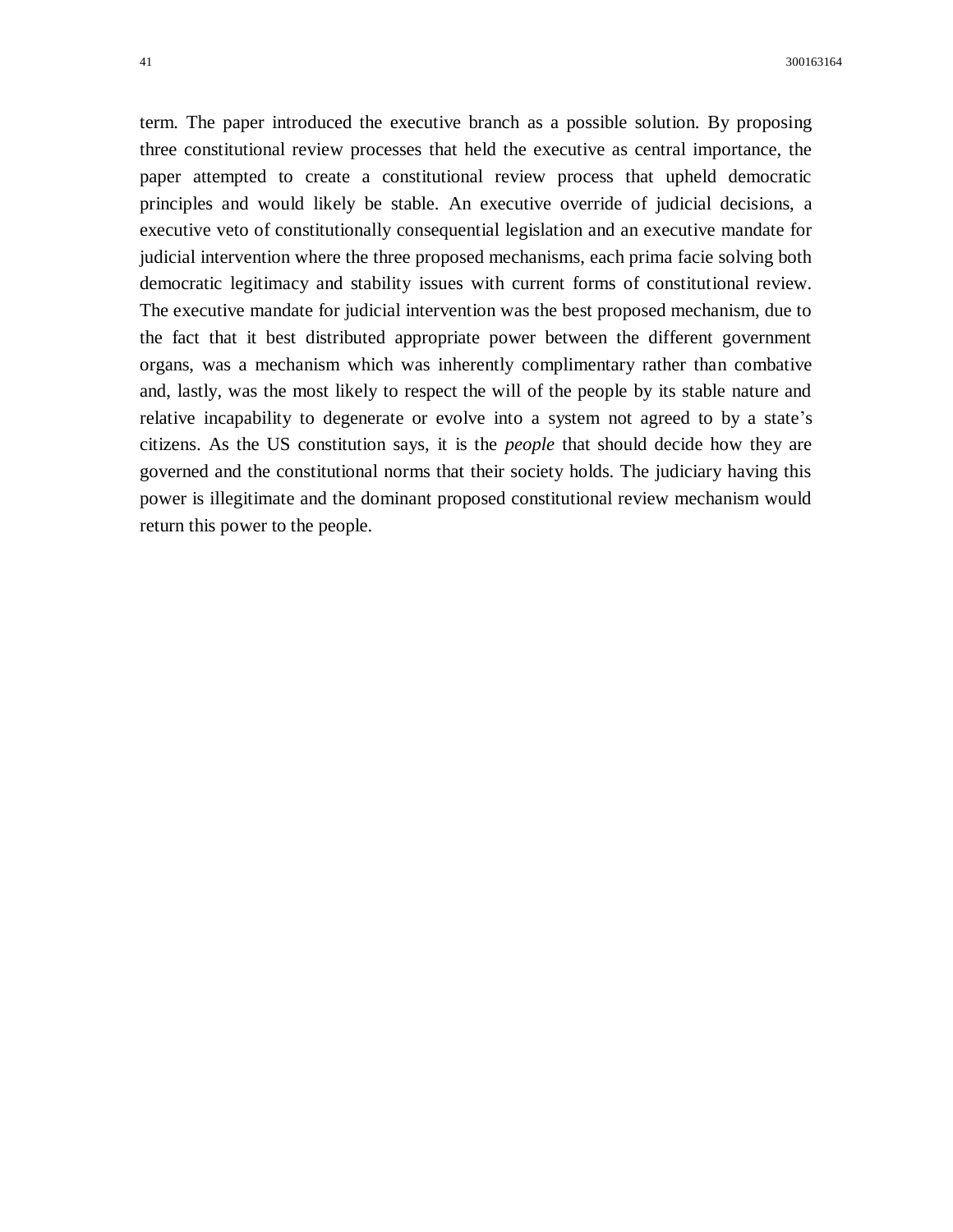term. The paper introduced the executive branch as a possible solution. By proposing three constitutional review processes that held the executive as central importance, the paper attempted to create a constitutional review process that upheld democratic principles and would likely be stable. An executive override of judicial decisions, a executive veto of constitutionally consequential legislation and an executive mandate for judicial intervention where the three proposed mechanisms, each prima facie solving both democratic legitimacy and stability issues with current forms of constitutional review. The executive mandate for judicial intervention was the best proposed mechanism, due to the fact that it best distributed appropriate power between the different government organs, was a mechanism which was inherently complimentary rather than combative and, lastly, was the most likely to respect the will of the people by its stable nature and relative incapability to degenerate or evolve into a system not agreed to by a state's citizens. As the US constitution says, it is the *people* that should decide how they are governed and the constitutional norms that their society holds. The judiciary having this power is illegitimate and the dominant proposed constitutional review mechanism would return this power to the people.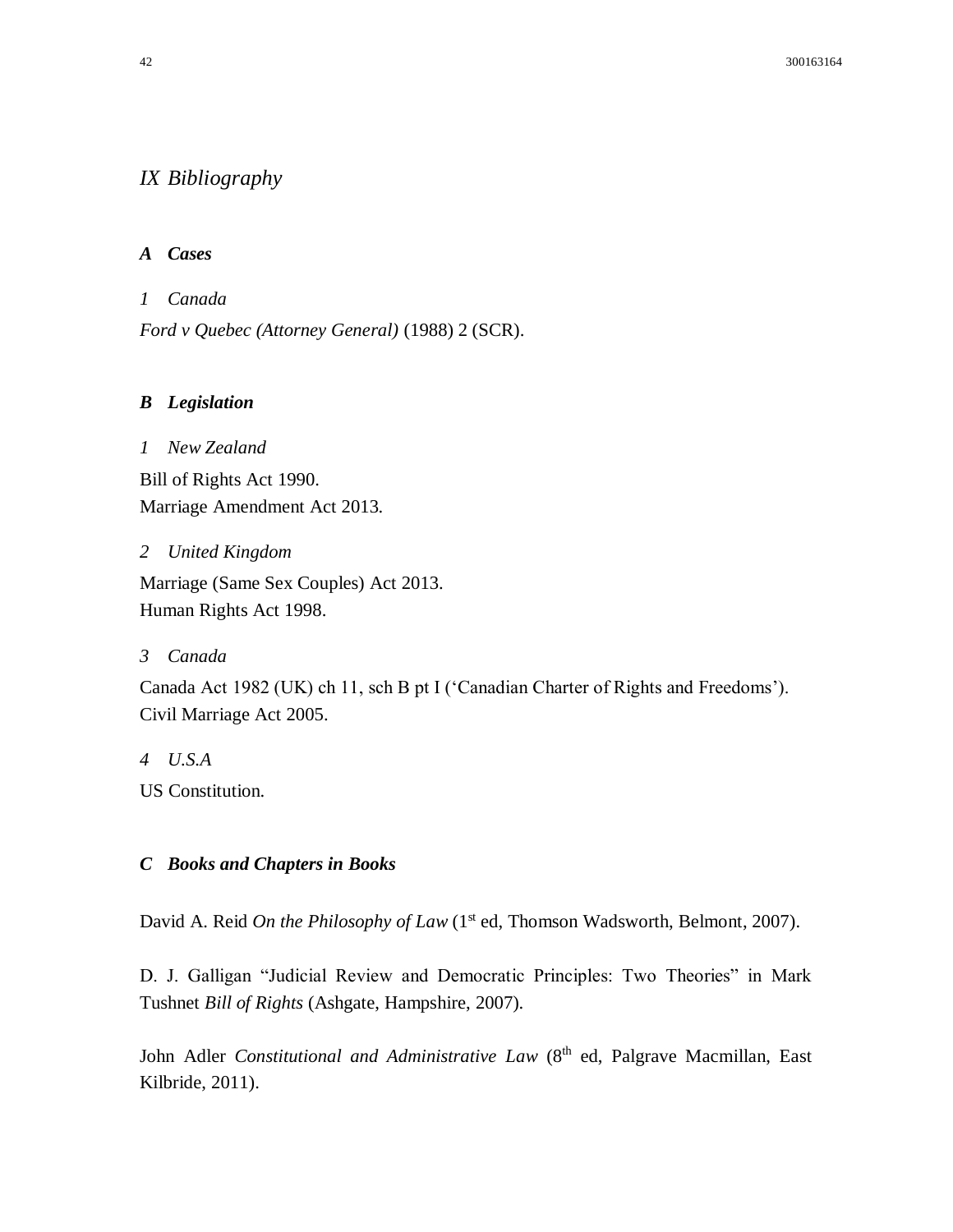# *IX Bibliography*

# *A Cases*

*1 Canada*

*Ford v Quebec (Attorney General)* (1988) 2 (SCR).

# *B Legislation*

*1 New Zealand* Bill of Rights Act 1990. Marriage Amendment Act 2013.

# *2 United Kingdom*

Marriage (Same Sex Couples) Act 2013. Human Rights Act 1998.

*3 Canada*

Canada Act 1982 (UK) ch 11, sch B pt I ('Canadian Charter of Rights and Freedoms'). Civil Marriage Act 2005.

*4 U.S.A*

US Constitution.

# *C Books and Chapters in Books*

David A. Reid *On the Philosophy of Law* (1<sup>st</sup> ed, Thomson Wadsworth, Belmont, 2007).

D. J. Galligan "Judicial Review and Democratic Principles: Two Theories" in Mark Tushnet *Bill of Rights* (Ashgate, Hampshire, 2007).

John Adler *Constitutional and Administrative Law* (8<sup>th</sup> ed, Palgrave Macmillan, East Kilbride, 2011).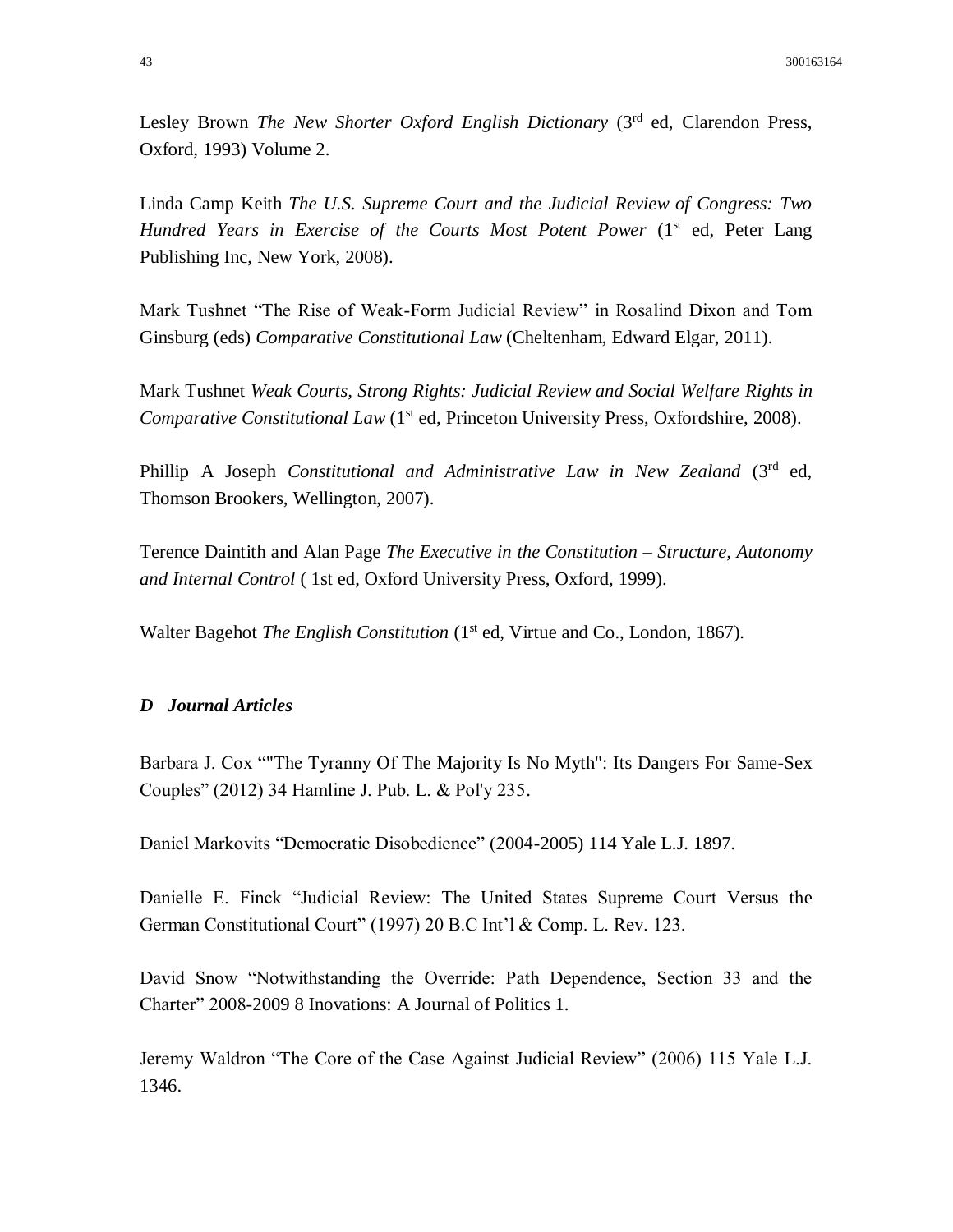Lesley Brown *The New Shorter Oxford English Dictionary* (3<sup>rd</sup> ed, Clarendon Press, Oxford, 1993) Volume 2.

Linda Camp Keith *The U.S. Supreme Court and the Judicial Review of Congress: Two Hundred Years in Exercise of the Courts Most Potent Power* (1<sup>st</sup> ed, Peter Lang Publishing Inc, New York, 2008).

Mark Tushnet "The Rise of Weak-Form Judicial Review" in Rosalind Dixon and Tom Ginsburg (eds) *Comparative Constitutional Law* (Cheltenham, Edward Elgar, 2011).

Mark Tushnet *Weak Courts, Strong Rights: Judicial Review and Social Welfare Rights in Comparative Constitutional Law* (1<sup>st</sup> ed, Princeton University Press, Oxfordshire, 2008).

Phillip A Joseph *Constitutional and Administrative Law in New Zealand* (3<sup>rd</sup> ed, Thomson Brookers, Wellington, 2007).

Terence Daintith and Alan Page *The Executive in the Constitution – Structure, Autonomy and Internal Control* ( 1st ed, Oxford University Press, Oxford, 1999).

Walter Bagehot *The English Constitution* (1<sup>st</sup> ed, Virtue and Co., London, 1867).

## *D Journal Articles*

Barbara J. Cox ""The Tyranny Of The Majority Is No Myth": Its Dangers For Same-Sex Couples" (2012) 34 Hamline J. Pub. L. & Pol'y 235.

Daniel Markovits "Democratic Disobedience" (2004-2005) 114 Yale L.J. 1897.

Danielle E. Finck "Judicial Review: The United States Supreme Court Versus the German Constitutional Court" (1997) 20 B.C Int'l & Comp. L. Rev. 123.

David Snow "Notwithstanding the Override: Path Dependence, Section 33 and the Charter" 2008-2009 8 Inovations: A Journal of Politics 1.

Jeremy Waldron "The Core of the Case Against Judicial Review" (2006) 115 Yale L.J. 1346.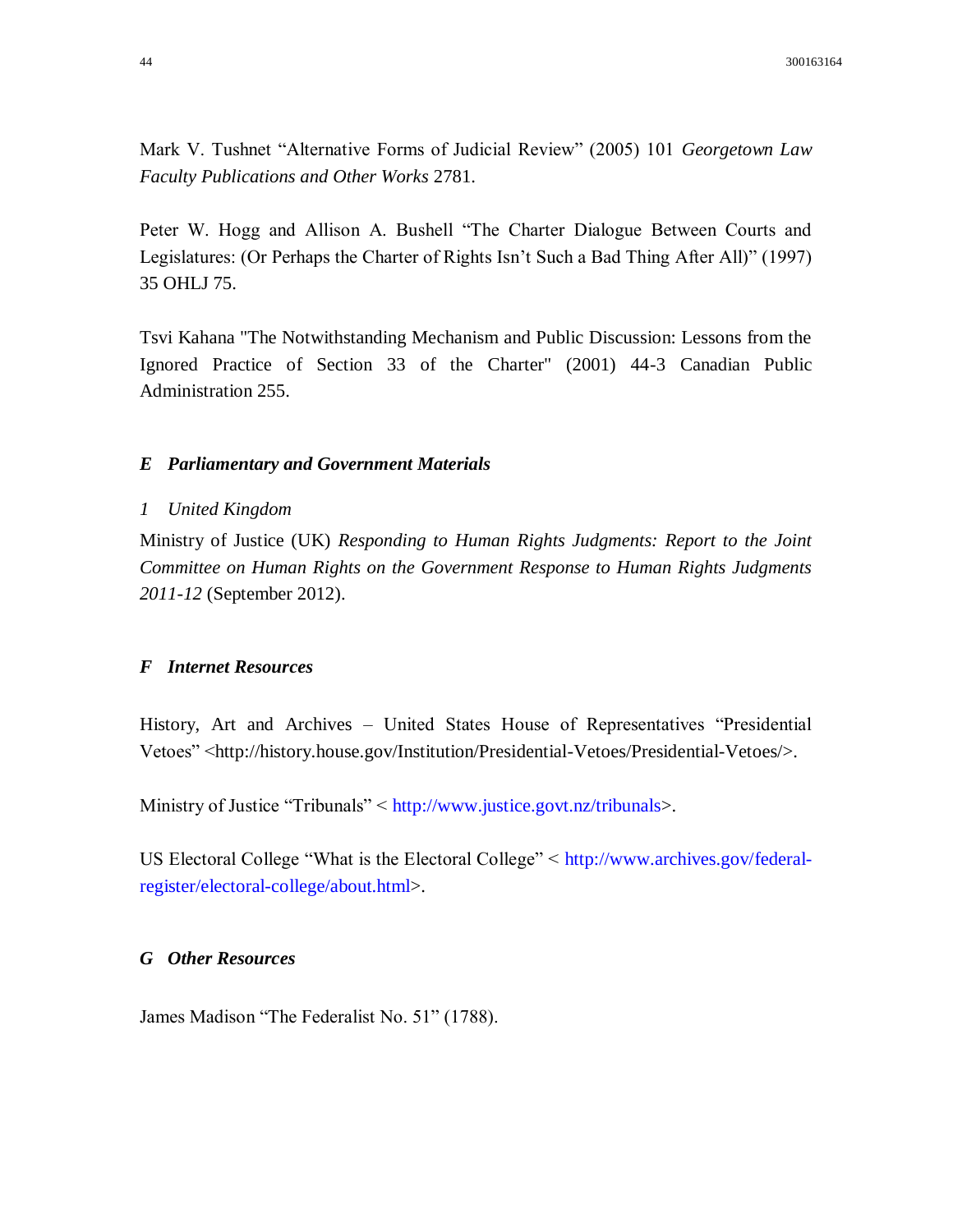Mark V. Tushnet "Alternative Forms of Judicial Review" (2005) 101 *Georgetown Law Faculty Publications and Other Works* 2781.

Peter W. Hogg and Allison A. Bushell "The Charter Dialogue Between Courts and Legislatures: (Or Perhaps the Charter of Rights Isn't Such a Bad Thing After All)" (1997) 35 OHLJ 75.

Tsvi Kahana "The Notwithstanding Mechanism and Public Discussion: Lessons from the Ignored Practice of Section 33 of the Charter" (2001) 44-3 Canadian Public Administration 255.

# *E Parliamentary and Government Materials*

#### *1 United Kingdom*

Ministry of Justice (UK) *Responding to Human Rights Judgments: Report to the Joint Committee on Human Rights on the Government Response to Human Rights Judgments 2011-12* (September 2012).

# *F Internet Resources*

History, Art and Archives – United States House of Representatives "Presidential Vetoes" <http://history.house.gov/Institution/Presidential-Vetoes/Presidential-Vetoes/>.

Ministry of Justice "Tribunals" < [http://www.justice.govt.nz/tribunals>](http://www.justice.govt.nz/tribunals).

US Electoral College "What is the Electoral College" < [http://www.archives.gov/federal](http://www.archives.gov/federal-register/electoral-college/about.html)[register/electoral-college/about.html>](http://www.archives.gov/federal-register/electoral-college/about.html).

# *G Other Resources*

James Madison "The Federalist No. 51" (1788).